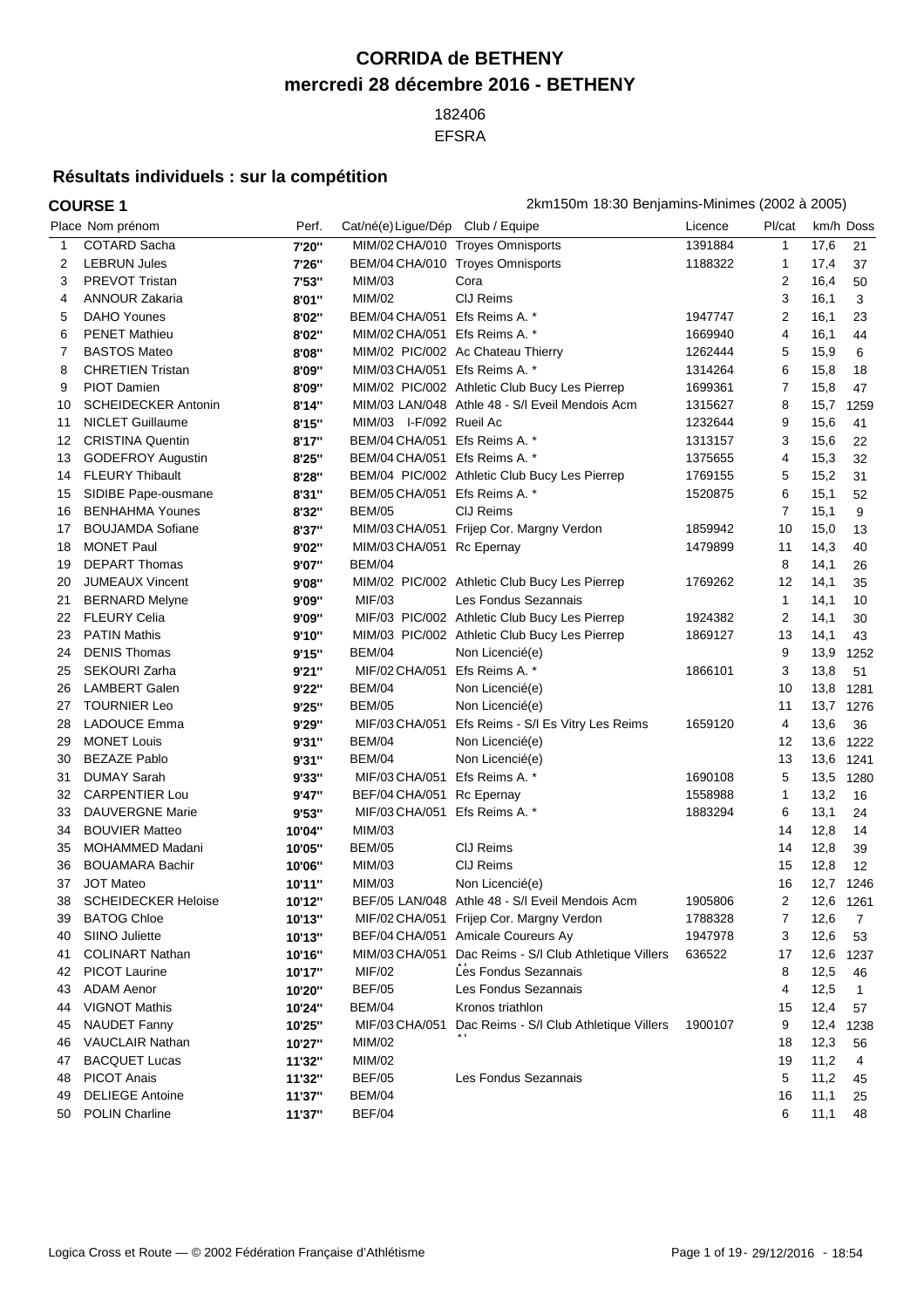## **CORRIDA de BETHENY mercredi 28 décembre 2016 - BETHENY**

 EFSRA

## **Résultats individuels : sur la compétition**

## **COURSE 1** 2km150m 18:30 Benjamins-Minimes (2002 à 2005) Place Nom prénom entrane Perf. Cat/né(e)Ligue/Dép Club / Equipe Club in the Licence Pl/cat km/h Doss COTARD Sacha **7'20''** MIM/02 CHA/010 Troyes Omnisports 1391884 1 17,6 21 LEBRUN Jules **7'26''** BEM/04 CHA/010 Troyes Omnisports 1188322 1 17,4 37 PREVOT Tristan **7'53''** MIM/03 Cora 2 16,4 50 ANNOUR Zakaria **8'01''** MIM/02 ClJ Reims 3 16,1 3 DAHO Younes **8'02''** BEM/04 CHA/051 Efs Reims A. \* 1947747 2 16,1 23 PENET Mathieu **8'02''** MIM/02 CHA/051 Efs Reims A. \* 1669940 4 16,1 44 BASTOS Mateo **8'08''** MIM/02 PIC/002 Ac Chateau Thierry 1262444 5 15,9 6 CHRETIEN Tristan **8'09''** MIM/03 CHA/051 Efs Reims A. \* 1314264 6 15,8 18 PIOT Damien **8'09''** MIM/02 PIC/002 Athletic Club Bucy Les Pierrep 1699361 7 15,8 47 SCHEIDECKER Antonin **8'14''** MIM/03 LAN/048 Athle 48 - S/l Eveil Mendois Acm 1315627 8 15,7 1259 NICLET Guillaume **8'15''** MIM/03 I-F/092 Rueil Ac 1232644 9 15,6 41 CRISTINA Quentin **8'17''** BEM/04 CHA/051 Efs Reims A. \* 1313157 3 15,6 22 GODEFROY Augustin **8'25''** BEM/04 CHA/051 Efs Reims A. \* 1375655 4 15,3 32 FLEURY Thibault **8'28''** BEM/04 PIC/002 Athletic Club Bucy Les Pierrep 1769155 5 15,2 31 SIDIBE Pape-ousmane **8'31''** BEM/05 CHA/051 Efs Reims A. \* 1520875 6 15,1 52 BENHAHMA Younes **8'32''** BEM/05 ClJ Reims 7 15,1 9 BOUJAMDA Sofiane **8'37''** MIM/03 CHA/051 Frijep Cor. Margny Verdon 1859942 10 15,0 13 MONET Paul **9'02''** MIM/03 CHA/051 Rc Epernay 1479899 11 14,3 40 DEPART Thomas **9'07''** BEM/04 8 14,1 26 JUMEAUX Vincent **9'08''** MIM/02 PIC/002 Athletic Club Bucy Les Pierrep 1769262 12 14,1 35 BERNARD Melyne **9'09''** MIF/03 Les Fondus Sezannais 1 14,1 10 FLEURY Celia **9'09''** MIF/03 PIC/002 Athletic Club Bucy Les Pierrep 1924382 2 14,1 30 PATIN Mathis **9'10''** MIM/03 PIC/002 Athletic Club Bucy Les Pierrep 1869127 13 14,1 43 DENIS Thomas **9'15''** BEM/04 Non Licencié(e) 9 13,9 1252 SEKOURI Zarha **9'21''** MIF/02 CHA/051 Efs Reims A. \* 1866101 3 13,8 51 LAMBERT Galen **9'22''** BEM/04 Non Licencié(e) 10 13,8 1281 TOURNIER Leo **9'25''** BEM/05 Non Licencié(e) 11 13,7 1276 LADOUCE Emma **9'29''** MIF/03 CHA/051 Efs Reims - S/l Es Vitry Les Reims 1659120 4 13,6 36 MONET Louis **9'31''** BEM/04 Non Licencié(e) 12 13,6 1222 BEZAZE Pablo **9'31''** BEM/04 Non Licencié(e) 13 13,6 1241 DUMAY Sarah **9'33''** MIF/03 CHA/051 Efs Reims A. \* 1690108 5 13,5 1280 32 CARPENTIER Lou **9'47''** BEF/04 CHA/051 Rc Epernay 1558988 1 13,2 16 DAUVERGNE Marie **9'53''** MIF/03 CHA/051 Efs Reims A. \* 1883294 6 13,1 24 BOUVIER Matteo **10'04''** MIM/03 14 12,8 14 MOHAMMED Madani **10'05''** BEM/05 ClJ Reims 14 12,8 39 BOUAMARA Bachir **10'06''** MIM/03 ClJ Reims 15 12,8 12 JOT Mateo **10'11''** MIM/03 Non Licencié(e) 16 12,7 1246 SCHEIDECKER Heloise **10'12''** BEF/05 LAN/048 Athle 48 - S/l Eveil Mendois Acm 1905806 2 12,6 1261 BATOG Chloe **10'13''** MIF/02 CHA/051 Frijep Cor. Margny Verdon 1788328 7 12,6 7 SIINO Juliette **10'13''** BEF/04 CHA/051 Amicale Coureurs Ay 1947978 3 12,6 53 COLINART Nathan **10'16''** MIM/03 CHA/051 Dac Reims - S/l Club Athletique Villers 42 PICOT Laurine **10'17''** MIF/02 Les Fondus Sezannais **12,5 46** 12,5 46 17 12,6 1237 ADAM Aenor **10'20''** BEF/05 Les Fondus Sezannais 4 12,5 1 VIGNOT Mathis **10'24''** BEM/04 Kronos triathlon 15 12,4 57 NAUDET Fanny **10'25''** MIF/03 CHA/051 Dac Reims - S/l Club Athletique Villers Al 9 12,4 1238 VAUCLAIR Nathan **10'27''** MIM/02 18 12,3 56 BACQUET Lucas **11'32''** MIM/02 19 11,2 4 PICOT Anais **11'32''** BEF/05 Les Fondus Sezannais 5 11,2 45 DELIEGE Antoine **11'37''** BEM/04 16 11,1 25 POLIN Charline **11'37''** BEF/04 6 11,1 48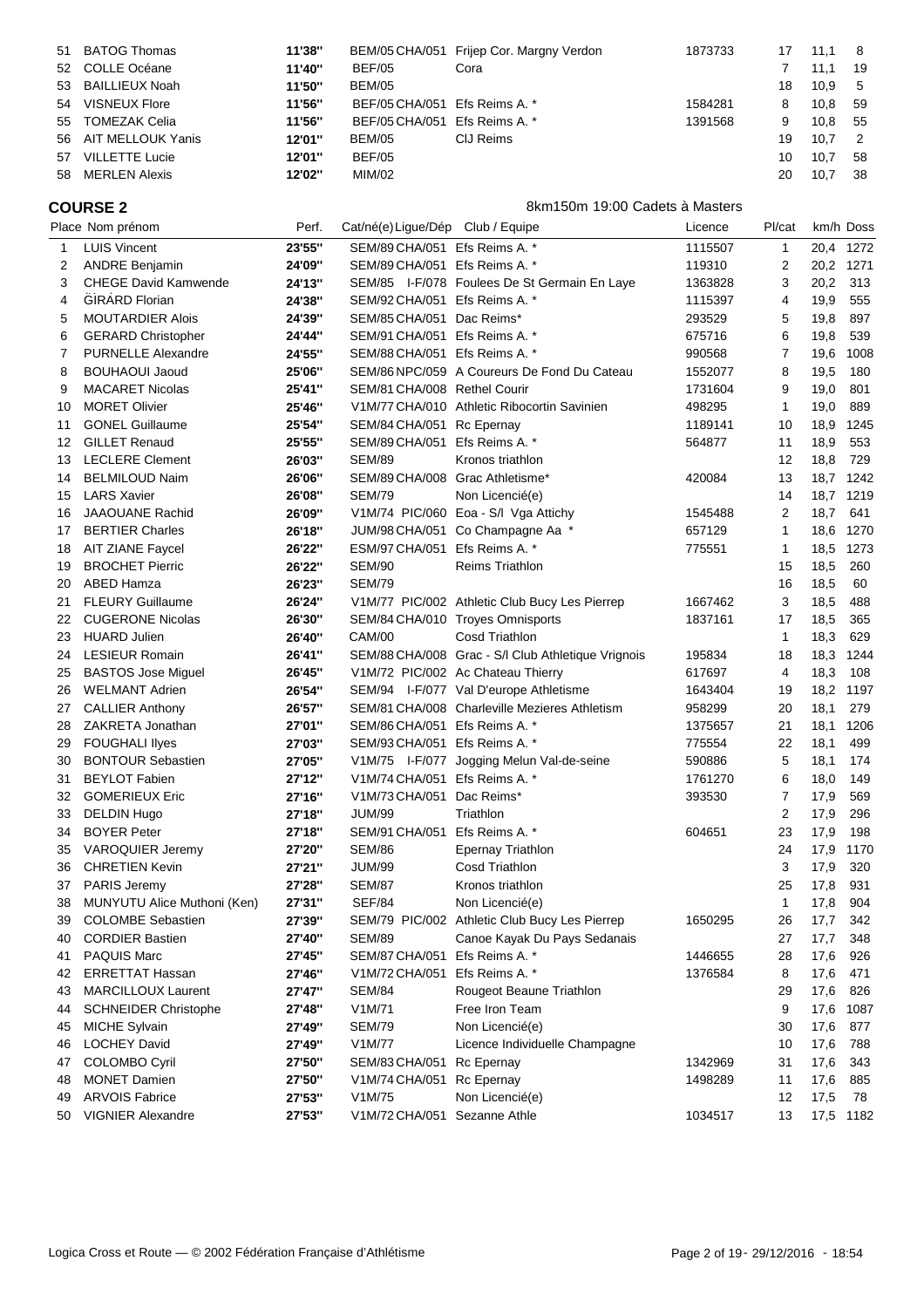|    | 51 BATOG Thomas       | 11'38" |                               | BEM/05 CHA/051 Frijep Cor. Margny Verdon | 1873733 | 17 | 11.1 | - 8            |
|----|-----------------------|--------|-------------------------------|------------------------------------------|---------|----|------|----------------|
|    | 52 COLLE Océane       | 11'40" | <b>BEF/05</b>                 | Cora                                     |         |    | 11.1 | 19             |
|    | 53 BAILLIEUX Noah     | 11'50" | <b>BEM/05</b>                 |                                          |         | 18 | 10.9 | - 5            |
|    | 54 VISNEUX Flore      | 11'56" | BEF/05 CHA/051 Efs Reims A. * |                                          | 1584281 | 8  | 10.8 | -59            |
|    | 55 TOMEZAK Celia      | 11'56" | BEF/05 CHA/051 Efs Reims A. * |                                          | 1391568 | 9  | 10.8 | - 55           |
|    | 56 AIT MELLOUK Yanis  | 12'01" | <b>BEM/05</b>                 | CIJ Reims                                |         | 19 | 10.7 | $\overline{2}$ |
| 57 | <b>VILLETTE Lucie</b> | 12'01" | <b>BEF/05</b>                 |                                          |         | 10 | 10.7 | 58             |
|    | 58 MERLEN Alexis      | 12'02" | MIM/02                        |                                          |         | 20 | 10.7 | 38             |

**COURSE 2** 8km150m 19:00 Cadets à Masters

|    | Place Nom prénom            | Perf.  | Cat/né(e) Ligue/Dép Club / Equipe |                                                    | Licence | Pl/cat       |          | km/h Doss |
|----|-----------------------------|--------|-----------------------------------|----------------------------------------------------|---------|--------------|----------|-----------|
| 1  | <b>LUIS Vincent</b>         | 23'55" | SEM/89 CHA/051 Efs Reims A. *     |                                                    | 1115507 | $\mathbf{1}$ | 20,4     | 1272      |
| 2  | <b>ANDRE Benjamin</b>       | 24'09" | SEM/89 CHA/051 Efs Reims A. *     |                                                    | 119310  | 2            | 20,2     | 1271      |
| 3  | <b>CHEGE David Kamwende</b> | 24'13" |                                   | SEM/85 I-F/078 Foulees De St Germain En Laye       | 1363828 | 3            | 20,2     | 313       |
| 4  | <b>GIRARD Florian</b>       | 24'38" | SEM/92 CHA/051 Efs Reims A. *     |                                                    | 1115397 | 4            | 19,9     | 555       |
| 5  | <b>MOUTARDIER Alois</b>     | 24'39" | SEM/85 CHA/051 Dac Reims*         |                                                    | 293529  | 5            | 19,8     | 897       |
| 6  | <b>GERARD Christopher</b>   | 24'44" | SEM/91 CHA/051 Efs Reims A. *     |                                                    | 675716  | 6            | 19,8     | 539       |
| 7  | <b>PURNELLE Alexandre</b>   | 24'55" | SEM/88 CHA/051 Efs Reims A. *     |                                                    | 990568  | 7            | 19,6     | 1008      |
| 8  | <b>BOUHAOUI Jaoud</b>       | 25'06" |                                   | SEM/86 NPC/059 A Coureurs De Fond Du Cateau        | 1552077 | 8            | 19,5     | 180       |
| 9  | <b>MACARET Nicolas</b>      | 25'41" | SEM/81 CHA/008 Rethel Courir      |                                                    | 1731604 | 9            | 19,0     | 801       |
| 10 | <b>MORET Olivier</b>        | 25'46" |                                   | V1M/77 CHA/010 Athletic Ribocortin Savinien        | 498295  | $\mathbf{1}$ | 19,0     | 889       |
| 11 | <b>GONEL Guillaume</b>      | 25'54" | SEM/84 CHA/051 Rc Epernay         |                                                    | 1189141 | 10           | 18,9     | 1245      |
| 12 | <b>GILLET Renaud</b>        | 25'55" | SEM/89 CHA/051 Efs Reims A. *     |                                                    | 564877  | 11           | 18,9     | 553       |
| 13 | <b>LECLERE Clement</b>      | 26'03" | <b>SEM/89</b>                     | Kronos triathlon                                   |         | 12           | 18,8     | 729       |
| 14 | <b>BELMILOUD Naim</b>       | 26'06" | SEM/89 CHA/008 Grac Athletisme*   |                                                    | 420084  | 13           | 18,7     | 1242      |
| 15 | <b>LARS Xavier</b>          | 26'08" | <b>SEM/79</b>                     | Non Licencié(e)                                    |         | 14           | 18,7     | 1219      |
| 16 | <b>JAAOUANE Rachid</b>      | 26'09" |                                   | V1M/74 PIC/060 Eoa - S/I Vga Attichy               | 1545488 | 2            | 18,7     | 641       |
| 17 | <b>BERTIER Charles</b>      | 26'18" |                                   | JUM/98 CHA/051 Co Champagne Aa *                   | 657129  | 1            | 18,6     | 1270      |
| 18 | <b>AIT ZIANE Faycel</b>     | 26'22" | ESM/97 CHA/051 Efs Reims A. *     |                                                    | 775551  | 1            | 18,5     | 1273      |
| 19 | <b>BROCHET Pierric</b>      | 26'22" | <b>SEM/90</b>                     | <b>Reims Triathlon</b>                             |         | 15           | 18,5     | 260       |
| 20 | ABED Hamza                  | 26'23" | <b>SEM/79</b>                     |                                                    |         | 16           | 18,5     | 60        |
| 21 | <b>FLEURY Guillaume</b>     | 26'24" |                                   | V1M/77 PIC/002 Athletic Club Bucy Les Pierrep      | 1667462 | 3            | 18,5     | 488       |
| 22 | <b>CUGERONE Nicolas</b>     | 26'30" |                                   | SEM/84 CHA/010 Troyes Omnisports                   | 1837161 | 17           | 18,5     | 365       |
| 23 | <b>HUARD Julien</b>         | 26'40" | <b>CAM/00</b>                     | Cosd Triathlon                                     |         | $\mathbf{1}$ | 18,3     | 629       |
| 24 | <b>LESIEUR Romain</b>       | 26'41" |                                   | SEM/88 CHA/008 Grac - S/I Club Athletique Vrignois | 195834  | 18           | 18,3     | 1244      |
| 25 | <b>BASTOS Jose Miguel</b>   | 26'45" |                                   | V1M/72 PIC/002 Ac Chateau Thierry                  | 617697  | 4            | 18,3     | 108       |
| 26 | <b>WELMANT Adrien</b>       | 26'54" |                                   | SEM/94 I-F/077 Val D'europe Athletisme             | 1643404 | 19           | 18,2     | 1197      |
| 27 | <b>CALLIER Anthony</b>      | 26'57" |                                   | SEM/81 CHA/008 Charleville Mezieres Athletism      | 958299  | 20           | 18,1     | 279       |
| 28 | ZAKRETA Jonathan            | 27'01" | SEM/86 CHA/051 Efs Reims A. *     |                                                    | 1375657 | 21           | 18,1     | 1206      |
| 29 | <b>FOUGHALI llyes</b>       | 27'03" | SEM/93 CHA/051 Efs Reims A. *     |                                                    | 775554  | 22           | 18,1     | 499       |
| 30 | <b>BONTOUR Sebastien</b>    | 27'05" |                                   | V1M/75 I-F/077 Jogging Melun Val-de-seine          | 590886  | 5            | 18,1     | 174       |
| 31 | <b>BEYLOT Fabien</b>        | 27'12" | V1M/74 CHA/051 Efs Reims A. *     |                                                    | 1761270 | 6            | 18,0     | 149       |
| 32 | <b>GOMERIEUX Eric</b>       | 27'16" | V1M/73 CHA/051                    | Dac Reims*                                         | 393530  | 7            | 17,9     | 569       |
| 33 | <b>DELDIN Hugo</b>          | 27'18" | <b>JUM/99</b>                     | Triathlon                                          |         | 2            | 17,9     | 296       |
| 34 | <b>BOYER Peter</b>          | 27'18" | SEM/91 CHA/051                    | Efs Reims A. *                                     | 604651  | 23           | 17,9     | 198       |
| 35 | <b>VAROQUIER Jeremy</b>     | 27'20" | <b>SEM/86</b>                     | <b>Epernay Triathlon</b>                           |         | 24           | 17,9     | 1170      |
| 36 | <b>CHRETIEN Kevin</b>       | 27'21" | JUM/99                            | <b>Cosd Triathlon</b>                              |         | 3            | 17,9     | 320       |
| 37 | PARIS Jeremy                | 27'28" | <b>SEM/87</b>                     | Kronos triathlon                                   |         | 25           | 17,8     | 931       |
| 38 | MUNYUTU Alice Muthoni (Ken) | 27'31" | <b>SEF/84</b>                     | Non Licencié(e)                                    |         | 1            | 17,8     | 904       |
| 39 | COLOMBE Sebastien           | 27'39" |                                   | SEM/79 PIC/002 Athletic Club Bucy Les Pierrep      | 1650295 | 26           | 17,7 342 |           |
| 40 | <b>CORDIER Bastien</b>      | 27'40" | <b>SEM/89</b>                     | Canoe Kayak Du Pays Sedanais                       |         | 27           | 17,7     | 348       |
| 41 | PAQUIS Marc                 | 27'45" | SEM/87 CHA/051 Efs Reims A. *     |                                                    | 1446655 | 28           | 17,6     | 926       |
| 42 | <b>ERRETTAT Hassan</b>      | 27'46" | V1M/72 CHA/051                    | Efs Reims A. *                                     | 1376584 | 8            | 17,6     | 471       |
| 43 | <b>MARCILLOUX Laurent</b>   | 27'47" | <b>SEM/84</b>                     | Rougeot Beaune Triathlon                           |         | 29           | 17,6     | 826       |
| 44 | <b>SCHNEIDER Christophe</b> | 27'48" | V1M/71                            | Free Iron Team                                     |         | 9            | 17,6     | 1087      |
| 45 | <b>MICHE Sylvain</b>        | 27'49" | <b>SEM/79</b>                     | Non Licencié(e)                                    |         | 30           | 17,6     | 877       |
| 46 | <b>LOCHEY David</b>         | 27'49" | V1M/77                            | Licence Individuelle Champagne                     |         | 10           | 17,6     | 788       |
| 47 | <b>COLOMBO Cyril</b>        | 27'50" | SEM/83 CHA/051 Rc Epernay         |                                                    | 1342969 | 31           | 17,6     | 343       |
| 48 | <b>MONET Damien</b>         | 27'50" | V1M/74 CHA/051 Rc Epernay         |                                                    | 1498289 | 11           | 17,6     | 885       |
| 49 | <b>ARVOIS Fabrice</b>       | 27'53" | V1M/75                            | Non Licencié(e)                                    |         | 12           | 17,5     | 78        |
| 50 | <b>VIGNIER Alexandre</b>    | 27'53" | V1M/72 CHA/051 Sezanne Athle      |                                                    | 1034517 | 13           |          | 17,5 1182 |
|    |                             |        |                                   |                                                    |         |              |          |           |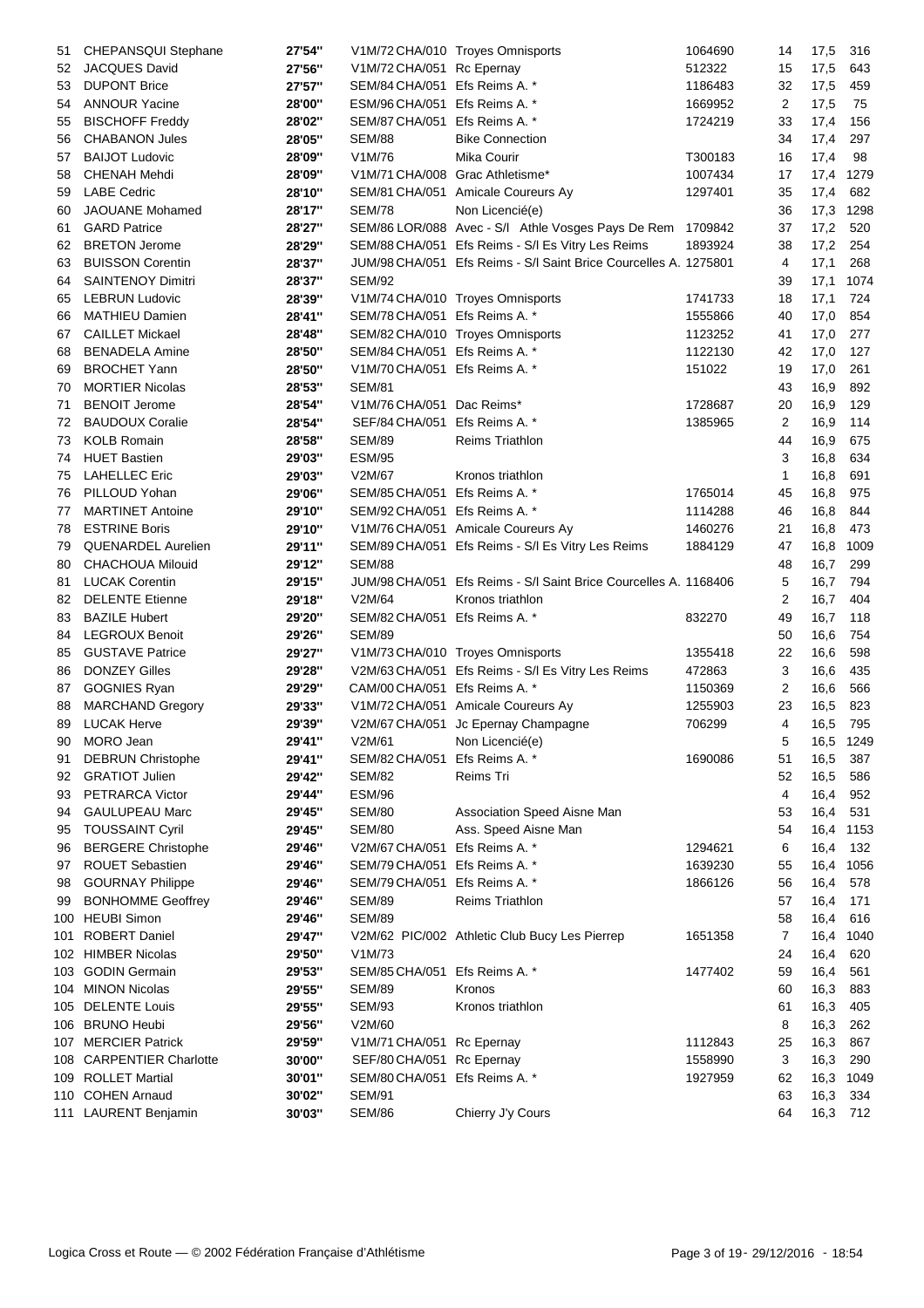| 51       | CHEPANSQUI Stephane       | 27'54" |                                 | V1M/72 CHA/010 Troyes Omnisports                                 | 1064690 | 14             | 17,5      | 316  |
|----------|---------------------------|--------|---------------------------------|------------------------------------------------------------------|---------|----------------|-----------|------|
| 52       | JACQUES David             | 27'56" | V1M/72 CHA/051 Rc Epernay       |                                                                  | 512322  | 15             | 17,5      | 643  |
| 53       | <b>DUPONT Brice</b>       | 27'57" | SEM/84 CHA/051 Efs Reims A. *   |                                                                  | 1186483 | 32             | 17,5      | 459  |
| 54       | <b>ANNOUR Yacine</b>      | 28'00" | ESM/96 CHA/051 Efs Reims A. *   |                                                                  | 1669952 | 2              | 17,5      | 75   |
| 55       | <b>BISCHOFF Freddy</b>    | 28'02" | SEM/87 CHA/051 Efs Reims A. *   |                                                                  | 1724219 | 33             | 17,4      | 156  |
| 56       | <b>CHABANON Jules</b>     | 28'05" | <b>SEM/88</b>                   | <b>Bike Connection</b>                                           |         | 34             | 17,4      | 297  |
| 57       | <b>BAIJOT Ludovic</b>     | 28'09" | V1M/76                          | Mika Courir                                                      | T300183 | 16             | 17,4      | 98   |
| 58       | <b>CHENAH Mehdi</b>       | 28'09" | V1M/71 CHA/008 Grac Athletisme* |                                                                  | 1007434 | 17             | 17,4      | 1279 |
| 59       | <b>LABE Cedric</b>        | 28'10" |                                 | SEM/81 CHA/051 Amicale Coureurs Ay                               | 1297401 | 35             | 17,4      | 682  |
| 60       | JAOUANE Mohamed           | 28'17" | SEM/78                          | Non Licencié(e)                                                  |         | 36             | 17,3      | 1298 |
| 61       | <b>GARD Patrice</b>       | 28'27" |                                 | SEM/86 LOR/088 Avec - S/I Athle Vosges Pays De Rem 1709842       |         | 37             | 17,2      | 520  |
| 62       | <b>BRETON Jerome</b>      | 28'29" |                                 | SEM/88 CHA/051 Efs Reims - S/I Es Vitry Les Reims                | 1893924 | 38             | 17,2      | 254  |
| 63       | <b>BUISSON Corentin</b>   | 28'37" |                                 | JUM/98 CHA/051 Efs Reims - S/I Saint Brice Courcelles A. 1275801 |         | 4              | 17,1      | 268  |
| 64       | <b>SAINTENOY Dimitri</b>  | 28'37" | <b>SEM/92</b>                   |                                                                  |         | 39             | 17,1      | 1074 |
| 65       | <b>LEBRUN Ludovic</b>     | 28'39" |                                 | V1M/74 CHA/010 Troyes Omnisports                                 | 1741733 | 18             | 17,1      | 724  |
| 66       | <b>MATHIEU Damien</b>     | 28'41" | SEM/78 CHA/051 Efs Reims A. *   |                                                                  | 1555866 | 40             | 17,0      | 854  |
| 67       | <b>CAILLET Mickael</b>    | 28'48" |                                 | SEM/82 CHA/010 Troyes Omnisports                                 | 1123252 | 41             | 17,0      | 277  |
| 68       | <b>BENADELA Amine</b>     | 28'50" | SEM/84 CHA/051 Efs Reims A. *   |                                                                  | 1122130 | 42             | 17,0      | 127  |
| 69       | <b>BROCHET Yann</b>       | 28'50" | V1M/70 CHA/051 Efs Reims A. *   |                                                                  | 151022  | 19             | 17,0      | 261  |
| 70       | <b>MORTIER Nicolas</b>    | 28'53" | <b>SEM/81</b>                   |                                                                  |         | 43             | 16,9      | 892  |
| 71       | <b>BENOIT Jerome</b>      | 28'54" | V1M/76 CHA/051                  | Dac Reims*                                                       | 1728687 | 20             | 16,9      | 129  |
| 72       | <b>BAUDOUX Coralie</b>    | 28'54" | SEF/84 CHA/051                  | Efs Reims A. *                                                   | 1385965 | 2              | 16,9      | 114  |
| 73       | <b>KOLB Romain</b>        | 28'58" | <b>SEM/89</b>                   | <b>Reims Triathlon</b>                                           |         | 44             | 16,9      | 675  |
| 74       | <b>HUET Bastien</b>       | 29'03" | <b>ESM/95</b>                   |                                                                  |         | 3              | 16,8      | 634  |
| 75       | <b>LAHELLEC Eric</b>      | 29'03" | V2M/67                          | Kronos triathlon                                                 |         | 1              | 16,8      | 691  |
| 76       | PILLOUD Yohan             | 29'06" | SEM/85 CHA/051                  | Efs Reims A. *                                                   | 1765014 | 45             | 16,8      | 975  |
| 77       | <b>MARTINET Antoine</b>   | 29'10" | SEM/92 CHA/051 Efs Reims A. *   |                                                                  | 1114288 | 46             | 16,8      | 844  |
| 78       | <b>ESTRINE Boris</b>      | 29'10" |                                 | V1M/76 CHA/051 Amicale Coureurs Ay                               | 1460276 | 21             | 16,8      | 473  |
| 79       | QUENARDEL Aurelien        | 29'11" |                                 | SEM/89 CHA/051 Efs Reims - S/I Es Vitry Les Reims                | 1884129 | 47             | 16,8      | 1009 |
| 80       | <b>CHACHOUA Milouid</b>   | 29'12" | <b>SEM/88</b>                   |                                                                  |         | 48             | 16,7      | 299  |
| 81       | <b>LUCAK Corentin</b>     | 29'15" | JUM/98 CHA/051                  | Efs Reims - S/I Saint Brice Courcelles A. 1168406                |         | 5              | 16,7      | 794  |
| 82       | <b>DELENTE Etienne</b>    | 29'18" | V2M/64                          | Kronos triathlon                                                 |         | $\overline{2}$ | 16,7      | 404  |
|          | <b>BAZILE Hubert</b>      | 29'20" | SEM/82 CHA/051 Efs Reims A. *   |                                                                  | 832270  | 49             | 16,7      | 118  |
| 83<br>84 | <b>LEGROUX Benoit</b>     | 29'26" | <b>SEM/89</b>                   |                                                                  |         | 50             |           | 754  |
|          | <b>GUSTAVE Patrice</b>    |        |                                 |                                                                  | 1355418 |                | 16,6      |      |
| 85       |                           | 29'27" |                                 | V1M/73 CHA/010 Troyes Omnisports                                 |         | 22             | 16,6      | 598  |
| 86       | <b>DONZEY Gilles</b>      | 29'28" |                                 | V2M/63 CHA/051 Efs Reims - S/l Es Vitry Les Reims                | 472863  | 3              | 16,6      | 435  |
| 87       | <b>GOGNIES Ryan</b>       | 29'29" | CAM/00 CHA/051 Efs Reims A. *   |                                                                  | 1150369 | 2              | 16,6      | 566  |
| 88       | <b>MARCHAND Gregory</b>   | 29'33" |                                 | V1M/72 CHA/051 Amicale Coureurs Ay                               | 1255903 | 23             | 16,5      | 823  |
| 89       | <b>LUCAK Herve</b>        | 29'39" |                                 | V2M/67 CHA/051 Jc Epernay Champagne                              | 706299  | 4              | 16,5      | 795  |
|          | 90 MORO Jean              | 29'41" | V2M/61                          | Non Licencié(e)                                                  |         | 5              | 16,5 1249 |      |
| 91       | <b>DEBRUN Christophe</b>  | 29'41" | SEM/82 CHA/051 Efs Reims A. *   |                                                                  | 1690086 | 51             | 16,5      | 387  |
| 92       | <b>GRATIOT Julien</b>     | 29'42" | SEM/82                          | Reims Tri                                                        |         | 52             | 16,5      | 586  |
| 93       | PETRARCA Victor           | 29'44" | <b>ESM/96</b>                   |                                                                  |         | 4              | 16,4      | 952  |
| 94       | <b>GAULUPEAU Marc</b>     | 29'45" | <b>SEM/80</b>                   | Association Speed Aisne Man                                      |         | 53             | 16,4      | 531  |
| 95       | <b>TOUSSAINT Cyril</b>    | 29'45" | <b>SEM/80</b>                   | Ass. Speed Aisne Man                                             |         | 54             | 16,4      | 1153 |
| 96       | <b>BERGERE Christophe</b> | 29'46" | V2M/67 CHA/051                  | Efs Reims A. *                                                   | 1294621 | 6              | 16,4      | 132  |
| 97       | <b>ROUET Sebastien</b>    | 29'46" | SEM/79 CHA/051                  | Efs Reims A. *                                                   | 1639230 | 55             | 16,4      | 1056 |
| 98       | <b>GOURNAY Philippe</b>   | 29'46" | SEM/79 CHA/051                  | Efs Reims A. *                                                   | 1866126 | 56             | 16,4      | 578  |
| 99       | <b>BONHOMME Geoffrey</b>  | 29'46" | <b>SEM/89</b>                   | Reims Triathlon                                                  |         | 57             | 16,4      | 171  |
|          | 100 HEUBI Simon           | 29'46" | <b>SEM/89</b>                   |                                                                  |         | 58             | 16,4      | 616  |
| 101      | <b>ROBERT Daniel</b>      | 29'47" |                                 | V2M/62 PIC/002 Athletic Club Bucy Les Pierrep                    | 1651358 | 7              | 16,4      | 1040 |
|          | 102 HIMBER Nicolas        | 29'50" | V1M/73                          |                                                                  |         | 24             | 16,4      | 620  |
|          | 103 GODIN Germain         | 29'53" | SEM/85 CHA/051                  | Efs Reims A. *                                                   | 1477402 | 59             | 16,4      | 561  |
|          | 104 MINON Nicolas         | 29'55" | <b>SEM/89</b>                   | Kronos                                                           |         | 60             | 16,3      | 883  |
|          | 105 DELENTE Louis         | 29'55" | <b>SEM/93</b>                   | Kronos triathlon                                                 |         | 61             | 16,3      | 405  |
|          | 106 BRUNO Heubi           | 29'56" | V2M/60                          |                                                                  |         | 8              | 16,3      | 262  |
|          | 107 MERCIER Patrick       | 29'59" | V1M/71 CHA/051 Rc Epernay       |                                                                  | 1112843 | 25             | 16,3      | 867  |
|          | 108 CARPENTIER Charlotte  | 30'00" | SEF/80 CHA/051 Rc Epernay       |                                                                  | 1558990 | 3              | 16,3      | 290  |
|          | 109 ROLLET Martial        | 30'01" | SEM/80 CHA/051 Efs Reims A. *   |                                                                  | 1927959 | 62             | 16,3      | 1049 |
|          | 110 COHEN Arnaud          | 30'02" | <b>SEM/91</b>                   |                                                                  |         | 63             | 16,3      | 334  |
|          | 111 LAURENT Benjamin      | 30'03" | <b>SEM/86</b>                   | Chierry J'y Cours                                                |         | 64             | 16,3 712  |      |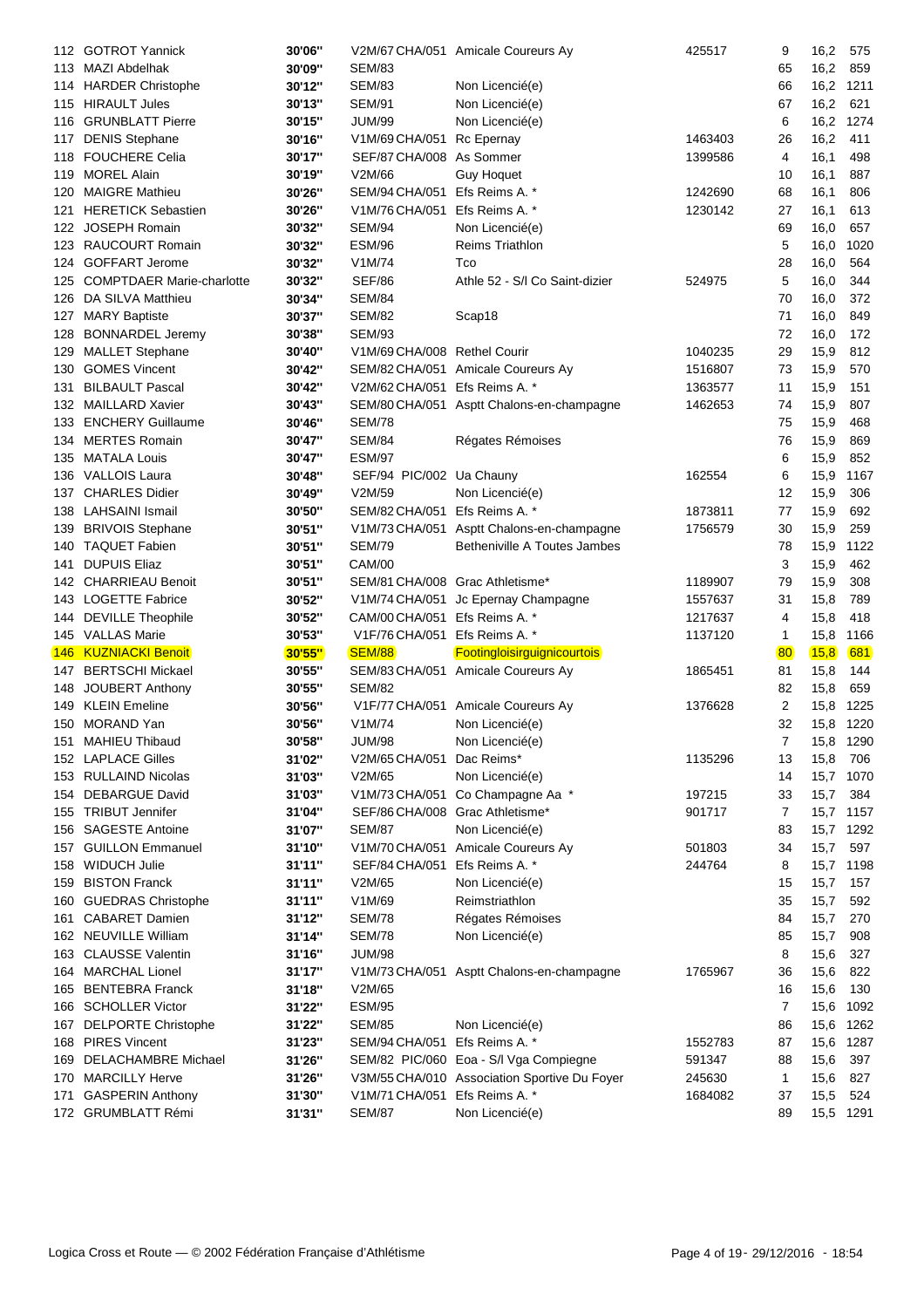| 112  | <b>GOTROT Yannick</b>                         | 30'06"           |                                                | V2M/67 CHA/051 Amicale Coureurs Ay           | 425517  | 9              | 16,2              | 575  |
|------|-----------------------------------------------|------------------|------------------------------------------------|----------------------------------------------|---------|----------------|-------------------|------|
|      | 113 MAZI Abdelhak                             | 30'09"           | <b>SEM/83</b>                                  |                                              |         | 65             | 16,2              | 859  |
|      | 114 HARDER Christophe                         | 30'12"           | <b>SEM/83</b>                                  | Non Licencié(e)                              |         | 66             | 16,2              | 1211 |
|      | 115 HIRAULT Jules                             | 30'13"           | <b>SEM/91</b>                                  | Non Licencié(e)                              |         | 67             | 16,2              | 621  |
| 116  | <b>GRUNBLATT Pierre</b>                       | 30'15"           | JUM/99                                         | Non Licencié(e)                              |         | 6              | 16,2              | 1274 |
| 117  | <b>DENIS Stephane</b>                         | 30'16"           | V1M/69 CHA/051                                 | Rc Epernay                                   | 1463403 | 26             | 16,2              | 411  |
| 118  | <b>FOUCHERE Celia</b>                         | 30'17"           | SEF/87 CHA/008 As Sommer                       |                                              | 1399586 | 4              | 16,1              | 498  |
| 119  | <b>MOREL Alain</b>                            | 30'19"           | V2M/66                                         | <b>Guy Hoquet</b>                            |         | 10             | 16,1              | 887  |
| 120  | <b>MAIGRE Mathieu</b>                         | 30'26"           | SEM/94 CHA/051                                 | Efs Reims A. *                               | 1242690 | 68             | 16,1              | 806  |
| 121  | <b>HERETICK Sebastien</b>                     | 30'26"           | V1M/76 CHA/051                                 | Efs Reims A. *                               | 1230142 | 27             | 16,1              | 613  |
| 122  | <b>JOSEPH Romain</b>                          | 30'32"           | <b>SEM/94</b>                                  | Non Licencié(e)                              |         | 69             | 16,0              | 657  |
| 123  | <b>RAUCOURT Romain</b>                        | 30'32"           | <b>ESM/96</b>                                  | <b>Reims Triathlon</b>                       |         | 5              | 16,0              | 1020 |
|      | 124 GOFFART Jerome                            | 30'32"           | V1M/74                                         | Tco                                          |         | 28             | 16,0              | 564  |
| 125  | <b>COMPTDAER Marie-charlotte</b>              | 30'32"           | <b>SEF/86</b>                                  | Athle 52 - S/I Co Saint-dizier               | 524975  | 5              |                   | 344  |
|      |                                               |                  |                                                |                                              |         |                | 16,0              |      |
| 126  | DA SILVA Matthieu                             | 30'34"           | <b>SEM/84</b>                                  |                                              |         | 70             | 16,0              | 372  |
| 127  | <b>MARY Baptiste</b>                          | 30'37"           | <b>SEM/82</b>                                  | Scap18                                       |         | 71             | 16,0              | 849  |
| 128  | <b>BONNARDEL Jeremy</b>                       | 30'38"           | <b>SEM/93</b>                                  |                                              |         | 72             | 16,0              | 172  |
| 129  | <b>MALLET Stephane</b>                        | 30'40"           | V1M/69 CHA/008 Rethel Courir                   |                                              | 1040235 | 29             | 15,9              | 812  |
| 130  | <b>GOMES Vincent</b>                          | 30'42"           |                                                | SEM/82 CHA/051 Amicale Coureurs Ay           | 1516807 | 73             | 15,9              | 570  |
| 131  | <b>BILBAULT Pascal</b>                        | 30'42"           | V2M/62 CHA/051 Efs Reims A. *                  |                                              | 1363577 | 11             | 15,9              | 151  |
|      | 132 MAILLARD Xavier                           | 30'43"           |                                                | SEM/80 CHA/051 Asptt Chalons-en-champagne    | 1462653 | 74             | 15,9              | 807  |
| 133  | <b>ENCHERY Guillaume</b>                      | 30'46"           | <b>SEM/78</b>                                  |                                              |         | 75             | 15,9              | 468  |
| 134  | <b>MERTES Romain</b>                          | 30'47"           | <b>SEM/84</b>                                  | Régates Rémoises                             |         | 76             | 15,9              | 869  |
| 135  | <b>MATALA Louis</b>                           | 30'47"           | <b>ESM/97</b>                                  |                                              |         | 6              | 15,9              | 852  |
|      | 136 VALLOIS Laura                             | 30'48"           | SEF/94 PIC/002 Ua Chauny                       |                                              | 162554  | 6              | 15,9              | 1167 |
| 137  | <b>CHARLES Didier</b>                         | 30'49"           | V2M/59                                         | Non Licencié(e)                              |         | 12             | 15,9              | 306  |
| 138  | <b>LAHSAINI Ismail</b>                        | 30'50"           | SEM/82 CHA/051                                 | Efs Reims A. *                               | 1873811 | 77             | 15,9              | 692  |
| 139  | <b>BRIVOIS Stephane</b>                       | 30'51"           |                                                | V1M/73 CHA/051 Asptt Chalons-en-champagne    | 1756579 | 30             | 15,9              | 259  |
| 140  | <b>TAQUET Fabien</b>                          | 30'51"           | <b>SEM/79</b>                                  | Betheniville A Toutes Jambes                 |         | 78             | 15,9              | 1122 |
| 141  | <b>DUPUIS Eliaz</b>                           | 30'51"           | <b>CAM/00</b>                                  |                                              |         | 3              | 15,9              | 462  |
|      |                                               | 30'51"           | SEM/81 CHA/008 Grac Athletisme*                |                                              | 1189907 | 79             | 15,9              | 308  |
|      |                                               |                  |                                                |                                              |         |                |                   |      |
|      | 142 CHARRIEAU Benoit                          |                  |                                                |                                              |         |                |                   |      |
|      | 143 LOGETTE Fabrice                           | 30'52"           | V1M/74 CHA/051                                 | Jc Epernay Champagne                         | 1557637 | 31             | 15,8              | 789  |
|      | 144 DEVILLE Theophile                         | 30'52"           | CAM/00 CHA/051                                 | Efs Reims A. *                               | 1217637 | 4              | 15,8              | 418  |
|      | 145 VALLAS Marie                              | 30'53"           | V1F/76 CHA/051                                 | Efs Reims A. *                               | 1137120 | 1              | 15,8              | 1166 |
| 146. | <b>KUZNIACKI Benoit</b>                       | <b>30'55"</b>    | <b>SEM/88</b>                                  | Footingloisirguignicourtois                  |         | 80             | 15,8              | 681  |
|      | 147 BERTSCHI Mickael                          | 30'55"           |                                                | SEM/83 CHA/051 Amicale Coureurs Ay           | 1865451 | 81             | 15,8              | 144  |
| 148  | JOUBERT Anthony                               | 30'55"           | <b>SEM/82</b>                                  |                                              |         | 82             | 15,8              | 659  |
| 149  | <b>KLEIN Emeline</b>                          | 30'56"           | V1F/77 CHA/051                                 | Amicale Coureurs Ay                          | 1376628 | 2              | 15,8              | 1225 |
|      | 150 MORAND Yan                                | 30'56"           | V1M/74                                         | Non Licencié(e)                              |         | 32             | 15,8 1220         |      |
|      | 151 MAHIEU Thibaud                            | 30'58"           | <b>JUM/98</b>                                  | Non Licencié(e)                              |         | $\overline{7}$ | 15,8 1290         |      |
|      | 152 LAPLACE Gilles                            | 31'02"           | V2M/65 CHA/051                                 | Dac Reims*                                   | 1135296 | 13             | 15,8              | 706  |
|      | 153 RULLAIND Nicolas                          | 31'03"           | V2M/65                                         | Non Licencié(e)                              |         | 14             | 15,7              | 1070 |
|      | 154 DEBARGUE David                            | 31'03"           | V1M/73 CHA/051                                 | Co Champagne Aa *                            | 197215  | 33             | 15,7              | 384  |
|      | 155 TRIBUT Jennifer                           | 31'04"           | SEF/86 CHA/008                                 | Grac Athletisme*                             | 901717  | 7              | 15,7              | 1157 |
|      | 156 SAGESTE Antoine                           | 31'07"           | <b>SEM/87</b>                                  | Non Licencié(e)                              |         | 83             | 15,7              | 1292 |
| 157  | <b>GUILLON Emmanuel</b>                       | 31'10"           | V1M/70 CHA/051                                 | Amicale Coureurs Ay                          | 501803  | 34             |                   | 597  |
| 158  |                                               | 31'11"           | SEF/84 CHA/051                                 | Efs Reims A. *                               | 244764  | 8              | 15,7              | 1198 |
| 159  | <b>WIDUCH Julie</b>                           |                  | V2M/65                                         |                                              |         |                | 15,7              |      |
|      | <b>BISTON Franck</b>                          | 31'11"           |                                                | Non Licencié(e)                              |         | 15             | 15,7              | 157  |
| 160  | <b>GUEDRAS Christophe</b>                     | 31'11"           | V1M/69                                         | Reimstriathlon                               |         | 35             | 15,7              | 592  |
| 161  | <b>CABARET Damien</b>                         | 31'12"           | <b>SEM/78</b>                                  | Régates Rémoises                             |         | 84             | 15,7              | 270  |
|      | 162 NEUVILLE William                          | 31'14"           | <b>SEM/78</b>                                  | Non Licencié(e)                              |         | 85             | 15,7              | 908  |
| 163  | <b>CLAUSSE Valentin</b>                       | 31'16"           | <b>JUM/98</b>                                  |                                              |         | 8              | 15,6              | 327  |
|      | 164 MARCHAL Lionel                            | 31'17"           | V1M/73 CHA/051                                 | Asptt Chalons-en-champagne                   | 1765967 | 36             | 15,6              | 822  |
|      | 165 BENTEBRA Franck                           | 31'18"           | V2M/65                                         |                                              |         | 16             | 15,6              | 130  |
| 166  | <b>SCHOLLER Victor</b>                        | 31'22"           | <b>ESM/95</b>                                  |                                              |         | 7              | 15,6              | 1092 |
| 167  | <b>DELPORTE Christophe</b>                    | 31'22"           | <b>SEM/85</b>                                  | Non Licencié(e)                              |         | 86             | 15,6              | 1262 |
| 168  | <b>PIRES Vincent</b>                          | 31'23"           | SEM/94 CHA/051                                 | Efs Reims A. *                               | 1552783 | 87             | 15,6              | 1287 |
| 169  | <b>DELACHAMBRE Michael</b>                    | 31'26"           |                                                | SEM/82 PIC/060 Eoa - S/I Vga Compiegne       | 591347  | 88             | 15,6              | 397  |
| 170  | <b>MARCILLY Herve</b>                         | 31'26"           |                                                | V3M/55 CHA/010 Association Sportive Du Foyer | 245630  | 1              | 15,6              | 827  |
| 171  | <b>GASPERIN Anthony</b><br>172 GRUMBLATT Rémi | 31'30"<br>31'31" | V1M/71 CHA/051 Efs Reims A. *<br><b>SEM/87</b> | Non Licencié(e)                              | 1684082 | 37<br>89       | 15,5<br>15,5 1291 | 524  |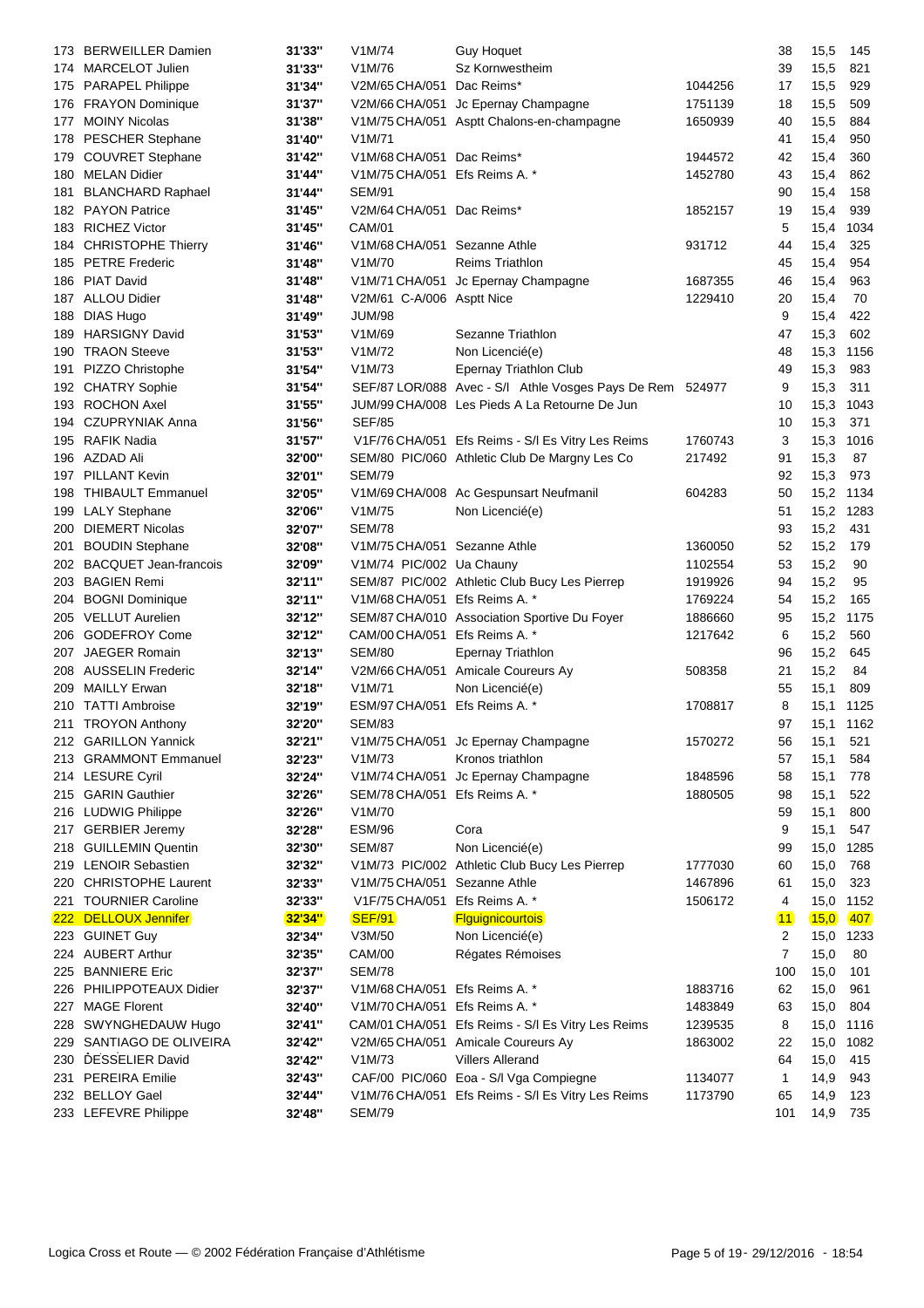| 173. | <b>BERWEILLER Damien</b>     | 31'33"        | V1M/74                        | <b>Guy Hoquet</b>                                         |         | 38             | 15,5         | 145  |
|------|------------------------------|---------------|-------------------------------|-----------------------------------------------------------|---------|----------------|--------------|------|
|      | 174 MARCELOT Julien          | 31'33"        | V1M/76                        | Sz Kornwestheim                                           |         | 39             | 15,5         | 821  |
|      | 175 PARAPEL Philippe         | 31'34"        | V2M/65 CHA/051                | Dac Reims*                                                | 1044256 | 17             | 15,5         | 929  |
|      | 176 FRAYON Dominique         | 31'37"        | V2M/66 CHA/051                | Jc Epernay Champagne                                      | 1751139 | 18             | 15,5         | 509  |
| 177  | <b>MOINY Nicolas</b>         | 31'38"        |                               | V1M/75 CHA/051 Asptt Chalons-en-champagne                 | 1650939 | 40             | 15,5         | 884  |
| 178  | <b>PESCHER Stephane</b>      | 31'40"        | V1M/71                        |                                                           |         | 41             | 15,4         | 950  |
| 179  | <b>COUVRET Stephane</b>      | 31'42"        | V1M/68 CHA/051 Dac Reims*     |                                                           | 1944572 | 42             | 15,4         | 360  |
|      | 180 MELAN Didier             | 31'44"        | V1M/75 CHA/051 Efs Reims A. * |                                                           | 1452780 | 43             | 15,4         | 862  |
| 181  | <b>BLANCHARD Raphael</b>     | 31'44"        | <b>SEM/91</b>                 |                                                           |         | 90             | 15,4         | 158  |
|      | 182 PAYON Patrice            | 31'45"        | V2M/64 CHA/051 Dac Reims*     |                                                           | 1852157 | 19             | 15,4         | 939  |
|      | 183 RICHEZ Victor            | 31'45"        | <b>CAM/01</b>                 |                                                           |         | 5              | 15,4         | 1034 |
|      | 184 CHRISTOPHE Thierry       | 31'46"        | V1M/68 CHA/051 Sezanne Athle  |                                                           | 931712  | 44             | 15,4         | 325  |
|      | 185 PETRE Frederic           | 31'48"        | V1M/70                        | <b>Reims Triathlon</b>                                    |         | 45             | 15,4         | 954  |
|      | 186 PIAT David               | 31'48"        |                               | V1M/71 CHA/051 Jc Epernay Champagne                       | 1687355 | 46             | 15,4         | 963  |
|      | 187 ALLOU Didier             | 31'48"        | V2M/61 C-A/006 Asptt Nice     |                                                           | 1229410 | 20             | 15,4         | 70   |
| 188  | <b>DIAS Hugo</b>             | 31'49"        | <b>JUM/98</b>                 |                                                           |         | 9              | 15,4         | 422  |
| 189  | <b>HARSIGNY David</b>        | 31'53"        | V1M/69                        | Sezanne Triathlon                                         |         | 47             | 15,3         | 602  |
|      | 190 TRAON Steeve             | 31'53"        | V1M/72                        | Non Licencié(e)                                           |         | 48             | 15,3         | 1156 |
| 191  | PIZZO Christophe             | 31'54"        | V1M/73                        | Epernay Triathlon Club                                    |         | 49             | 15,3         | 983  |
|      | 192 CHATRY Sophie            | 31'54"        |                               | SEF/87 LOR/088 Avec - S/I Athle Vosges Pays De Rem 524977 |         | 9              | 15,3         | 311  |
|      | 193 ROCHON Axel              | 31'55"        |                               | JUM/99 CHA/008 Les Pieds A La Retourne De Jun             |         | 10             | 15,3         | 1043 |
|      | 194 CZUPRYNIAK Anna          | 31'56"        | <b>SEF/85</b>                 |                                                           |         | 10             | 15,3         | 371  |
|      | 195 RAFIK Nadia              | 31'57"        |                               | V1F/76 CHA/051 Efs Reims - S/I Es Vitry Les Reims         | 1760743 | 3              | 15,3         | 1016 |
|      | 196 AZDAD Ali                | 32'00"        |                               | SEM/80 PIC/060 Athletic Club De Margny Les Co             | 217492  | 91             | 15,3         | 87   |
| 197  | <b>PILLANT Kevin</b>         | 32'01"        | <b>SEM/79</b>                 |                                                           |         | 92             | 15,3         | 973  |
| 198  | <b>THIBAULT Emmanuel</b>     | 32'05"        |                               | V1M/69 CHA/008 Ac Gespunsart Neufmanil                    | 604283  | 50             | 15,2         | 1134 |
| 199  | <b>LALY Stephane</b>         | 32'06"        | V1M/75                        | Non Licencié(e)                                           |         | 51             | 15,2         | 1283 |
| 200  | <b>DIEMERT Nicolas</b>       | 32'07"        | <b>SEM/78</b>                 |                                                           |         | 93             | 15,2         | 431  |
| 201  | <b>BOUDIN Stephane</b>       | 32'08"        | V1M/75 CHA/051 Sezanne Athle  |                                                           | 1360050 | 52             | 15,2         | 179  |
| 202  | <b>BACQUET Jean-francois</b> | 32'09"        | V1M/74 PIC/002 Ua Chauny      |                                                           | 1102554 | 53             |              | 90   |
| 203  | <b>BAGIEN Remi</b>           | 32'11"        |                               | SEM/87 PIC/002 Athletic Club Bucy Les Pierrep             | 1919926 | 94             | 15,2<br>15,2 | 95   |
|      |                              |               | V1M/68 CHA/051 Efs Reims A. * |                                                           | 1769224 | 54             |              | 165  |
|      | 204 BOGNI Dominique          | 32'11"        |                               |                                                           |         |                | 15,2         |      |
|      | 205 VELLUT Aurelien          | 32'12"        |                               | SEM/87 CHA/010 Association Sportive Du Foyer              | 1886660 | 95             | 15,2         | 1175 |
| 206  | <b>GODEFROY Come</b>         | 32'12"        | CAM/00 CHA/051 Efs Reims A. * |                                                           | 1217642 | 6              | 15,2         | 560  |
| 207  | <b>JAEGER Romain</b>         | 32'13"        | <b>SEM/80</b>                 | <b>Epernay Triathlon</b>                                  |         | 96             | 15,2         | 645  |
| 208  | <b>AUSSELIN Frederic</b>     | 32'14"        | V2M/66 CHA/051                | Amicale Coureurs Ay                                       | 508358  | 21             | 15,2         | 84   |
| 209  | <b>MAILLY Erwan</b>          | 32'18"        | V1M/71                        | Non Licencié(e)                                           |         | 55             | 15,1         | 809  |
|      | 210 TATTI Ambroise           | 32'19"        | ESM/97 CHA/051 Efs Reims A. * |                                                           | 1708817 | 8              | 15,1         | 1125 |
|      | 211 TROYON Anthony           | 32'20"        | <b>SEM/83</b>                 |                                                           |         | 97             | 15,1 1162    |      |
|      | 212 GARILLON Yannick         | 32'21"        |                               | V1M/75 CHA/051 Jc Epernay Champagne                       | 1570272 | 56             | 15,1         | 521  |
|      | 213 GRAMMONT Emmanuel        | 32'23"        | V <sub>1</sub> M/73           | Kronos triathlon                                          |         | 57             | 15,1         | 584  |
|      | 214 LESURE Cyril             | 32'24"        | V1M/74 CHA/051                | Jc Epernay Champagne                                      | 1848596 | 58             | 15,1         | 778  |
|      | 215 GARIN Gauthier           | 32'26"        | SEM/78 CHA/051                | Efs Reims A. *                                            | 1880505 | 98             | 15,1         | 522  |
|      | 216 LUDWIG Philippe          | 32'26"        | V1M/70                        |                                                           |         | 59             | 15,1         | 800  |
|      | 217 GERBIER Jeremy           | 32'28"        | <b>ESM/96</b>                 | Cora                                                      |         | 9              | 15,1         | 547  |
| 218  | <b>GUILLEMIN Quentin</b>     | 32'30"        | <b>SEM/87</b>                 | Non Licencié(e)                                           |         | 99             | 15,0         | 1285 |
|      | 219 LENOIR Sebastien         | 32'32"        |                               | V1M/73 PIC/002 Athletic Club Bucy Les Pierrep             | 1777030 | 60             | 15,0         | 768  |
| 220  | <b>CHRISTOPHE Laurent</b>    | 32'33"        | V1M/75 CHA/051 Sezanne Athle  |                                                           | 1467896 | 61             | 15,0         | 323  |
| 221  | <b>TOURNIER Caroline</b>     | 32'33"        | V1F/75 CHA/051 Efs Reims A. * |                                                           | 1506172 | 4              | 15,0         | 1152 |
| 222  | <b>DELLOUX Jennifer</b>      | <b>32'34"</b> | <b>SEF/91</b>                 | <b>Figuignicourtois</b>                                   |         | $\boxed{11}$   | 15,0         | 407  |
|      | 223 GUINET Guy               | 32'34"        | V3M/50                        | Non Licencié(e)                                           |         | 2              | 15,0         | 1233 |
|      | 224 AUBERT Arthur            | 32'35"        | <b>CAM/00</b>                 | Régates Rémoises                                          |         | $\overline{7}$ | 15,0         | 80   |
| 225  | <b>BANNIERE Eric</b>         | 32'37"        | <b>SEM/78</b>                 |                                                           |         | 100            | 15,0         | 101  |
| 226  | PHILIPPOTEAUX Didier         | 32'37"        | V1M/68 CHA/051 Efs Reims A. * |                                                           | 1883716 | 62             | 15,0         | 961  |
| 227  | <b>MAGE Florent</b>          | 32'40"        | V1M/70 CHA/051 Efs Reims A. * |                                                           | 1483849 | 63             | 15,0         | 804  |
| 228  | SWYNGHEDAUW Hugo             | 32'41"        |                               | CAM/01 CHA/051 Efs Reims - S/I Es Vitry Les Reims         | 1239535 | 8              | 15,0         | 1116 |
| 229  | SANTIAGO DE OLIVEIRA         | 32'42"        |                               | V2M/65 CHA/051 Amicale Coureurs Ay                        | 1863002 | 22             | 15,0         | 1082 |
| 230  | <b>DESSELIER David</b>       | 32'42"        | V1M/73                        | <b>Villers Allerand</b>                                   |         | 64             | 15,0         | 415  |
| 231  | <b>PEREIRA Emilie</b>        | 32'43"        |                               | CAF/00 PIC/060 Eoa - S/I Vga Compiegne                    | 1134077 | 1              | 14,9         | 943  |
|      | 232 BELLOY Gael              | 32'44"        |                               | V1M/76 CHA/051 Efs Reims - S/I Es Vitry Les Reims         | 1173790 | 65             | 14,9         | 123  |
|      | 233 LEFEVRE Philippe         | 32'48"        | <b>SEM/79</b>                 |                                                           |         | 101            | 14,9         | 735  |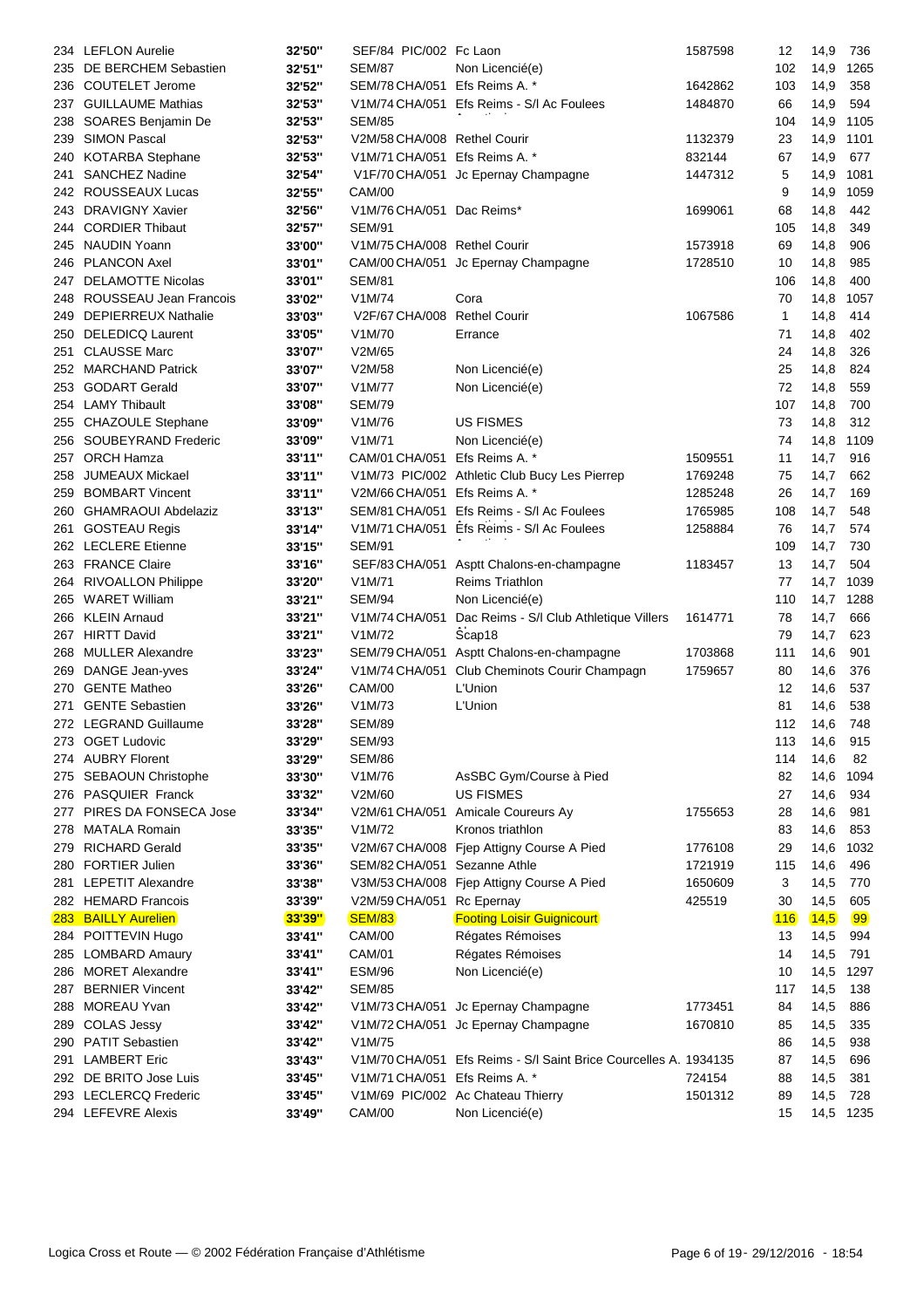| 234        | <b>LEFLON Aurelie</b>      | 32'50"        | SEF/84 PIC/002 Fc Laon        |                                                                  | 1587598 | 12  | 14,9     | 736       |
|------------|----------------------------|---------------|-------------------------------|------------------------------------------------------------------|---------|-----|----------|-----------|
| 235        | DE BERCHEM Sebastien       | 32'51"        | <b>SEM/87</b>                 | Non Licencié(e)                                                  |         | 102 | 14,9     | 1265      |
| 236        | <b>COUTELET Jerome</b>     | 32'52"        | SEM/78 CHA/051                | Efs Reims A. *                                                   | 1642862 | 103 | 14,9     | 358       |
| 237        | <b>GUILLAUME Mathias</b>   | 32'53"        | V1M/74 CHA/051                | Efs Reims - S/I Ac Foulees                                       | 1484870 | 66  | 14,9     | 594       |
| 238        | SOARES Benjamin De         | 32'53"        | <b>SEM/85</b>                 |                                                                  |         | 104 | 14,9     | 1105      |
| 239        | <b>SIMON Pascal</b>        | 32'53"        | V2M/58 CHA/008 Rethel Courir  |                                                                  | 1132379 | 23  | 14,9     | 1101      |
| 240        | <b>KOTARBA Stephane</b>    | 32'53"        | V1M/71 CHA/051 Efs Reims A. * |                                                                  | 832144  | 67  | 14,9     | 677       |
| 241        | <b>SANCHEZ Nadine</b>      | 32'54"        |                               | V1F/70 CHA/051 Jc Epernay Champagne                              | 1447312 | 5   | 14,9     | 1081      |
|            | 242 ROUSSEAUX Lucas        | 32'55"        | CAM/00                        |                                                                  |         | 9   | 14,9     | 1059      |
| 243        | <b>DRAVIGNY Xavier</b>     | 32'56"        | V1M/76 CHA/051 Dac Reims*     |                                                                  | 1699061 | 68  | 14,8     | 442       |
| 244        | <b>CORDIER Thibaut</b>     | 32'57"        | <b>SEM/91</b>                 |                                                                  |         | 105 | 14,8     | 349       |
| 245        | NAUDIN Yoann               | 33'00"        | V1M/75 CHA/008 Rethel Courir  |                                                                  | 1573918 | 69  | 14,8     | 906       |
| 246        | <b>PLANCON Axel</b>        | 33'01"        |                               | CAM/00 CHA/051 Jc Epernay Champagne                              | 1728510 | 10  | 14,8     | 985       |
| 247        | <b>DELAMOTTE Nicolas</b>   | 33'01"        | <b>SEM/81</b>                 |                                                                  |         | 106 | 14,8     | 400       |
| 248        | ROUSSEAU Jean Francois     | 33'02"        | V1M/74                        | Cora                                                             |         | 70  | 14,8     | 1057      |
| 249        | <b>DEPIERREUX Nathalie</b> | 33'03"        | V2F/67 CHA/008                | <b>Rethel Courir</b>                                             | 1067586 | 1   | 14,8     | 414       |
| 250        | <b>DELEDICQ Laurent</b>    | 33'05"        | V1M/70                        | Errance                                                          |         | 71  | 14,8     | 402       |
|            | <b>CLAUSSE Marc</b>        | 33'07"        | V2M/65                        |                                                                  |         | 24  | 14,8     | 326       |
| 251        |                            |               |                               |                                                                  |         |     |          |           |
|            | 252 MARCHAND Patrick       | 33'07"        | V2M/58                        | Non Licencié(e)                                                  |         | 25  | 14,8     | 824       |
| 253        | <b>GODART Gerald</b>       | 33'07"        | V1M/77                        | Non Licencié(e)                                                  |         | 72  | 14,8     | 559       |
| 254        | <b>LAMY Thibault</b>       | 33'08"        | <b>SEM/79</b>                 |                                                                  |         | 107 | 14,8     | 700       |
| 255        | <b>CHAZOULE Stephane</b>   | 33'09"        | V1M/76                        | <b>US FISMES</b>                                                 |         | 73  | 14,8     | 312       |
|            | 256 SOUBEYRAND Frederic    | 33'09"        | V1M/71                        | Non Licencié(e)                                                  |         | 74  | 14,8     | 1109      |
| 257        | <b>ORCH Hamza</b>          | 33'11"        | CAM/01 CHA/051                | Efs Reims A. *                                                   | 1509551 | 11  | 14,7     | 916       |
| 258        | <b>JUMEAUX Mickael</b>     | 33'11"        |                               | V1M/73 PIC/002 Athletic Club Bucy Les Pierrep                    | 1769248 | 75  | 14,7     | 662       |
| 259        | <b>BOMBART Vincent</b>     | 33'11"        | V2M/66 CHA/051 Efs Reims A. * |                                                                  | 1285248 | 26  | 14,7     | 169       |
| 260        | <b>GHAMRAOUI Abdelaziz</b> | 33'13"        |                               | SEM/81 CHA/051 Efs Reims - S/I Ac Foulees                        | 1765985 | 108 | 14,7     | 548       |
| 261        | <b>GOSTEAU Regis</b>       | 33'14"        |                               | V1M/71 CHA/051 Efs Reims - S/I Ac Foulees                        | 1258884 | 76  | 14,7     | 574       |
|            | 262 LECLERE Etienne        | 33'15"        | <b>SEM/91</b>                 |                                                                  |         | 109 | 14,7     | 730       |
|            | 263 FRANCE Claire          | 33'16"        | SEF/83 CHA/051                | Asptt Chalons-en-champagne                                       | 1183457 | 13  | 14,7     | 504       |
| 264        | <b>RIVOALLON Philippe</b>  | 33'20"        | V1M/71                        | <b>Reims Triathlon</b>                                           |         | 77  | 14,7     | 1039      |
| 265        | <b>WARET William</b>       | 33'21"        | <b>SEM/94</b>                 | Non Licencié(e)                                                  |         | 110 | 14,7     | 1288      |
|            | 266 KLEIN Arnaud           | 33'21"        | V1M/74 CHA/051                | Dac Reims - S/I Club Athletique Villers                          | 1614771 | 78  | 14,7     | 666       |
|            | 267 HIRTT David            | 33'21"        | V1M/72                        | Scap18                                                           |         | 79  | 14,7     | 623       |
| 268        | <b>MULLER Alexandre</b>    | 33'23"        | SEM/79 CHA/051                | Asptt Chalons-en-champagne                                       | 1703868 | 111 | 14,6     | 901       |
| 269        | DANGE Jean-yves            | 33'24"        | V1M/74 CHA/051                | Club Cheminots Courir Champagn                                   | 1759657 | 80  | 14,6     | 376       |
| 270        | <b>GENTE Matheo</b>        | 33'26"        | <b>CAM/00</b>                 | L'Union                                                          |         | 12  | 14,6     | 537       |
| 271        | <b>GENTE Sebastien</b>     | 33'26"        | V1M/73                        | L'Union                                                          |         | 81  | 14,6     | 538       |
|            | 272 LEGRAND Guillaume      | 33'28"        | <b>SEM/89</b>                 |                                                                  |         | 112 | 14,6     | 748       |
|            | 273 OGET Ludovic           | 33'29"        | <b>SEM/93</b>                 |                                                                  |         |     | 113 14,6 | 915       |
|            | 274 AUBRY Florent          | 33'29"        | SEM/86                        |                                                                  |         | 114 | 14,6     | 82        |
|            | 275 SEBAOUN Christophe     | 33'30"        | V1M/76                        | AsSBC Gym/Course à Pied                                          |         | 82  | 14,6     | 1094      |
|            | 276 PASQUIER Franck        | 33'32"        | V2M/60                        | <b>US FISMES</b>                                                 |         | 27  | 14,6     | 934       |
| 277        | PIRES DA FONSECA Jose      | 33'34"        | V2M/61 CHA/051                | Amicale Coureurs Ay                                              | 1755653 | 28  | 14,6     | 981       |
| 278        | <b>MATALA Romain</b>       | 33'35"        | V1M/72                        | Kronos triathlon                                                 |         | 83  | 14,6     | 853       |
| 279        | <b>RICHARD Gerald</b>      | 33'35"        |                               | V2M/67 CHA/008 Fjep Attigny Course A Pied                        | 1776108 | 29  | 14,6     | 1032      |
| 280        | <b>FORTIER Julien</b>      | 33'36"        | SEM/82 CHA/051                | Sezanne Athle                                                    | 1721919 | 115 | 14,6     | 496       |
| 281        | <b>LEPETIT Alexandre</b>   | 33'38"        |                               | V3M/53 CHA/008 Fjep Attigny Course A Pied                        | 1650609 | 3   | 14,5     | 770       |
|            | 282 HEMARD Francois        | 33'39"        | V2M/59 CHA/051                | Rc Epernay                                                       | 425519  | 30  | 14,5     | 605       |
| <b>283</b> | <b>BAILLY Aurelien</b>     | <b>33'39"</b> | <b>SEM/83</b>                 | <b>Footing Loisir Guignicourt</b>                                |         | 116 | (14,5)   | 99        |
|            | 284 POITTEVIN Hugo         | 33'41"        | <b>CAM/00</b>                 | Régates Rémoises                                                 |         | 13  | 14,5     | 994       |
|            | 285 LOMBARD Amaury         | 33'41"        | CAM/01                        | Régates Rémoises                                                 |         | 14  | 14,5     | 791       |
|            | 286 MORET Alexandre        | 33'41"        | <b>ESM/96</b>                 | Non Licencié(e)                                                  |         | 10  | 14,5     | 1297      |
| 287        | <b>BERNIER Vincent</b>     | 33'42"        | <b>SEM/85</b>                 |                                                                  |         | 117 | 14,5     | 138       |
| 288        | <b>MOREAU Yvan</b>         | 33'42"        |                               | V1M/73 CHA/051 Jc Epernay Champagne                              | 1773451 | 84  | 14,5     | 886       |
| 289        | <b>COLAS Jessy</b>         | 33'42"        |                               | V1M/72 CHA/051 Jc Epernay Champagne                              | 1670810 | 85  | 14,5     | 335       |
| 290        | <b>PATIT Sebastien</b>     | 33'42"        | V1M/75                        |                                                                  |         | 86  | 14,5     | 938       |
| 291        | <b>LAMBERT Eric</b>        | 33'43"        |                               | V1M/70 CHA/051 Efs Reims - S/l Saint Brice Courcelles A. 1934135 |         | 87  | 14,5     | 696       |
|            | 292 DE BRITO Jose Luis     | 33'45"        | V1M/71 CHA/051 Efs Reims A. * |                                                                  | 724154  | 88  | 14,5     | 381       |
|            | 293 LECLERCQ Frederic      | 33'45"        |                               | V1M/69 PIC/002 Ac Chateau Thierry                                | 1501312 | 89  | 14,5     | 728       |
|            | 294 LEFEVRE Alexis         | 33'49"        | <b>CAM/00</b>                 | Non Licencié(e)                                                  |         | 15  |          | 14,5 1235 |
|            |                            |               |                               |                                                                  |         |     |          |           |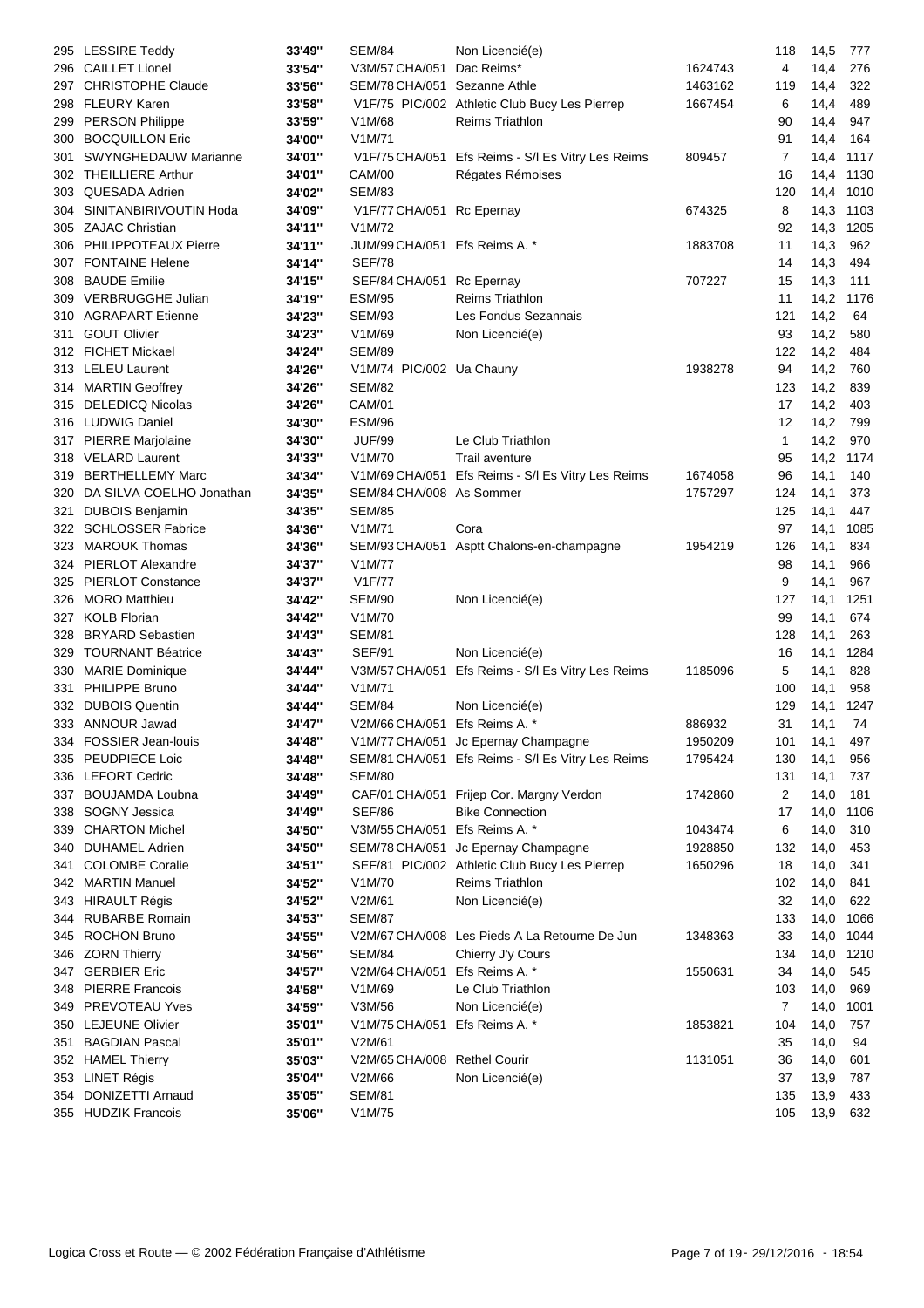|     | 295 LESSIRE Teddy            | 33'49" | <b>SEM/84</b>                 | Non Licencié(e)                                   |         | 118 | 14,5 | 777  |
|-----|------------------------------|--------|-------------------------------|---------------------------------------------------|---------|-----|------|------|
|     | 296 CAILLET Lionel           | 33'54" | V3M/57 CHA/051                | Dac Reims*                                        | 1624743 | 4   | 14,4 | 276  |
| 297 | <b>CHRISTOPHE Claude</b>     | 33'56" | SEM/78 CHA/051                | Sezanne Athle                                     | 1463162 | 119 | 14,4 | 322  |
| 298 | <b>FLEURY Karen</b>          | 33'58" |                               | V1F/75 PIC/002 Athletic Club Bucy Les Pierrep     | 1667454 | 6   | 14,4 | 489  |
| 299 | PERSON Philippe              | 33'59" | V1M/68                        | <b>Reims Triathlon</b>                            |         | 90  | 14,4 | 947  |
| 300 | <b>BOCQUILLON Eric</b>       | 34'00" | V1M/71                        |                                                   |         | 91  | 14,4 | 164  |
| 301 | <b>SWYNGHEDAUW Marianne</b>  | 34'01" |                               | V1F/75 CHA/051 Efs Reims - S/I Es Vitry Les Reims | 809457  | 7   | 14,4 | 1117 |
|     |                              |        |                               |                                                   |         |     |      |      |
| 302 | <b>THEILLIERE Arthur</b>     | 34'01" | <b>CAM/00</b>                 | Régates Rémoises                                  |         | 16  | 14,4 | 1130 |
| 303 | <b>QUESADA Adrien</b>        | 34'02" | <b>SEM/83</b>                 |                                                   |         | 120 | 14,4 | 1010 |
| 304 | SINITANBIRIVOUTIN Hoda       | 34'09" | V1F/77 CHA/051 Rc Epernay     |                                                   | 674325  | 8   | 14,3 | 1103 |
| 305 | ZAJAC Christian              | 34'11" | V1M/72                        |                                                   |         | 92  | 14,3 | 1205 |
|     | 306 PHILIPPOTEAUX Pierre     | 34'11" | JUM/99 CHA/051 Efs Reims A. * |                                                   | 1883708 | 11  | 14,3 | 962  |
| 307 | <b>FONTAINE Helene</b>       | 34'14" | <b>SEF/78</b>                 |                                                   |         | 14  | 14,3 | 494  |
| 308 | <b>BAUDE Emilie</b>          | 34'15" | SEF/84 CHA/051 Rc Epernay     |                                                   | 707227  | 15  | 14,3 | 111  |
| 309 | VERBRUGGHE Julian            | 34'19" | <b>ESM/95</b>                 | <b>Reims Triathlon</b>                            |         | 11  | 14,2 | 1176 |
|     | 310 AGRAPART Etienne         | 34'23" | <b>SEM/93</b>                 | Les Fondus Sezannais                              |         | 121 | 14,2 | 64   |
| 311 | <b>GOUT Olivier</b>          | 34'23" | V1M/69                        | Non Licencié(e)                                   |         | 93  | 14,2 | 580  |
|     | 312 FICHET Mickael           | 34'24" | <b>SEM/89</b>                 |                                                   |         | 122 | 14,2 | 484  |
|     | 313 LELEU Laurent            | 34'26" | V1M/74 PIC/002 Ua Chauny      |                                                   | 1938278 | 94  | 14,2 | 760  |
|     | 314 MARTIN Geoffrey          | 34'26" | <b>SEM/82</b>                 |                                                   |         | 123 | 14,2 | 839  |
|     | 315 DELEDICQ Nicolas         |        |                               |                                                   |         |     |      |      |
|     |                              | 34'26" | CAM/01                        |                                                   |         | 17  | 14,2 | 403  |
|     | 316 LUDWIG Daniel            | 34'30" | <b>ESM/96</b>                 |                                                   |         | 12  | 14,2 | 799  |
|     | 317 PIERRE Marjolaine        | 34'30" | <b>JUF/99</b>                 | Le Club Triathlon                                 |         | 1   | 14,2 | 970  |
|     | 318 VELARD Laurent           | 34'33" | V1M/70                        | Trail aventure                                    |         | 95  | 14,2 | 1174 |
| 319 | <b>BERTHELLEMY Marc</b>      | 34'34" |                               | V1M/69 CHA/051 Efs Reims - S/l Es Vitry Les Reims | 1674058 | 96  | 14,1 | 140  |
|     | 320 DA SILVA COELHO Jonathan | 34'35" | SEM/84 CHA/008 As Sommer      |                                                   | 1757297 | 124 | 14,1 | 373  |
| 321 | <b>DUBOIS Benjamin</b>       | 34'35" | <b>SEM/85</b>                 |                                                   |         | 125 | 14,1 | 447  |
|     | 322 SCHLOSSER Fabrice        | 34'36" | V1M/71                        | Cora                                              |         | 97  | 14,1 | 1085 |
| 323 | <b>MAROUK Thomas</b>         | 34'36" | SEM/93 CHA/051                | Asptt Chalons-en-champagne                        | 1954219 | 126 | 14,1 | 834  |
| 324 | <b>PIERLOT Alexandre</b>     | 34'37" | V <sub>1</sub> M/77           |                                                   |         | 98  | 14,1 | 966  |
| 325 | <b>PIERLOT Constance</b>     | 34'37" | V <sub>1</sub> F/77           |                                                   |         | 9   | 14,1 | 967  |
| 326 | <b>MORO Matthieu</b>         | 34'42" | <b>SEM/90</b>                 | Non Licencié(e)                                   |         | 127 | 14,1 | 1251 |
| 327 | <b>KOLB Florian</b>          | 34'42" | V1M/70                        |                                                   |         | 99  | 14,1 | 674  |
| 328 | <b>BRYARD Sebastien</b>      | 34'43" | <b>SEM/81</b>                 |                                                   |         | 128 | 14,1 | 263  |
| 329 | <b>TOURNANT Béatrice</b>     | 34'43" | <b>SEF/91</b>                 | Non Licencié(e)                                   |         | 16  | 14,1 | 1284 |
|     | <b>MARIE Dominique</b>       |        |                               |                                                   | 1185096 | 5   |      | 828  |
| 330 | PHILIPPE Bruno               | 34'44" | V3M/57 CHA/051                | Efs Reims - S/I Es Vitry Les Reims                |         |     | 14,1 |      |
| 331 |                              | 34'44" | V1M/71                        |                                                   |         | 100 | 14,1 | 958  |
|     | 332 DUBOIS Quentin           | 34'44" | <b>SEM/84</b>                 | Non Licencié(e)                                   |         | 129 | 14,1 | 1247 |
|     | 333 ANNOUR Jawad             | 34'47" | V2M/66 CHA/051 Efs Reims A. * |                                                   | 886932  | 31  | 14,1 | 74   |
| 334 | FOSSIER Jean-louis           | 34'48" |                               | V1M/77 CHA/051 Jc Epernay Champagne               | 1950209 | 101 | 14,1 | 497  |
|     | 335 PEUDPIECE Loic           | 34'48" |                               | SEM/81 CHA/051 Efs Reims - S/I Es Vitry Les Reims | 1795424 | 130 | 14,1 | 956  |
|     | 336 LEFORT Cedric            | 34'48" | SEM/80                        |                                                   |         | 131 | 14,1 | 737  |
| 337 | <b>BOUJAMDA Loubna</b>       | 34'49" |                               | CAF/01 CHA/051 Frijep Cor. Margny Verdon          | 1742860 | 2   | 14,0 | 181  |
| 338 | SOGNY Jessica                | 34'49" | <b>SEF/86</b>                 | <b>Bike Connection</b>                            |         | 17  | 14,0 | 1106 |
| 339 | <b>CHARTON Michel</b>        | 34'50" | V3M/55 CHA/051                | Efs Reims A. *                                    | 1043474 | 6   | 14,0 | 310  |
|     | 340 DUHAMEL Adrien           | 34'50" |                               | SEM/78 CHA/051 Jc Epernay Champagne               | 1928850 | 132 | 14,0 | 453  |
| 341 | <b>COLOMBE Coralie</b>       | 34'51" |                               | SEF/81 PIC/002 Athletic Club Bucy Les Pierrep     | 1650296 | 18  | 14,0 | 341  |
|     | 342 MARTIN Manuel            | 34'52" | V1M/70                        | Reims Triathlon                                   |         | 102 | 14,0 | 841  |
|     | 343 HIRAULT Régis            | 34'52" | V2M/61                        | Non Licencié(e)                                   |         | 32  | 14,0 | 622  |
|     | 344 RUBARBE Romain           | 34'53" | <b>SEM/87</b>                 |                                                   |         | 133 | 14,0 | 1066 |
|     | 345 ROCHON Bruno             | 34'55" |                               | V2M/67 CHA/008 Les Pieds A La Retourne De Jun     | 1348363 | 33  | 14,0 | 1044 |
|     | 346 ZORN Thierry             | 34'56" | <b>SEM/84</b>                 | Chierry J'y Cours                                 |         | 134 | 14,0 | 1210 |
|     | 347 GERBIER Eric             | 34'57" | V2M/64 CHA/051                | Efs Reims A. *                                    | 1550631 | 34  | 14,0 | 545  |
|     |                              |        |                               |                                                   |         |     |      |      |
| 348 | <b>PIERRE Francois</b>       | 34'58" | V1M/69                        | Le Club Triathlon                                 |         | 103 | 14,0 | 969  |
| 349 | PREVOTEAU Yves               | 34'59" | V3M/56                        | Non Licencié(e)                                   |         | 7   | 14,0 | 1001 |
|     | 350 LEJEUNE Olivier          | 35'01" | V1M/75 CHA/051 Efs Reims A. * |                                                   | 1853821 | 104 | 14,0 | 757  |
| 351 | <b>BAGDIAN Pascal</b>        | 35'01" | V2M/61                        |                                                   |         | 35  | 14,0 | 94   |
|     | 352 HAMEL Thierry            | 35'03" | V2M/65 CHA/008 Rethel Courir  |                                                   | 1131051 | 36  | 14,0 | 601  |
|     | 353 LINET Régis              | 35'04" | V2M/66                        | Non Licencié(e)                                   |         | 37  | 13,9 | 787  |
| 354 | DONIZETTI Arnaud             | 35'05" | <b>SEM/81</b>                 |                                                   |         | 135 | 13,9 | 433  |
|     | 355 HUDZIK Francois          | 35'06" | V1M/75                        |                                                   |         | 105 | 13,9 | 632  |
|     |                              |        |                               |                                                   |         |     |      |      |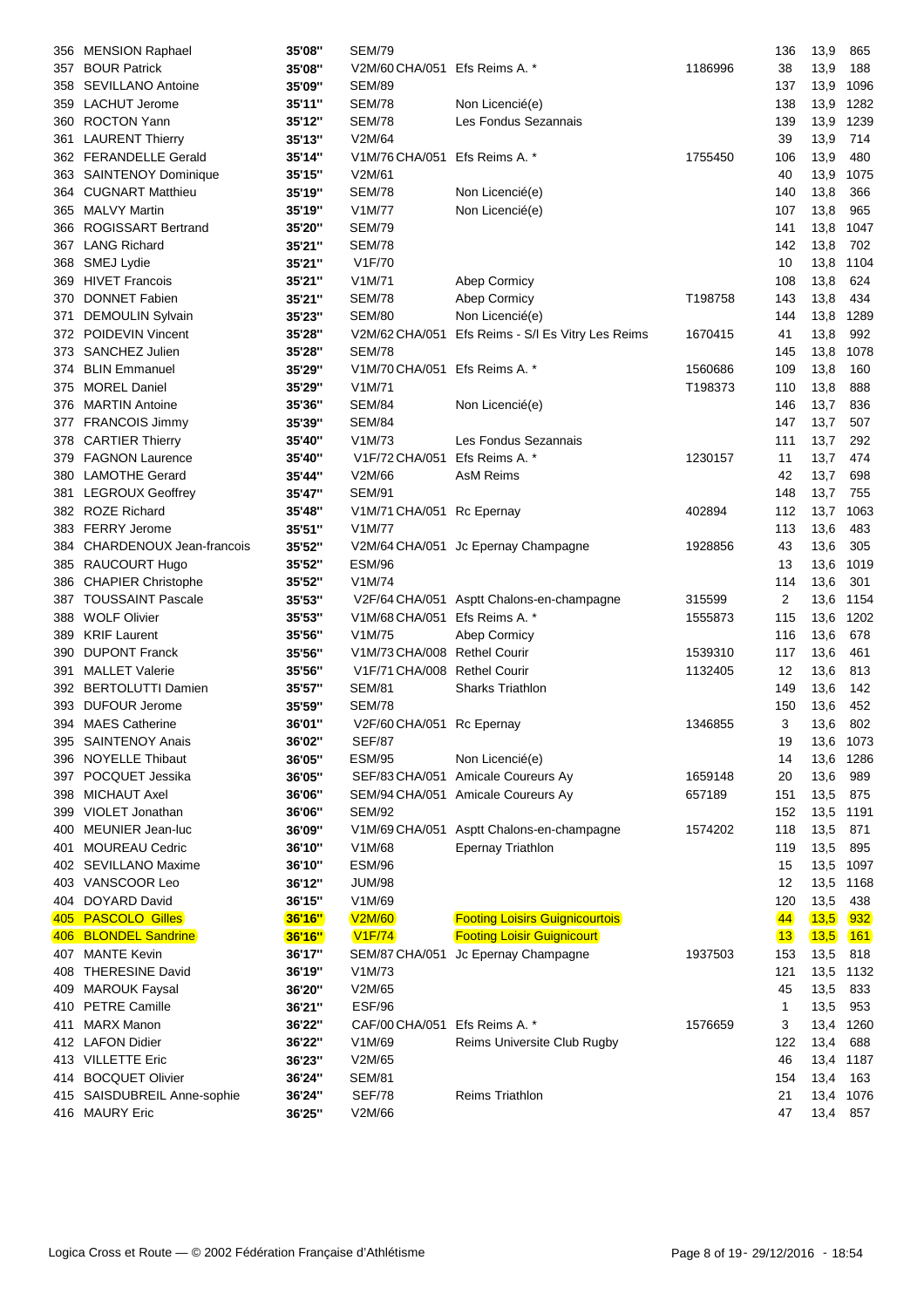|      | 356 MENSION Raphael                        | 35'08"        | <b>SEM/79</b>                 |                                           |         | 136             | 13,9      | 865        |
|------|--------------------------------------------|---------------|-------------------------------|-------------------------------------------|---------|-----------------|-----------|------------|
| 357  | <b>BOUR Patrick</b>                        | 35'08"        | V2M/60 CHA/051 Efs Reims A. * |                                           | 1186996 | 38              | 13,9      | 188        |
| 358  | <b>SEVILLANO Antoine</b>                   | 35'09"        | <b>SEM/89</b>                 |                                           |         | 137             | 13,9      | 1096       |
| 359  | <b>LACHUT Jerome</b>                       | 35'11"        | <b>SEM/78</b>                 | Non Licencié(e)                           |         | 138             | 13,9      | 1282       |
| 360  | <b>ROCTON Yann</b>                         | 35'12"        | <b>SEM/78</b>                 | Les Fondus Sezannais                      |         | 139             | 13,9      | 1239       |
| 361  | <b>LAURENT Thierry</b>                     | 35'13"        | V2M/64                        |                                           |         | 39              | 13,9      | 714        |
|      | 362 FERANDELLE Gerald                      | 35'14"        | V1M/76 CHA/051 Efs Reims A. * |                                           | 1755450 | 106             | 13,9      | 480        |
| 363  | SAINTENOY Dominique                        | 35'15"        | V2M/61                        |                                           |         | 40              | 13,9      | 1075       |
| 364  | <b>CUGNART Matthieu</b>                    | 35'19"        | <b>SEM/78</b>                 | Non Licencié(e)                           |         | 140             | 13,8      | 366        |
|      | 365 MALVY Martin                           | 35'19"        | V1M/77                        | Non Licencié(e)                           |         | 107             | 13,8      | 965        |
| 366  | <b>ROGISSART Bertrand</b>                  | 35'20"        | SEM/79                        |                                           |         | 141             | 13,8      | 1047       |
| 367  | <b>LANG Richard</b>                        | 35'21"        | <b>SEM/78</b>                 |                                           |         | 142             | 13,8      | 702        |
| 368  | SMEJ Lydie                                 | 35'21"        | V1F/70                        |                                           |         | 10              | 13,8      | 1104       |
| 369  | <b>HIVET Francois</b>                      | 35'21"        | V1M/71                        | Abep Cormicy                              |         | 108             | 13,8      | 624        |
| 370  | <b>DONNET Fabien</b>                       | 35'21"        | <b>SEM/78</b>                 | Abep Cormicy                              | T198758 | 143             | 13,8      | 434        |
| 371  | <b>DEMOULIN Sylvain</b>                    | 35'23"        | <b>SEM/80</b>                 | Non Licencié(e)                           |         | 144             | 13,8      | 1289       |
| 372  | POIDEVIN Vincent                           | 35'28"        | V2M/62 CHA/051                | Efs Reims - S/I Es Vitry Les Reims        | 1670415 | 41              | 13,8      | 992        |
| 373. | SANCHEZ Julien                             | 35'28"        | <b>SEM/78</b>                 |                                           |         | 145             | 13,8      | 1078       |
| 374  | <b>BLIN Emmanuel</b>                       | 35'29"        | V1M/70 CHA/051 Efs Reims A. * |                                           | 1560686 | 109             | 13,8      | 160        |
| 375  | <b>MOREL Daniel</b>                        | 35'29"        | V1M/71                        |                                           | T198373 | 110             | 13,8      | 888        |
|      | 376 MARTIN Antoine                         | 35'36"        | <b>SEM/84</b>                 | Non Licencié(e)                           |         | 146             | 13,7      | 836        |
| 377  | <b>FRANCOIS Jimmy</b>                      | 35'39"        | SEM/84                        |                                           |         | 147             | 13,7      | 507        |
|      | <b>CARTIER Thierry</b>                     | 35'40"        | V1M/73                        | Les Fondus Sezannais                      |         | 111             | 13,7      | 292        |
| 378  | 379 FAGNON Laurence                        |               | V1F/72 CHA/051                | Efs Reims A. *                            | 1230157 | 11              | 13,7      | 474        |
|      |                                            | 35'40"        |                               |                                           |         | 42              |           |            |
|      | 380 LAMOTHE Gerard<br>381 LEGROUX Geoffrey | 35'44"        | V2M/66                        | AsM Reims                                 |         |                 | 13,7      | 698        |
|      |                                            | 35'47"        | <b>SEM/91</b>                 |                                           |         | 148             | 13,7      | 755        |
| 382  | <b>ROZE Richard</b>                        | 35'48"        | V1M/71 CHA/051 Rc Epernay     |                                           | 402894  | 112             | 13,7      | 1063       |
| 383  | <b>FERRY Jerome</b>                        | 35'51"        | V1M/77                        |                                           |         | 113             | 13,6      | 483        |
| 384  | <b>CHARDENOUX Jean-francois</b>            | 35'52"        |                               | V2M/64 CHA/051 Jc Epernay Champagne       | 1928856 | 43              | 13,6      | 305        |
| 385  | RAUCOURT Hugo                              | 35'52"        | <b>ESM/96</b>                 |                                           |         | 13              | 13,6      | 1019       |
|      | 386 CHAPIER Christophe                     | 35'52"        | V1M/74                        |                                           |         | 114             | 13,6      | 301        |
| 387  | <b>TOUSSAINT Pascale</b>                   | 35'53"        |                               | V2F/64 CHA/051 Asptt Chalons-en-champagne | 315599  | 2               | 13,6      | 1154       |
| 388  | <b>WOLF Olivier</b>                        | 35'53"        | V1M/68 CHA/051 Efs Reims A. * |                                           | 1555873 | 115             | 13,6      | 1202       |
| 389  | <b>KRIF Laurent</b>                        | 35'56"        | V1M/75                        | Abep Cormicy                              |         | 116             | 13,6      | 678        |
| 390  | <b>DUPONT Franck</b>                       | 35'56"        | V1M/73 CHA/008 Rethel Courir  |                                           | 1539310 | 117             | 13,6      | 461        |
| 391  | <b>MALLET Valerie</b>                      | 35'56"        | V1F/71 CHA/008 Rethel Courir  |                                           | 1132405 | 12              | 13,6      | 813        |
| 392  | <b>BERTOLUTTI Damien</b>                   | 35'57"        | <b>SEM/81</b>                 | <b>Sharks Triathlon</b>                   |         | 149             | 13,6      | 142        |
| 393  | <b>DUFOUR Jerome</b>                       | 35'59"        | <b>SEM/78</b>                 |                                           |         | 150             | 13,6      | 452        |
|      | 394 MAES Catherine                         | 36'01"        | V2F/60 CHA/051 Rc Epernay     |                                           | 1346855 | 3               | 13,6      | 802        |
|      | 395 SAINTENOY Anais                        | 36'02"        | <b>SEF/87</b>                 |                                           |         | 19              | 13,6 1073 |            |
|      | 396 NOYELLE Thibaut                        | 36'05"        | <b>ESM/95</b>                 | Non Licencié(e)                           |         | 14              | 13,6 1286 |            |
| 397  | POCQUET Jessika                            | 36'05"        |                               | SEF/83 CHA/051 Amicale Coureurs Ay        | 1659148 | 20              | 13,6      | 989        |
| 398  | <b>MICHAUT Axel</b>                        | 36'06"        |                               | SEM/94 CHA/051 Amicale Coureurs Ay        | 657189  | 151             | 13,5      | 875        |
| 399  | VIOLET Jonathan                            | 36'06"        | <b>SEM/92</b>                 |                                           |         | 152             | 13,5      | 1191       |
|      | 400 MEUNIER Jean-luc                       | 36'09"        | V1M/69 CHA/051                | Asptt Chalons-en-champagne                | 1574202 | 118             | 13,5      | 871        |
| 401  | <b>MOUREAU Cedric</b>                      | 36'10"        | V1M/68                        | <b>Epernay Triathlon</b>                  |         | 119             | 13,5      | 895        |
|      | 402 SEVILLANO Maxime                       | 36'10"        | <b>ESM/96</b>                 |                                           |         | 15              | 13,5      | 1097       |
|      | 403 VANSCOOR Leo                           | 36'12"        | JUM/98                        |                                           |         | 12              | 13,5      | 1168       |
|      | 404 DOYARD David                           | 36'15"        | V1M/69                        |                                           |         | 120             | 13,5      | 438        |
|      | 405 PASCOLO Gilles                         | <b>36'16"</b> | <b>V2M/60</b>                 | <b>Footing Loisirs Guignicourtois</b>     |         | $\overline{44}$ | 13,5      | 932        |
|      | 406 BLONDEL Sandrine                       | <b>36'16"</b> | V1F/74                        | <b>Footing Loisir Guignicourt</b>         |         | $\boxed{13}$    | 13,5      | <b>161</b> |
|      | 407 MANTE Kevin                            | 36'17"        |                               | SEM/87 CHA/051 Jc Epernay Champagne       | 1937503 | 153             | 13,5      | 818        |
| 408  | <b>THERESINE David</b>                     | 36'19"        | V1M/73                        |                                           |         | 121             | 13,5      | 1132       |
|      | 409 MAROUK Faysal                          | 36'20"        | V2M/65                        |                                           |         | 45              | 13,5      | 833        |
|      | 410 PETRE Camille                          | 36'21"        | <b>ESF/96</b>                 |                                           |         | 1               | 13,5      | 953        |
| 411  | <b>MARX Manon</b>                          | 36'22"        | CAF/00 CHA/051 Efs Reims A. * |                                           | 1576659 | 3               | 13,4      | 1260       |
|      | 412 LAFON Didier                           | 36'22"        | V1M/69                        | Reims Universite Club Rugby               |         | 122             | 13,4      | 688        |
|      | 413 VILLETTE Eric                          | 36'23"        | V2M/65                        |                                           |         | 46              | 13,4      | 1187       |
|      | 414 BOCQUET Olivier                        | 36'24"        | <b>SEM/81</b>                 |                                           |         | 154             | 13,4      | 163        |
|      | 415 SAISDUBREIL Anne-sophie                | 36'24"        | SEF/78                        | <b>Reims Triathlon</b>                    |         | 21              | 13,4 1076 |            |
|      | 416 MAURY Eric                             | 36'25"        | V2M/66                        |                                           |         | 47              | 13,4 857  |            |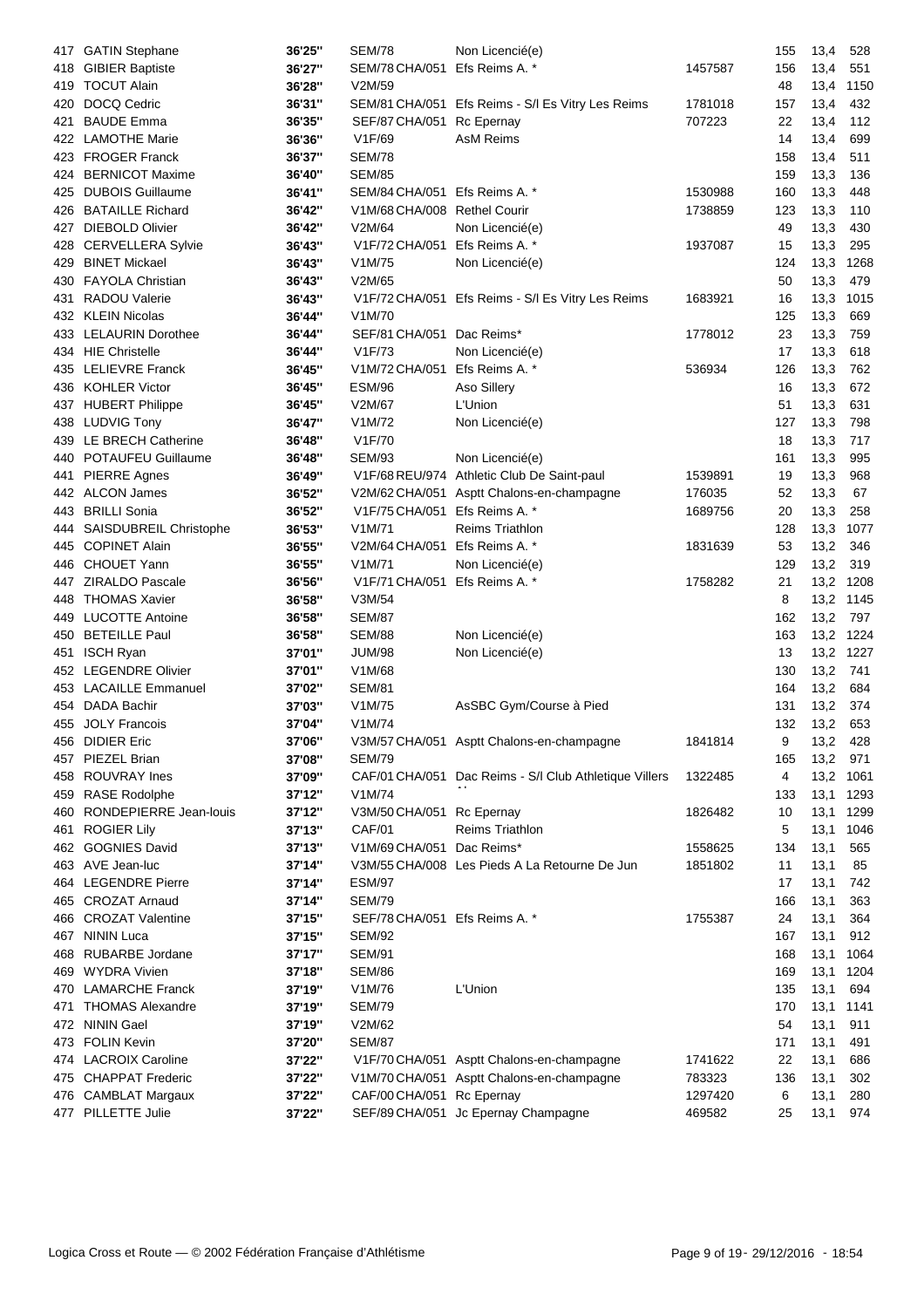| 417 | <b>GATIN Stephane</b>     | 36'25" | <b>SEM/78</b>                 | Non Licencié(e)                                        |                   | 155 | 13,4 | 528       |
|-----|---------------------------|--------|-------------------------------|--------------------------------------------------------|-------------------|-----|------|-----------|
| 418 | <b>GIBIER Baptiste</b>    | 36'27" | SEM/78 CHA/051                | Efs Reims A. *                                         | 1457587           | 156 | 13,4 | 551       |
| 419 | <b>TOCUT Alain</b>        | 36'28" | V2M/59                        |                                                        |                   | 48  | 13,4 | 1150      |
| 420 | DOCQ Cedric               | 36'31" |                               | SEM/81 CHA/051 Efs Reims - S/l Es Vitry Les Reims      | 1781018           | 157 | 13,4 | 432       |
| 421 | <b>BAUDE Emma</b>         | 36'35" | SEF/87 CHA/051                | Rc Epernay                                             | 707223            | 22  | 13,4 | 112       |
| 422 | <b>LAMOTHE Marie</b>      | 36'36" | V1F/69                        | <b>AsM Reims</b>                                       |                   | 14  | 13,4 | 699       |
| 423 | <b>FROGER Franck</b>      | 36'37" | <b>SEM/78</b>                 |                                                        |                   | 158 | 13,4 | 511       |
| 424 | <b>BERNICOT Maxime</b>    | 36'40" | <b>SEM/85</b>                 |                                                        |                   | 159 | 13,3 | 136       |
| 425 | <b>DUBOIS Guillaume</b>   | 36'41" | SEM/84 CHA/051 Efs Reims A. * |                                                        | 1530988           | 160 | 13,3 | 448       |
| 426 | <b>BATAILLE Richard</b>   | 36'42" | V1M/68 CHA/008 Rethel Courir  |                                                        | 1738859           | 123 | 13,3 | 110       |
| 427 | <b>DIEBOLD Olivier</b>    | 36'42" | V2M/64                        | Non Licencié(e)                                        |                   | 49  | 13,3 | 430       |
| 428 | <b>CERVELLERA Sylvie</b>  | 36'43" | V1F/72 CHA/051                | Efs Reims A. *                                         | 1937087           | 15  | 13,3 | 295       |
| 429 | <b>BINET Mickael</b>      | 36'43" | V1M/75                        | Non Licencié(e)                                        |                   | 124 | 13,3 | 1268      |
|     | 430 FAYOLA Christian      | 36'43" | V2M/65                        |                                                        |                   | 50  | 13,3 | 479       |
| 431 | <b>RADOU Valerie</b>      | 36'43" |                               | V1F/72 CHA/051 Efs Reims - S/l Es Vitry Les Reims      | 1683921           | 16  | 13,3 | 1015      |
| 432 | <b>KLEIN Nicolas</b>      | 36'44" | V <sub>1</sub> M/70           |                                                        |                   | 125 | 13,3 | 669       |
|     | 433 LELAURIN Dorothee     | 36'44" | SEF/81 CHA/051                | Dac Reims*                                             | 1778012           | 23  | 13,3 | 759       |
| 434 | <b>HIE Christelle</b>     | 36'44" | V1F/73                        | Non Licencié(e)                                        |                   | 17  | 13,3 | 618       |
|     | 435 LELIEVRE Franck       | 36'45" | V1M/72 CHA/051                | Efs Reims A. *                                         | 536934            | 126 | 13,3 | 762       |
|     | 436 KOHLER Victor         | 36'45" | <b>ESM/96</b>                 | Aso Sillery                                            |                   | 16  | 13,3 | 672       |
|     | 437 HUBERT Philippe       | 36'45" | V2M/67                        | L'Union                                                |                   | 51  | 13,3 | 631       |
|     | 438 LUDVIG Tony           | 36'47" | V1M/72                        | Non Licencié(e)                                        |                   | 127 | 13,3 | 798       |
|     | 439 LE BRECH Catherine    | 36'48" | V1F/70                        |                                                        |                   | 18  | 13,3 | 717       |
| 440 | <b>POTAUFEU Guillaume</b> | 36'48" | <b>SEM/93</b>                 | Non Licencié(e)                                        |                   | 161 | 13,3 | 995       |
|     | <b>PIERRE Agnes</b>       | 36'49" |                               | V1F/68 REU/974 Athletic Club De Saint-paul             |                   | 19  |      | 968       |
| 441 | 442 ALCON James           |        | V2M/62 CHA/051                |                                                        | 1539891<br>176035 | 52  | 13,3 | 67        |
|     | <b>BRILLI Sonia</b>       | 36'52" | V1F/75 CHA/051                | Asptt Chalons-en-champagne<br>Efs Reims A. *           | 1689756           | 20  | 13,3 | 258       |
| 443 |                           | 36'52" |                               |                                                        |                   |     | 13,3 |           |
| 444 | SAISDUBREIL Christophe    | 36'53" | V1M/71                        | <b>Reims Triathlon</b>                                 |                   | 128 | 13,3 | 1077      |
| 445 | <b>COPINET Alain</b>      | 36'55" | V2M/64 CHA/051                | Efs Reims A. *                                         | 1831639           | 53  | 13,2 | 346       |
| 446 | <b>CHOUET Yann</b>        | 36'55" | V1M/71                        | Non Licencié(e)                                        |                   | 129 | 13,2 | 319       |
| 447 | <b>ZIRALDO Pascale</b>    | 36'56" | V1F/71 CHA/051 Efs Reims A. * |                                                        | 1758282           | 21  | 13,2 | 1208      |
| 448 | <b>THOMAS Xavier</b>      | 36'58" | V3M/54                        |                                                        |                   | 8   | 13,2 | 1145      |
| 449 | <b>LUCOTTE Antoine</b>    | 36'58" | <b>SEM/87</b>                 |                                                        |                   | 162 | 13,2 | 797       |
| 450 | <b>BETEILLE Paul</b>      | 36'58" | <b>SEM/88</b>                 | Non Licencié(e)                                        |                   | 163 | 13,2 | 1224      |
| 451 | <b>ISCH Ryan</b>          | 37'01" | <b>JUM/98</b>                 | Non Licencié(e)                                        |                   | 13  |      | 13,2 1227 |
|     | 452 LEGENDRE Olivier      | 37'01" | V1M/68                        |                                                        |                   | 130 | 13,2 | 741       |
|     | 453 LACAILLE Emmanuel     | 37'02" | <b>SEM/81</b>                 |                                                        |                   | 164 | 13,2 | 684       |
|     | 454 DADA Bachir           | 37'03" | V1M/75                        | AsSBC Gym/Course à Pied                                |                   | 131 | 13,2 | 374       |
|     | 455 JOLY Francois         | 37'04" | V1M/74                        |                                                        |                   | 132 | 13,2 | 653       |
|     | 456 DIDIER Eric           | 37'06" |                               | V3M/57 CHA/051 Asptt Chalons-en-champagne              | 1841814           | 9   | 13,2 | 428       |
| 457 | PIEZEL Brian              | 37'08" | <b>SEM/79</b>                 |                                                        |                   | 165 | 13,2 | 971       |
| 458 | <b>ROUVRAY Ines</b>       | 37'09" |                               | CAF/01 CHA/051 Dac Reims - S/I Club Athletique Villers | 1322485           | 4   | 13,2 | 1061      |
| 459 | <b>RASE Rodolphe</b>      | 37'12" | V1M/74                        |                                                        |                   | 133 | 13,1 | 1293      |
| 460 | RONDEPIERRE Jean-louis    | 37'12" | V3M/50 CHA/051                | Rc Epernay                                             | 1826482           | 10  | 13,1 | 1299      |
| 461 | <b>ROGIER Lily</b>        | 37'13" | <b>CAF/01</b>                 | <b>Reims Triathlon</b>                                 |                   | 5   | 13,1 | 1046      |
|     | 462 GOGNIES David         | 37'13" | V1M/69 CHA/051                | Dac Reims*                                             | 1558625           | 134 | 13,1 | 565       |
|     | 463 AVE Jean-luc          | 37'14" |                               | V3M/55 CHA/008 Les Pieds A La Retourne De Jun          | 1851802           | 11  | 13,1 | 85        |
|     | 464 LEGENDRE Pierre       | 37'14" | <b>ESM/97</b>                 |                                                        |                   | 17  | 13,1 | 742       |
|     | 465 CROZAT Arnaud         | 37'14" | <b>SEM/79</b>                 |                                                        |                   | 166 | 13,1 | 363       |
|     | 466 CROZAT Valentine      | 37'15" | SEF/78 CHA/051 Efs Reims A. * |                                                        | 1755387           | 24  | 13,1 | 364       |
| 467 | <b>NININ Luca</b>         | 37'15" | <b>SEM/92</b>                 |                                                        |                   | 167 | 13,1 | 912       |
| 468 | <b>RUBARBE Jordane</b>    | 37'17" | <b>SEM/91</b>                 |                                                        |                   | 168 | 13,1 | 1064      |
| 469 | <b>WYDRA Vivien</b>       | 37'18" | <b>SEM/86</b>                 |                                                        |                   | 169 | 13,1 | 1204      |
|     | 470 LAMARCHE Franck       | 37'19" | V1M/76                        | L'Union                                                |                   | 135 | 13,1 | 694       |
| 471 | <b>THOMAS Alexandre</b>   | 37'19" | <b>SEM/79</b>                 |                                                        |                   | 170 | 13,1 | 1141      |
| 472 | <b>NININ Gael</b>         | 37'19" | V2M/62                        |                                                        |                   | 54  | 13,1 | 911       |
| 473 | <b>FOLIN Kevin</b>        | 37'20" | <b>SEM/87</b>                 |                                                        |                   | 171 | 13,1 | 491       |
| 474 | <b>LACROIX Caroline</b>   | 37'22" |                               | V1F/70 CHA/051 Asptt Chalons-en-champagne              | 1741622           | 22  | 13,1 | 686       |
|     | 475 CHAPPAT Frederic      | 37'22" |                               | V1M/70 CHA/051 Asptt Chalons-en-champagne              | 783323            | 136 | 13,1 | 302       |
|     | 476 CAMBLAT Margaux       | 37'22" | CAF/00 CHA/051 Rc Epernay     |                                                        | 1297420           | 6   | 13,1 | 280       |
| 477 | PILLETTE Julie            | 37'22" |                               | SEF/89 CHA/051 Jc Epernay Champagne                    | 469582            | 25  | 13,1 | 974       |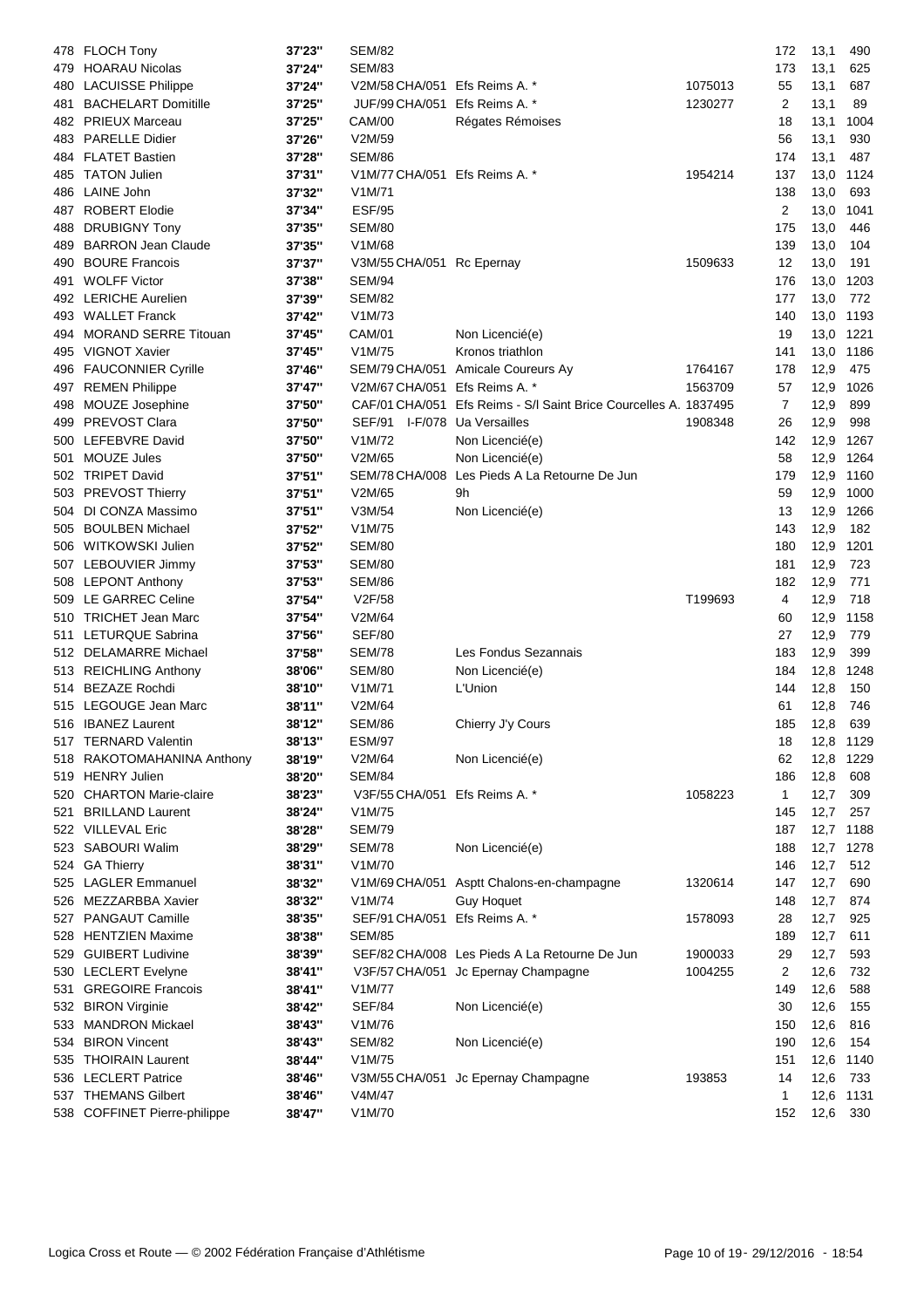|     | 478 FLOCH Tony                        | 37'23"           | <b>SEM/82</b>                           |                                                                  |         | 172 | 13,1         | 490        |
|-----|---------------------------------------|------------------|-----------------------------------------|------------------------------------------------------------------|---------|-----|--------------|------------|
|     | 479 HOARAU Nicolas                    | 37'24"           | <b>SEM/83</b>                           |                                                                  |         | 173 | 13,1         | 625        |
|     | 480 LACUISSE Philippe                 | 37'24"           | V2M/58 CHA/051 Efs Reims A. *           |                                                                  | 1075013 | 55  | 13,1         | 687        |
| 481 | <b>BACHELART Domitille</b>            | 37'25"           | JUF/99 CHA/051 Efs Reims A. *           |                                                                  | 1230277 | 2   | 13,1         | 89         |
| 482 | <b>PRIEUX Marceau</b>                 | 37'25"           | <b>CAM/00</b>                           | Régates Rémoises                                                 |         | 18  | 13,1         | 1004       |
| 483 | <b>PARELLE Didier</b>                 | 37'26"           | V2M/59                                  |                                                                  |         | 56  | 13,1         | 930        |
| 484 | <b>FLATET Bastien</b>                 | 37'28"           | <b>SEM/86</b>                           |                                                                  |         | 174 | 13,1         | 487        |
| 485 | <b>TATON Julien</b>                   | 37'31"           | V1M/77 CHA/051 Efs Reims A. *           |                                                                  | 1954214 | 137 | 13,0         | 1124       |
| 486 | LAINE John                            | 37'32"           | V1M/71                                  |                                                                  |         | 138 | 13,0         | 693        |
| 487 | <b>ROBERT Elodie</b>                  | 37'34"           | <b>ESF/95</b>                           |                                                                  |         | 2   | 13,0         | 1041       |
| 488 | <b>DRUBIGNY Tony</b>                  | 37'35"           | <b>SEM/80</b>                           |                                                                  |         | 175 | 13,0         | 446        |
| 489 | <b>BARRON Jean Claude</b>             | 37'35"           | V1M/68                                  |                                                                  |         | 139 | 13,0         | 104        |
| 490 | <b>BOURE Francois</b>                 | 37'37"           | V3M/55 CHA/051 Rc Epernay               |                                                                  | 1509633 | 12  | 13,0         | 191        |
| 491 | <b>WOLFF Victor</b>                   | 37'38"           | SEM/94                                  |                                                                  |         | 176 | 13,0         | 1203       |
|     | 492 LERICHE Aurelien                  | 37'39"           | <b>SEM/82</b>                           |                                                                  |         | 177 | 13,0         | 772        |
|     | 493 WALLET Franck                     | 37'42"           | V1M/73                                  |                                                                  |         | 140 | 13,0         | 1193       |
| 494 | <b>MORAND SERRE Titouan</b>           | 37'45"           | CAM/01                                  | Non Licencié(e)                                                  |         | 19  | 13,0         | 1221       |
| 495 | <b>VIGNOT Xavier</b>                  | 37'45"           | V1M/75                                  | Kronos triathlon                                                 |         | 141 | 13,0         | 1186       |
|     | 496 FAUCONNIER Cyrille                | 37'46"           | SEM/79 CHA/051                          | Amicale Coureurs Ay                                              | 1764167 | 178 | 12,9         | 475        |
| 497 | <b>REMEN Philippe</b>                 | 37'47"           | V2M/67 CHA/051 Efs Reims A. *           |                                                                  | 1563709 | 57  | 12,9         | 1026       |
|     | 498 MOUZE Josephine                   | 37'50"           |                                         | CAF/01 CHA/051 Efs Reims - S/l Saint Brice Courcelles A. 1837495 |         | 7   | 12,9         | 899        |
|     | 499 PREVOST Clara                     | 37'50"           | SEF/91 I-F/078 Ua Versailles            |                                                                  | 1908348 | 26  | 12,9         | 998        |
|     | 500 LEFEBVRE David                    | 37'50"           | V1M/72                                  | Non Licencié(e)                                                  |         | 142 | 12,9         | 1267       |
| 501 | <b>MOUZE Jules</b>                    | 37'50"           | V2M/65                                  | Non Licencié(e)                                                  |         | 58  | 12,9         | 1264       |
| 502 | <b>TRIPET David</b>                   | 37'51"           |                                         | SEM/78 CHA/008 Les Pieds A La Retourne De Jun                    |         | 179 | 12,9         | 1160       |
|     | 503 PREVOST Thierry                   | 37'51"           | V2M/65                                  | 9h                                                               |         | 59  | 12,9         | 1000       |
| 504 | DI CONZA Massimo                      | 37'51"           | V3M/54                                  | Non Licencié(e)                                                  |         | 13  | 12,9         | 1266       |
| 505 | <b>BOULBEN Michael</b>                | 37'52"           | V1M/75                                  |                                                                  |         | 143 | 12,9         | 182        |
| 506 | WITKOWSKI Julien                      | 37'52"           | <b>SEM/80</b>                           |                                                                  |         | 180 | 12,9         | 1201       |
|     | 507 LEBOUVIER Jimmy                   | 37'53"           | <b>SEM/80</b>                           |                                                                  |         | 181 | 12,9         | 723        |
|     | 508 LEPONT Anthony                    | 37'53"           | SEM/86                                  |                                                                  |         | 182 | 12,9         | 771        |
|     | 509 LE GARREC Celine                  | 37'54"           | V2F/58                                  |                                                                  | T199693 | 4   | 12,9         | 718        |
|     | 510 TRICHET Jean Marc                 | 37'54"           | V2M/64                                  |                                                                  |         | 60  | 12,9         | 1158       |
| 511 | LETURQUE Sabrina                      | 37'56"           | <b>SEF/80</b>                           |                                                                  |         | 27  | 12,9         | 779        |
| 512 | <b>DELAMARRE Michael</b>              | 37'58"           | <b>SEM/78</b>                           | Les Fondus Sezannais                                             |         | 183 | 12,9         | 399        |
|     | 513 REICHLING Anthony                 | 38'06"           | SEM/80                                  | Non Licencié(e)                                                  |         | 184 | 12,8         | 1248       |
|     | 514 BEZAZE Rochdi                     | 38'10"           | V1M/71                                  | L'Union                                                          |         | 144 | 12,8         | 150        |
|     | 515 LEGOUGE Jean Marc                 |                  | V2M/64                                  |                                                                  |         | 61  |              | 746        |
|     | 516 IBANEZ Laurent                    | 38'11"<br>38'12" | <b>SEM/86</b>                           | Chierry J'y Cours                                                |         | 185 | 12,8<br>12,8 | 639        |
|     | <b>TERNARD Valentin</b>               |                  | <b>ESM/97</b>                           |                                                                  |         | 18  | 12,8         | 1129       |
| 517 | 518 RAKOTOMAHANINA Anthony            | 38'13"<br>38'19" | V2M/64                                  | Non Licencié(e)                                                  |         | 62  | 12,8         | 1229       |
|     | 519 HENRY Julien                      | 38'20"           |                                         |                                                                  |         | 186 | 12,8         | 608        |
|     | 520 CHARTON Marie-claire              |                  | SEM/84<br>V3F/55 CHA/051 Efs Reims A. * |                                                                  | 1058223 | 1   | 12,7         | 309        |
| 521 | <b>BRILLAND Laurent</b>               | 38'23"<br>38'24" | V1M/75                                  |                                                                  |         | 145 | 12,7         | 257        |
|     | 522 VILLEVAL Eric                     | 38'28"           | <b>SEM/79</b>                           |                                                                  |         | 187 | 12,7         |            |
|     | 523 SABOURI Walim                     |                  | <b>SEM/78</b>                           | Non Licencié(e)                                                  |         | 188 |              | 1188       |
|     |                                       | 38'29"           |                                         |                                                                  |         |     | 12,7         | 1278       |
|     | 524 GA Thierry<br>525 LAGLER Emmanuel | 38'31"           | V1M/70                                  |                                                                  |         | 146 | 12,7         | 512<br>690 |
|     | 526 MEZZARBBA Xavier                  | 38'32"           | V1M/69 CHA/051<br>V1M/74                | Asptt Chalons-en-champagne<br><b>Guy Hoquet</b>                  | 1320614 | 147 | 12,7         |            |
|     |                                       | 38'32"           |                                         |                                                                  |         | 148 | 12,7         | 874        |
| 527 | PANGAUT Camille                       | 38'35"           | SEF/91 CHA/051                          | Efs Reims A. *                                                   | 1578093 | 28  | 12,7         | 925        |
| 528 | <b>HENTZIEN Maxime</b>                | 38'38"           | <b>SEM/85</b>                           |                                                                  |         | 189 | 12,7         | 611        |
| 529 | <b>GUIBERT Ludivine</b>               | 38'39"           |                                         | SEF/82 CHA/008 Les Pieds A La Retourne De Jun                    | 1900033 | 29  | 12,7         | 593        |
|     | 530 LECLERT Evelyne                   | 38'41"           |                                         | V3F/57 CHA/051 Jc Epernay Champagne                              | 1004255 | 2   | 12,6         | 732        |
| 531 | <b>GREGOIRE Francois</b>              | 38'41"           | V1M/77                                  |                                                                  |         | 149 | 12,6         | 588        |
| 532 | <b>BIRON Virginie</b>                 | 38'42"           | <b>SEF/84</b>                           | Non Licencié(e)                                                  |         | 30  | 12,6         | 155        |
| 533 | <b>MANDRON Mickael</b>                | 38'43"           | V1M/76                                  |                                                                  |         | 150 | 12,6         | 816        |
| 534 | <b>BIRON Vincent</b>                  | 38'43"           | <b>SEM/82</b>                           | Non Licencié(e)                                                  |         | 190 | 12,6         | 154        |
| 535 | <b>THOIRAIN Laurent</b>               | 38'44"           | V1M/75                                  |                                                                  |         | 151 | 12,6         | 1140       |
| 536 | <b>LECLERT Patrice</b>                | 38'46"           |                                         | V3M/55 CHA/051 Jc Epernay Champagne                              | 193853  | 14  | 12,6         | 733        |
| 537 | <b>THEMANS Gilbert</b>                | 38'46"           | V4M/47                                  |                                                                  |         | 1   | 12,6         | 1131       |
| 538 | <b>COFFINET Pierre-philippe</b>       | 38'47"           | V1M/70                                  |                                                                  |         | 152 | 12,6         | 330        |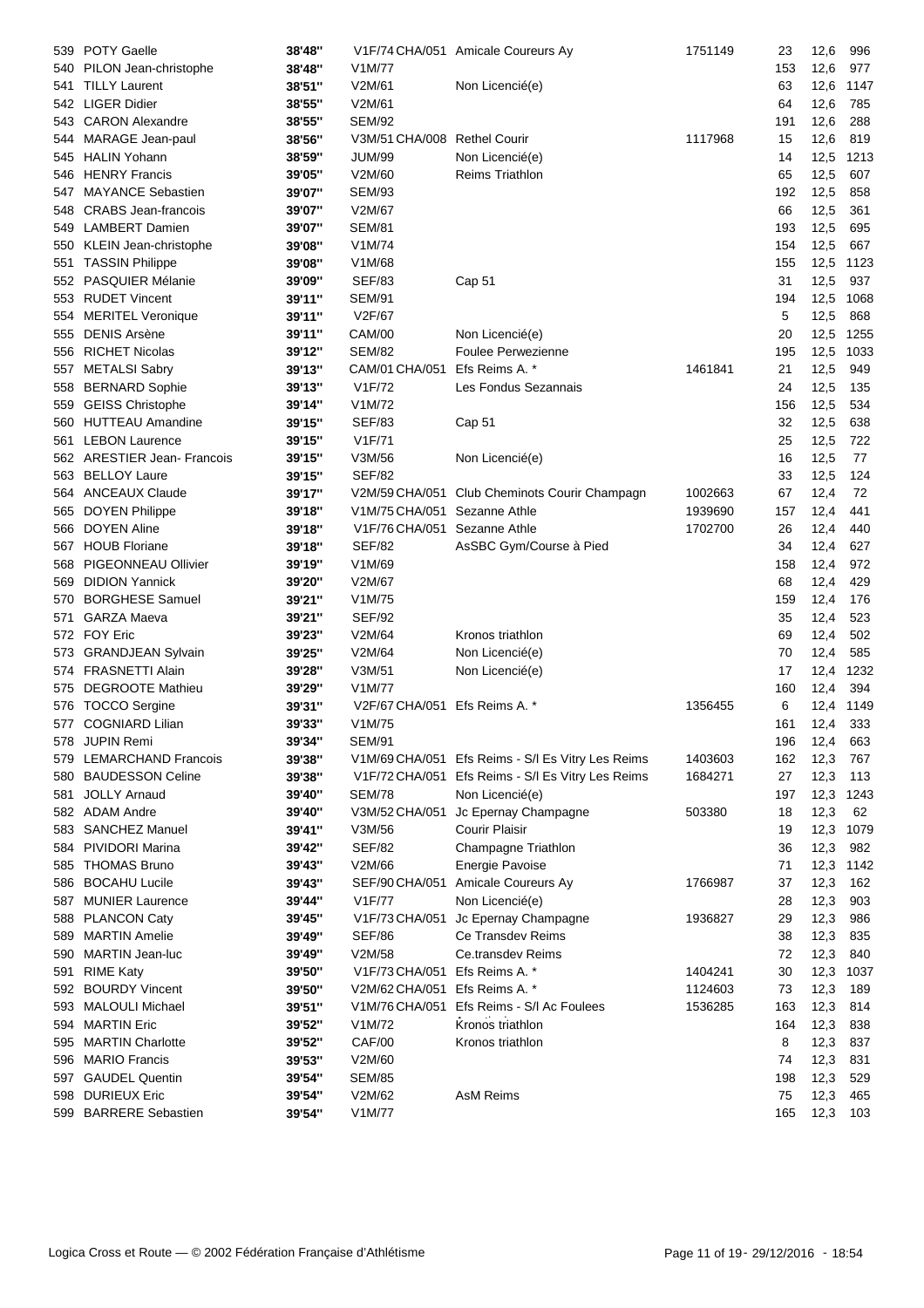| 539  | <b>POTY Gaelle</b>          | 38'48" |                              | V1F/74 CHA/051 Amicale Coureurs Ay                | 1751149 | 23  | 12,6 | 996  |
|------|-----------------------------|--------|------------------------------|---------------------------------------------------|---------|-----|------|------|
| 540  | PILON Jean-christophe       | 38'48" | V1M/77                       |                                                   |         | 153 | 12,6 | 977  |
| 541  | <b>TILLY Laurent</b>        | 38'51" | V2M/61                       | Non Licencié(e)                                   |         | 63  | 12,6 | 1147 |
| 542  | <b>LIGER Didier</b>         | 38'55" | V2M/61                       |                                                   |         | 64  | 12,6 | 785  |
| 543  | <b>CARON Alexandre</b>      | 38'55" | <b>SEM/92</b>                |                                                   |         | 191 | 12,6 | 288  |
| 544  | MARAGE Jean-paul            | 38'56" | V3M/51 CHA/008 Rethel Courir |                                                   | 1117968 | 15  | 12,6 | 819  |
| 545  | <b>HALIN Yohann</b>         | 38'59" | <b>JUM/99</b>                | Non Licencié(e)                                   |         | 14  | 12,5 | 1213 |
| 546  | <b>HENRY Francis</b>        | 39'05" | V2M/60                       | <b>Reims Triathlon</b>                            |         | 65  | 12,5 | 607  |
| 547. | <b>MAYANCE Sebastien</b>    | 39'07" | <b>SEM/93</b>                |                                                   |         | 192 | 12,5 | 858  |
| 548  | <b>CRABS</b> Jean-francois  | 39'07" | V2M/67                       |                                                   |         | 66  | 12,5 | 361  |
| 549  | <b>LAMBERT Damien</b>       | 39'07" | <b>SEM/81</b>                |                                                   |         | 193 | 12,5 | 695  |
| 550  | KLEIN Jean-christophe       | 39'08" | V1M/74                       |                                                   |         | 154 | 12,5 | 667  |
| 551  | <b>TASSIN Philippe</b>      | 39'08" | V1M/68                       |                                                   |         | 155 | 12,5 | 1123 |
| 552  | <b>PASQUIER Mélanie</b>     | 39'09" | <b>SEF/83</b>                | Cap 51                                            |         | 31  | 12,5 | 937  |
|      | <b>RUDET Vincent</b>        |        | <b>SEM/91</b>                |                                                   |         | 194 |      |      |
| 553  |                             | 39'11" |                              |                                                   |         |     | 12,5 | 1068 |
| 554  | <b>MERITEL Veronique</b>    | 39'11" | V2F/67                       |                                                   |         | 5   | 12,5 | 868  |
| 555  | <b>DENIS Arsène</b>         | 39'11" | <b>CAM/00</b>                | Non Licencié(e)                                   |         | 20  | 12,5 | 1255 |
| 556  | <b>RICHET Nicolas</b>       | 39'12" | <b>SEM/82</b>                | <b>Foulee Perwezienne</b>                         |         | 195 | 12,5 | 1033 |
| 557  | <b>METALSI Sabry</b>        | 39'13" | CAM/01 CHA/051               | Efs Reims A. *                                    | 1461841 | 21  | 12,5 | 949  |
| 558  | <b>BERNARD Sophie</b>       | 39'13" | V1F/72                       | Les Fondus Sezannais                              |         | 24  | 12,5 | 135  |
| 559  | <b>GEISS Christophe</b>     | 39'14" | V1M/72                       |                                                   |         | 156 | 12,5 | 534  |
| 560  | <b>HUTTEAU Amandine</b>     | 39'15" | <b>SEF/83</b>                | Cap 51                                            |         | 32  | 12,5 | 638  |
| 561  | <b>LEBON Laurence</b>       | 39'15" | V1F/71                       |                                                   |         | 25  | 12,5 | 722  |
|      | 562 ARESTIER Jean- Francois | 39'15" | V3M/56                       | Non Licencié(e)                                   |         | 16  | 12,5 | 77   |
| 563  | <b>BELLOY Laure</b>         | 39'15" | <b>SEF/82</b>                |                                                   |         | 33  | 12,5 | 124  |
| 564  | <b>ANCEAUX Claude</b>       | 39'17" | V2M/59 CHA/051               | Club Cheminots Courir Champagn                    | 1002663 | 67  | 12,4 | 72   |
| 565  | <b>DOYEN Philippe</b>       | 39'18" | V1M/75 CHA/051               | Sezanne Athle                                     | 1939690 | 157 | 12,4 | 441  |
| 566  | <b>DOYEN Aline</b>          | 39'18" | V1F/76 CHA/051               | Sezanne Athle                                     | 1702700 | 26  | 12,4 | 440  |
| 567  | <b>HOUB Floriane</b>        | 39'18" | <b>SEF/82</b>                | AsSBC Gym/Course à Pied                           |         | 34  | 12,4 | 627  |
| 568  | PIGEONNEAU Ollivier         | 39'19" | V1M/69                       |                                                   |         | 158 | 12,4 | 972  |
| 569  | <b>DIDION Yannick</b>       | 39'20" | V2M/67                       |                                                   |         | 68  | 12,4 | 429  |
| 570  | <b>BORGHESE Samuel</b>      | 39'21" | V1M/75                       |                                                   |         | 159 | 12,4 | 176  |
| 571  | <b>GARZA Maeva</b>          | 39'21" | <b>SEF/92</b>                |                                                   |         | 35  | 12,4 | 523  |
| 572  | <b>FOY Eric</b>             | 39'23" | V2M/64                       | Kronos triathlon                                  |         | 69  | 12,4 | 502  |
| 573  | <b>GRANDJEAN Sylvain</b>    | 39'25" | V2M/64                       | Non Licencié(e)                                   |         | 70  | 12,4 | 585  |
| 574  | <b>FRASNETTI Alain</b>      | 39'28" | V3M/51                       | Non Licencié(e)                                   |         | 17  | 12,4 | 1232 |
|      | <b>DEGROOTE Mathieu</b>     |        | V1M/77                       |                                                   |         | 160 |      | 394  |
| 575  |                             | 39'29" |                              |                                                   |         |     | 12,4 |      |
| 576  | <b>TOCCO Sergine</b>        | 39'31" | V2F/67 CHA/051               | Efs Reims A. *                                    | 1356455 | 6   | 12,4 | 1149 |
|      | 577 COGNIARD Lilian         | 39'33" | V1M/75                       |                                                   |         | 161 | 12,4 | 333  |
|      | 578 JUPIN Remi              | 39'34" | <b>SEM/91</b>                |                                                   |         | 196 | 12,4 | 663  |
|      | 579 LEMARCHAND Francois     | 39'38" |                              | V1M/69 CHA/051 Efs Reims - S/I Es Vitry Les Reims | 1403603 | 162 | 12,3 | 767  |
| 580  | <b>BAUDESSON Celine</b>     | 39'38" |                              | V1F/72 CHA/051 Efs Reims - S/I Es Vitry Les Reims | 1684271 | 27  | 12,3 | 113  |
| 581  | <b>JOLLY Arnaud</b>         | 39'40" | <b>SEM/78</b>                | Non Licencié(e)                                   |         | 197 | 12,3 | 1243 |
|      | 582 ADAM Andre              | 39'40" | V3M/52 CHA/051               | Jc Epernay Champagne                              | 503380  | 18  | 12,3 | 62   |
|      | 583 SANCHEZ Manuel          | 39'41" | V3M/56                       | Courir Plaisir                                    |         | 19  | 12,3 | 1079 |
| 584  | PIVIDORI Marina             | 39'42" | <b>SEF/82</b>                | Champagne Triathlon                               |         | 36  | 12,3 | 982  |
| 585  | <b>THOMAS Bruno</b>         | 39'43" | V2M/66                       | <b>Energie Pavoise</b>                            |         | 71  | 12,3 | 1142 |
| 586  | <b>BOCAHU Lucile</b>        | 39'43" | SEF/90 CHA/051               | Amicale Coureurs Ay                               | 1766987 | 37  | 12,3 | 162  |
| 587  | <b>MUNIER Laurence</b>      | 39'44" | V1F/77                       | Non Licencié(e)                                   |         | 28  | 12,3 | 903  |
| 588  | <b>PLANCON Caty</b>         | 39'45" |                              | V1F/73 CHA/051 Jc Epernay Champagne               | 1936827 | 29  | 12,3 | 986  |
| 589  | <b>MARTIN Amelie</b>        | 39'49" | <b>SEF/86</b>                | Ce Transdev Reims                                 |         | 38  | 12,3 | 835  |
| 590  | <b>MARTIN Jean-luc</b>      | 39'49" | V2M/58                       | Ce.transdev Reims                                 |         | 72  | 12,3 | 840  |
| 591  | <b>RIME Katy</b>            | 39'50" | V1F/73 CHA/051               | Efs Reims A. *                                    | 1404241 | 30  | 12,3 | 1037 |
|      | 592 BOURDY Vincent          | 39'50" | V2M/62 CHA/051               | Efs Reims A. *                                    | 1124603 | 73  | 12,3 | 189  |
| 593  | <b>MALOULI Michael</b>      | 39'51" | V1M/76 CHA/051               | Efs Reims - S/I Ac Foulees                        | 1536285 | 163 | 12,3 | 814  |
| 594  | <b>MARTIN Eric</b>          | 39'52" | V1M/72                       | Kronos triathlon                                  |         | 164 | 12,3 | 838  |
| 595  | <b>MARTIN Charlotte</b>     | 39'52" | <b>CAF/00</b>                | Kronos triathlon                                  |         | 8   | 12,3 | 837  |
|      | <b>MARIO Francis</b>        |        |                              |                                                   |         | 74  |      |      |
| 596  |                             | 39'53" | V2M/60                       |                                                   |         |     | 12,3 | 831  |
| 597  | <b>GAUDEL Quentin</b>       | 39'54" | <b>SEM/85</b>                |                                                   |         | 198 | 12,3 | 529  |
| 598  | <b>DURIEUX Eric</b>         | 39'54" | V2M/62                       | <b>AsM Reims</b>                                  |         | 75  | 12,3 | 465  |
| 599  | <b>BARRERE Sebastien</b>    | 39'54" | V <sub>1</sub> M/77          |                                                   |         | 165 | 12,3 | 103  |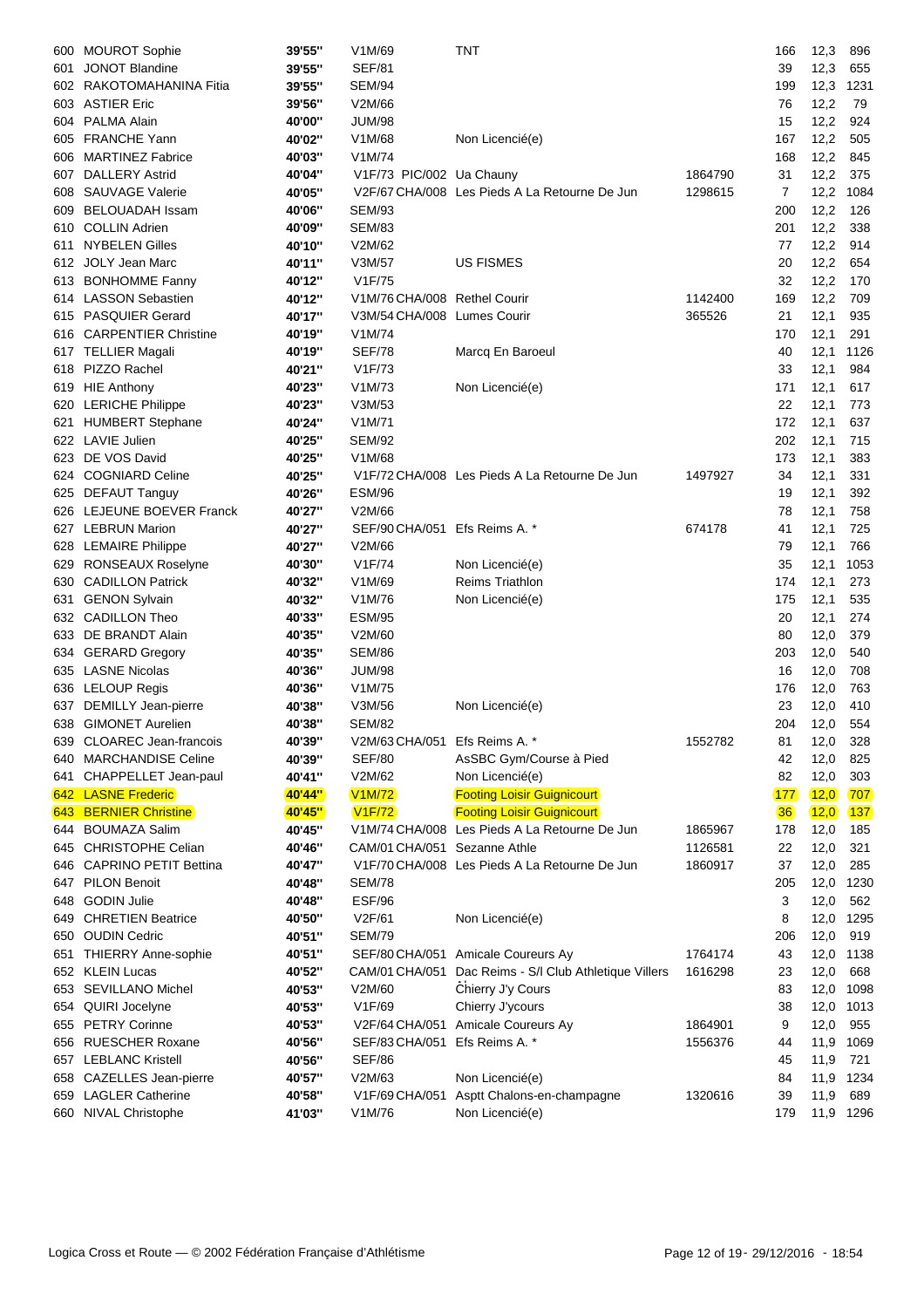| 600 | <b>MOUROT Sophie</b>         | 39'55" | V1M/69                        | TNT                                           |         | 166            | 12,3   | 896       |
|-----|------------------------------|--------|-------------------------------|-----------------------------------------------|---------|----------------|--------|-----------|
| 601 | <b>JONOT Blandine</b>        | 39'55" | <b>SEF/81</b>                 |                                               |         | 39             | 12,3   | 655       |
|     | 602 RAKOTOMAHANINA Fitia     | 39'55" | <b>SEM/94</b>                 |                                               |         | 199            | 12,3   | 1231      |
| 603 | <b>ASTIER Eric</b>           | 39'56" | V2M/66                        |                                               |         | 76             | 12,2   | 79        |
| 604 | <b>PALMA Alain</b>           | 40'00" | JUM/98                        |                                               |         | 15             | 12,2   | 924       |
| 605 | <b>FRANCHE Yann</b>          | 40'02" | V1M/68                        | Non Licencié(e)                               |         | 167            | 12,2   | 505       |
| 606 | <b>MARTINEZ Fabrice</b>      | 40'03" | V1M/74                        |                                               |         | 168            | 12,2   | 845       |
| 607 | <b>DALLERY Astrid</b>        | 40'04" | V1F/73 PIC/002 Ua Chauny      |                                               | 1864790 | 31             | 12,2   | 375       |
| 608 | <b>SAUVAGE Valerie</b>       | 40'05" |                               | V2F/67 CHA/008 Les Pieds A La Retourne De Jun | 1298615 | $\overline{7}$ | 12,2   | 1084      |
| 609 | <b>BELOUADAH Issam</b>       | 40'06" | <b>SEM/93</b>                 |                                               |         | 200            | 12,2   | 126       |
| 610 | <b>COLLIN Adrien</b>         | 40'09" | <b>SEM/83</b>                 |                                               |         | 201            | 12,2   | 338       |
| 611 | <b>NYBELEN Gilles</b>        | 40'10" | V2M/62                        |                                               |         | 77             | 12,2   | 914       |
|     | 612 JOLY Jean Marc           | 40'11" | V3M/57                        | <b>US FISMES</b>                              |         | 20             | 12,2   | 654       |
|     | 613 BONHOMME Fanny           | 40'12" | V1F/75                        |                                               |         | 32             | 12,2   | 170       |
|     | 614 LASSON Sebastien         | 40'12" | V1M/76 CHA/008 Rethel Courir  |                                               | 1142400 | 169            | 12,2   | 709       |
| 615 | <b>PASQUIER Gerard</b>       | 40'17" | V3M/54 CHA/008 Lumes Courir   |                                               | 365526  | 21             | 12,1   | 935       |
| 616 | <b>CARPENTIER Christine</b>  | 40'19" | V1M/74                        |                                               |         | 170            | 12,1   | 291       |
|     |                              | 40'19" | <b>SEF/78</b>                 |                                               |         | 40             |        |           |
| 617 | TELLIER Magali               |        |                               | Marcq En Baroeul                              |         |                | 12,1   | 1126      |
| 618 | PIZZO Rachel                 | 40'21" | V1F/73                        |                                               |         | 33             | 12,1   | 984       |
|     | 619 HIE Anthony              | 40'23" | V1M/73                        | Non Licencié(e)                               |         | 171            | 12,1   | 617       |
|     | 620 LERICHE Philippe         | 40'23" | V3M/53                        |                                               |         | 22             | 12,1   | 773       |
| 621 | <b>HUMBERT Stephane</b>      | 40'24" | V1M/71                        |                                               |         | 172            | 12,1   | 637       |
|     | 622 LAVIE Julien             | 40'25" | <b>SEM/92</b>                 |                                               |         | 202            | 12,1   | 715       |
|     | 623 DE VOS David             | 40'25" | V1M/68                        |                                               |         | 173            | 12,1   | 383       |
|     | 624 COGNIARD Celine          | 40'25" |                               | V1F/72 CHA/008 Les Pieds A La Retourne De Jun | 1497927 | 34             | 12,1   | 331       |
|     | 625 DEFAUT Tanguy            | 40'26" | <b>ESM/96</b>                 |                                               |         | 19             | 12,1   | 392       |
|     | 626 LEJEUNE BOEVER Franck    | 40'27" | V2M/66                        |                                               |         | 78             | 12,1   | 758       |
|     | 627 LEBRUN Marion            | 40'27" | SEF/90 CHA/051                | Efs Reims A. *                                | 674178  | 41             | 12,1   | 725       |
|     | 628 LEMAIRE Philippe         | 40'27" | V2M/66                        |                                               |         | 79             | 12,1   | 766       |
|     | 629 RONSEAUX Roselyne        | 40'30" | V1F/74                        | Non Licencié(e)                               |         | 35             | 12,1   | 1053      |
| 630 | <b>CADILLON Patrick</b>      | 40'32" | V1M/69                        | <b>Reims Triathlon</b>                        |         | 174            | 12,1   | 273       |
| 631 | <b>GENON Sylvain</b>         | 40'32" | V1M/76                        | Non Licencié(e)                               |         | 175            | 12,1   | 535       |
|     | 632 CADILLON Theo            | 40'33" | <b>ESM/95</b>                 |                                               |         | 20             | 12,1   | 274       |
| 633 | DE BRANDT Alain              | 40'35" | V2M/60                        |                                               |         | 80             | 12,0   | 379       |
|     | 634 GERARD Gregory           | 40'35" | <b>SEM/86</b>                 |                                               |         | 203            | 12,0   | 540       |
|     | 635 LASNE Nicolas            | 40'36" | <b>JUM/98</b>                 |                                               |         | 16             | 12,0   | 708       |
|     | 636 LELOUP Regis             | 40'36" | V <sub>1</sub> M/75           |                                               |         | 176            | 12,0   | 763       |
| 637 | DEMILLY Jean-pierre          | 40'38" | V3M/56                        | Non Licencié(e)                               |         | 23             | 12,0   | 410       |
|     | 638 GIMONET Aurelien         | 40'38" | <b>SEM/82</b>                 |                                               |         | 204            | 12,0   | 554       |
|     | 639 CLOAREC Jean-francois    | 40'39" | V2M/63 CHA/051 Efs Reims A. * |                                               | 1552782 | 81             | 12,0   | 328       |
|     | 640 MARCHANDISE Celine       | 40'39" | <b>SEF/80</b>                 | AsSBC Gym/Course à Pied                       |         | 42             | 12,0   | 825       |
| 641 | CHAPPELLET Jean-paul         | 40'41" | V2M/62                        | Non Licencié(e)                               |         | 82             | 12,0   | 303       |
|     | 642 LASNE Frederic           | 40'44" | <b>V1M/72</b>                 | <b>Footing Loisir Guignicourt</b>             |         | <b>177</b>     | (12,0) | 707       |
|     | 643 BERNIER Christine        | 40'45" | <b>V1F/72</b>                 | <b>Footing Loisir Guignicourt</b>             |         | 36             | 12,0   | 137       |
| 644 | <b>BOUMAZA Salim</b>         | 40'45" |                               | V1M/74 CHA/008 Les Pieds A La Retourne De Jun | 1865967 | 178            | 12,0   | 185       |
| 645 | <b>CHRISTOPHE Celian</b>     | 40'46" | CAM/01 CHA/051                | Sezanne Athle                                 | 1126581 | 22             | 12,0   | 321       |
|     |                              |        |                               |                                               |         |                |        |           |
| 646 | <b>CAPRINO PETIT Bettina</b> | 40'47" |                               | V1F/70 CHA/008 Les Pieds A La Retourne De Jun | 1860917 | 37             | 12,0   | 285       |
| 647 | <b>PILON Benoit</b>          | 40'48" | <b>SEM/78</b>                 |                                               |         | 205            | 12,0   | 1230      |
| 648 | <b>GODIN Julie</b>           | 40'48" | <b>ESF/96</b>                 |                                               |         | 3              | 12,0   | 562       |
| 649 | <b>CHRETIEN Beatrice</b>     | 40'50" | V2F/61                        | Non Licencié(e)                               |         | 8              | 12,0   | 1295      |
| 650 | <b>OUDIN Cedric</b>          | 40'51" | <b>SEM/79</b>                 |                                               |         | 206            | 12,0   | 919       |
| 651 | <b>THIERRY Anne-sophie</b>   | 40'51" | SEF/80 CHA/051                | Amicale Coureurs Ay                           | 1764174 | 43             | 12,0   | 1138      |
|     | 652 KLEIN Lucas              | 40'52" | CAM/01 CHA/051                | Dac Reims - S/I Club Athletique Villers       | 1616298 | 23             | 12,0   | 668       |
|     | 653 SEVILLANO Michel         | 40'53" | V2M/60                        | Chierry J'y Cours                             |         | 83             | 12,0   | 1098      |
| 654 | QUIRI Jocelyne               | 40'53" | V1F/69                        | Chierry J'ycours                              |         | 38             | 12,0   | 1013      |
|     | 655 PETRY Corinne            | 40'53" | V2F/64 CHA/051                | Amicale Coureurs Ay                           | 1864901 | 9              | 12,0   | 955       |
| 656 | <b>RUESCHER Roxane</b>       | 40'56" | SEF/83 CHA/051                | Efs Reims A. *                                | 1556376 | 44             | 11,9   | 1069      |
| 657 | <b>LEBLANC Kristell</b>      | 40'56" | <b>SEF/86</b>                 |                                               |         | 45             | 11,9   | 721       |
|     | 658 CAZELLES Jean-pierre     | 40'57" | V2M/63                        | Non Licencié(e)                               |         | 84             | 11,9   | 1234      |
| 659 | <b>LAGLER Catherine</b>      | 40'58" | V1F/69 CHA/051                | Asptt Chalons-en-champagne                    | 1320616 | 39             | 11,9   | 689       |
| 660 | NIVAL Christophe             | 41'03" | V1M/76                        | Non Licencié(e)                               |         | 179            |        | 11,9 1296 |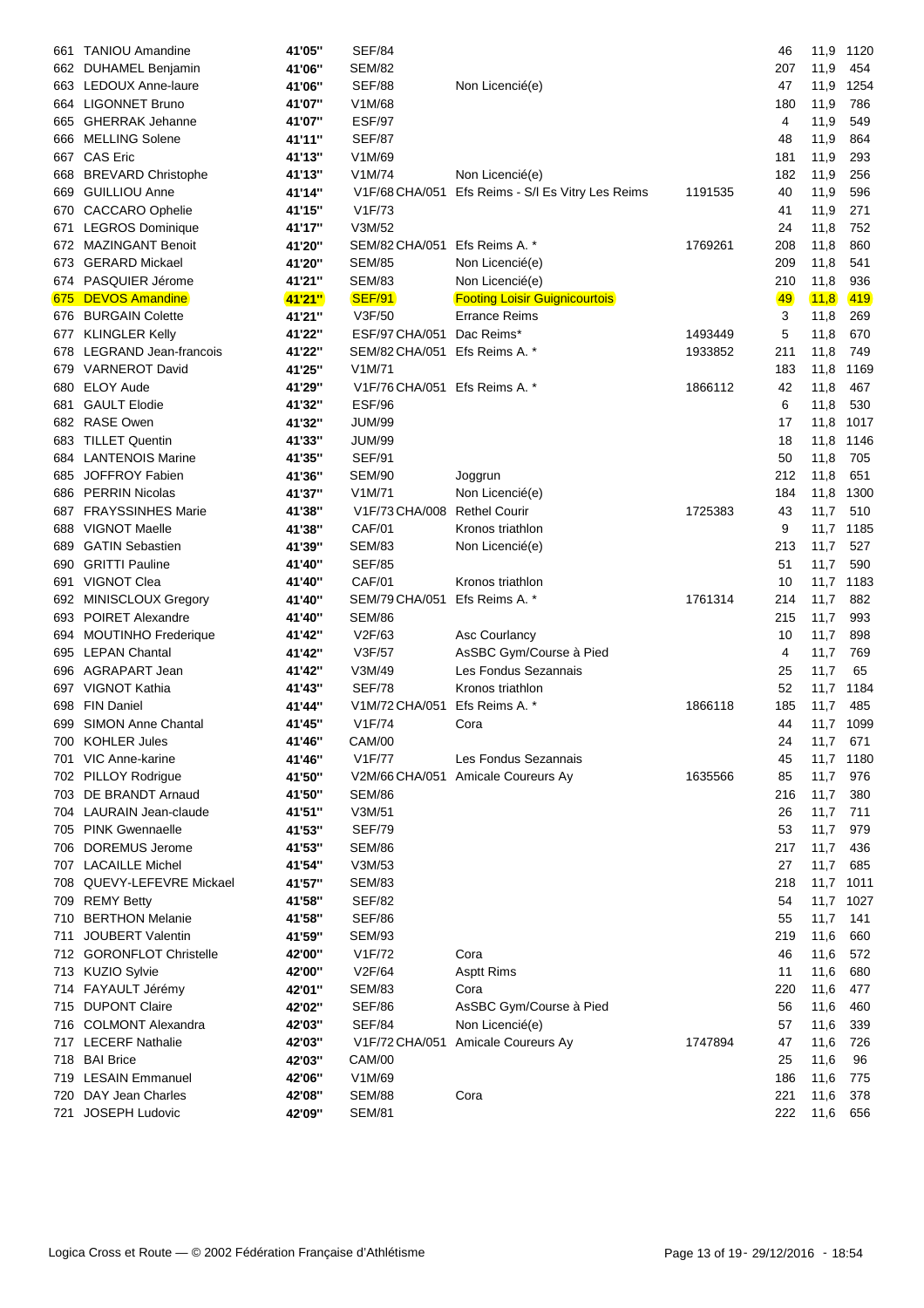| 661 | <b>TANIOU Amandine</b>     | 41'05" | <b>SEF/84</b>                 |                                      |         | 46  | 11,9      | 1120 |
|-----|----------------------------|--------|-------------------------------|--------------------------------------|---------|-----|-----------|------|
|     | 662 DUHAMEL Benjamin       | 41'06" | <b>SEM/82</b>                 |                                      |         | 207 | 11,9      | 454  |
| 663 | LEDOUX Anne-laure          | 41'06" | <b>SEF/88</b>                 | Non Licencié(e)                      |         | 47  | 11,9      | 1254 |
|     | 664 LIGONNET Bruno         | 41'07" | V1M/68                        |                                      |         | 180 | 11,9      | 786  |
| 665 | <b>GHERRAK Jehanne</b>     | 41'07" | <b>ESF/97</b>                 |                                      |         | 4   | 11,9      | 549  |
| 666 | <b>MELLING Solene</b>      | 41'11" | <b>SEF/87</b>                 |                                      |         | 48  | 11,9      | 864  |
| 667 | <b>CAS Eric</b>            | 41'13" | V1M/69                        |                                      |         | 181 | 11,9      | 293  |
| 668 | <b>BREVARD Christophe</b>  | 41'13" | V1M/74                        | Non Licencié(e)                      |         | 182 | 11,9      | 256  |
| 669 | <b>GUILLIOU Anne</b>       | 41'14" | V1F/68 CHA/051                | Efs Reims - S/I Es Vitry Les Reims   | 1191535 | 40  | 11,9      | 596  |
|     | 670 CACCARO Ophelie        | 41'15" | V1F/73                        |                                      |         | 41  | 11,9      | 271  |
| 671 | <b>LEGROS Dominique</b>    | 41'17" | V3M/52                        |                                      |         | 24  | 11,8      | 752  |
|     | 672 MAZINGANT Benoit       | 41'20" | SEM/82 CHA/051                | Efs Reims A. *                       | 1769261 | 208 | 11,8      | 860  |
| 673 | <b>GERARD Mickael</b>      | 41'20" | <b>SEM/85</b>                 | Non Licencié(e)                      |         | 209 | 11,8      | 541  |
|     | 674 PASQUIER Jérome        | 41'21" | <b>SEM/83</b>                 | Non Licencié(e)                      |         | 210 | 11,8      | 936  |
| 675 | <b>DEVOS Amandine</b>      | 41'21" | <b>SEF/91</b>                 | <b>Footing Loisir Guignicourtois</b> |         | 49  | (11,8)    | 419  |
|     | 676 BURGAIN Colette        | 41'21" | V3F/50                        | <b>Errance Reims</b>                 |         | 3   | 11,8      | 269  |
| 677 | <b>KLINGLER Kelly</b>      | 41'22" | ESF/97 CHA/051                | Dac Reims*                           | 1493449 | 5   | 11,8      | 670  |
| 678 | LEGRAND Jean-francois      | 41'22" | SEM/82 CHA/051                | Efs Reims A. *                       | 1933852 | 211 | 11,8      | 749  |
| 679 | <b>VARNEROT David</b>      | 41'25" | V1M/71                        |                                      |         | 183 | 11,8      | 1169 |
| 680 | <b>ELOY Aude</b>           | 41'29" | V1F/76 CHA/051 Efs Reims A. * |                                      | 1866112 | 42  | 11,8      | 467  |
| 681 | <b>GAULT Elodie</b>        | 41'32" | <b>ESF/96</b>                 |                                      |         | 6   | 11,8      | 530  |
|     | 682 RASE Owen              | 41'32" | <b>JUM/99</b>                 |                                      |         | 17  | 11,8      | 1017 |
| 683 | <b>TILLET Quentin</b>      | 41'33" | <b>JUM/99</b>                 |                                      |         | 18  | 11,8      | 1146 |
| 684 | <b>LANTENOIS Marine</b>    | 41'35" | <b>SEF/91</b>                 |                                      |         | 50  | 11,8      | 705  |
| 685 | JOFFROY Fabien             | 41'36" | <b>SEM/90</b>                 | Joggrun                              |         | 212 | 11,8      | 651  |
|     | 686 PERRIN Nicolas         | 41'37" | V1M/71                        | Non Licencié(e)                      |         | 184 | 11,8      | 1300 |
| 687 | <b>FRAYSSINHES Marie</b>   | 41'38" | V1F/73 CHA/008                | <b>Rethel Courir</b>                 | 1725383 | 43  | 11,7      | 510  |
| 688 | VIGNOT Maelle              | 41'38" | CAF/01                        | Kronos triathlon                     |         | 9   | 11,7      | 1185 |
| 689 | <b>GATIN Sebastien</b>     | 41'39" | <b>SEM/83</b>                 | Non Licencié(e)                      |         | 213 | 11,7      | 527  |
| 690 | <b>GRITTI Pauline</b>      | 41'40" | <b>SEF/85</b>                 |                                      |         | 51  | 11,7      | 590  |
| 691 | VIGNOT Clea                | 41'40" | <b>CAF/01</b>                 | Kronos triathlon                     |         | 10  | 11,7      | 1183 |
|     | 692 MINISCLOUX Gregory     | 41'40" | SEM/79 CHA/051                | Efs Reims A. *                       | 1761314 | 214 | 11,7      | 882  |
| 693 | <b>POIRET Alexandre</b>    | 41'40" | <b>SEM/86</b>                 |                                      |         | 215 | 11,7      | 993  |
| 694 | <b>MOUTINHO Frederique</b> | 41'42" | V2F/63                        | Asc Courlancy                        |         | 10  | 11,7      | 898  |
| 695 | <b>LEPAN Chantal</b>       | 41'42" | V3F/57                        | AsSBC Gym/Course à Pied              |         | 4   | 11,7      | 769  |
| 696 | AGRAPART Jean              | 41'42" | V3M/49                        | Les Fondus Sezannais                 |         | 25  | 11,7      | 65   |
|     | 697 VIGNOT Kathia          | 41'43" | <b>SEF/78</b>                 | Kronos triathlon                     |         | 52  | 11,7      | 1184 |
| 698 | <b>FIN Daniel</b>          | 41'44" | V1M/72 CHA/051                | Efs Reims A. *                       | 1866118 | 185 | 11,7      | 485  |
|     | 699 SIMON Anne Chantal     | 41'45" | V1F/74                        | Cora                                 |         | 44  | 11,7 1099 |      |
|     | 700 KOHLER Jules           | 41'46" | <b>CAM/00</b>                 |                                      |         | 24  | 11,7      | 671  |
|     | 701 VIC Anne-karine        | 41'46" | V1F/77                        | Les Fondus Sezannais                 |         | 45  | 11,7 1180 |      |
|     | 702 PILLOY Rodrigue        | 41'50" |                               | V2M/66 CHA/051 Amicale Coureurs Ay   | 1635566 | 85  | 11,7      | 976  |
| 703 | DE BRANDT Arnaud           | 41'50" | <b>SEM/86</b>                 |                                      |         | 216 | 11,7      | 380  |
|     | 704 LAURAIN Jean-claude    | 41'51" | V3M/51                        |                                      |         | 26  | 11,7      | 711  |
|     | 705 PINK Gwennaelle        | 41'53" | <b>SEF/79</b>                 |                                      |         | 53  | 11,7      | 979  |
|     | 706 DOREMUS Jerome         | 41'53" | SEM/86                        |                                      |         | 217 | 11,7      | 436  |
|     | 707 LACAILLE Michel        | 41'54" | V3M/53                        |                                      |         | 27  | 11,7      | 685  |
| 708 | QUEVY-LEFEVRE Mickael      | 41'57" | <b>SEM/83</b>                 |                                      |         | 218 | 11,7      | 1011 |
| 709 | <b>REMY Betty</b>          | 41'58" | <b>SEF/82</b>                 |                                      |         | 54  | 11,7      | 1027 |
|     | 710 BERTHON Melanie        | 41'58" | <b>SEF/86</b>                 |                                      |         | 55  | 11,7      | 141  |
| 711 | <b>JOUBERT Valentin</b>    | 41'59" | <b>SEM/93</b>                 |                                      |         | 219 | 11,6      | 660  |
|     | 712 GORONFLOT Christelle   | 42'00" | V1F/72                        | Cora                                 |         | 46  | 11,6      | 572  |
|     | 713 KUZIO Sylvie           | 42'00" | V2F/64                        | <b>Asptt Rims</b>                    |         | 11  | 11,6      | 680  |
|     | 714 FAYAULT Jérémy         | 42'01" | <b>SEM/83</b>                 | Cora                                 |         | 220 | 11,6      | 477  |
|     | 715 DUPONT Claire          | 42'02" | <b>SEF/86</b>                 | AsSBC Gym/Course à Pied              |         | 56  | 11,6      | 460  |
|     | 716 COLMONT Alexandra      | 42'03" | <b>SEF/84</b>                 | Non Licencié(e)                      |         | 57  | 11,6      | 339  |
|     | 717 LECERF Nathalie        | 42'03" | V1F/72 CHA/051                | Amicale Coureurs Ay                  | 1747894 | 47  | 11,6      | 726  |
| 718 | <b>BAI Brice</b>           | 42'03" | <b>CAM/00</b>                 |                                      |         | 25  | 11,6      | 96   |
|     | 719 LESAIN Emmanuel        | 42'06" | V1M/69                        |                                      |         | 186 | 11,6      | 775  |
| 720 | DAY Jean Charles           | 42'08" | <b>SEM/88</b>                 | Cora                                 |         | 221 | 11,6      | 378  |
| 721 | JOSEPH Ludovic             | 42'09" | <b>SEM/81</b>                 |                                      |         | 222 | 11,6      | 656  |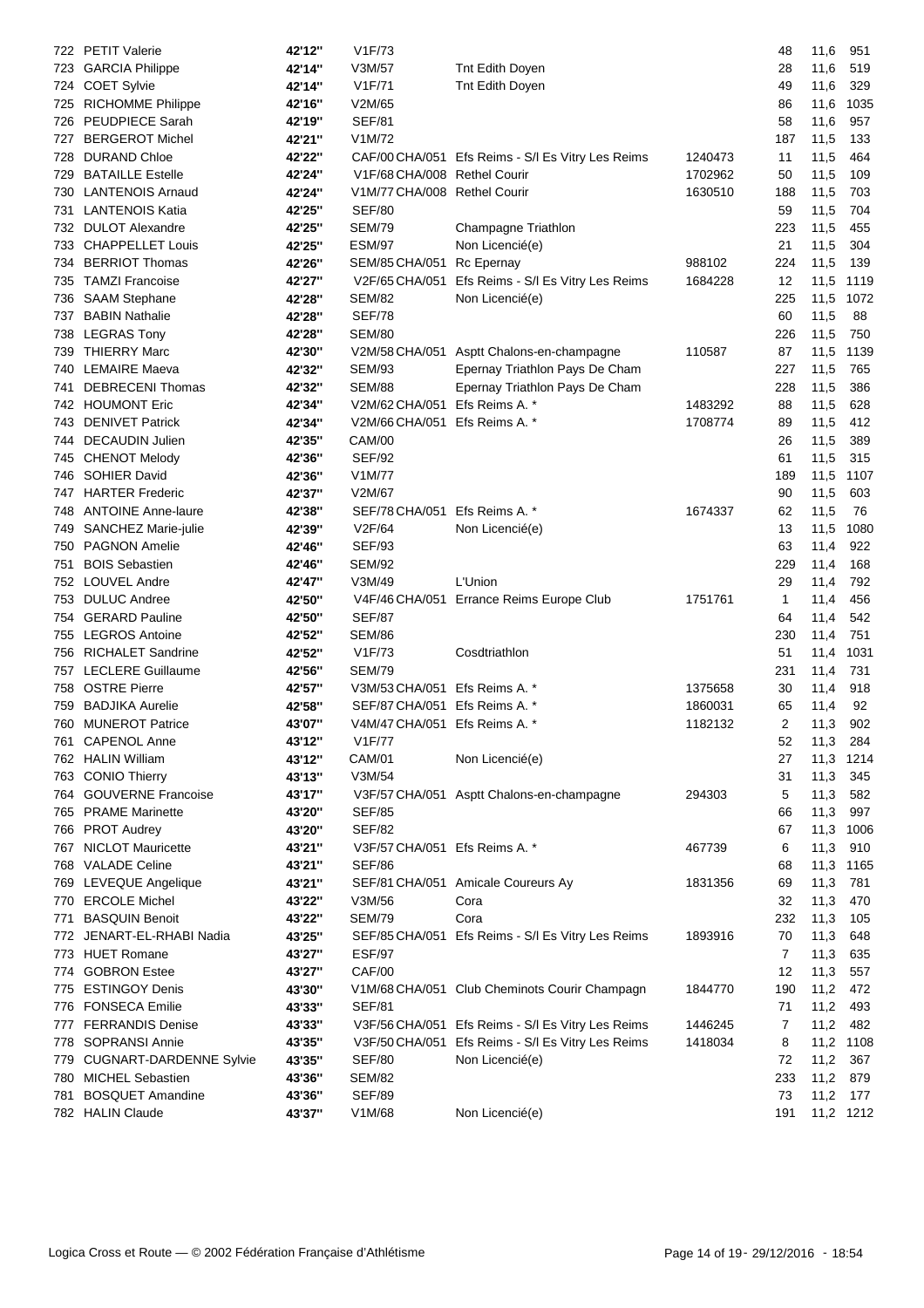|     | 722 PETIT Valerie                          | 42'12"           | V1F/73                         |                                                   |         | 48       | 11,6              | 951        |
|-----|--------------------------------------------|------------------|--------------------------------|---------------------------------------------------|---------|----------|-------------------|------------|
|     | 723 GARCIA Philippe                        | 42'14"           | V3M/57                         | Tnt Edith Doyen                                   |         | 28       | 11,6              | 519        |
|     | 724 COET Sylvie                            | 42'14"           | V1F/71                         | Tnt Edith Doyen                                   |         | 49       | 11,6              | 329        |
|     | 725 RICHOMME Philippe                      | 42'16"           | V2M/65                         |                                                   |         | 86       | 11,6              | 1035       |
| 726 | <b>PEUDPIECE Sarah</b>                     | 42'19"           | <b>SEF/81</b>                  |                                                   |         | 58       | 11,6              | 957        |
| 727 | <b>BERGEROT Michel</b>                     | 42'21"           | V1M/72                         |                                                   |         | 187      | 11,5              | 133        |
| 728 | <b>DURAND Chloe</b>                        | 42'22"           |                                | CAF/00 CHA/051 Efs Reims - S/I Es Vitry Les Reims | 1240473 | 11       | 11,5              | 464        |
| 729 | <b>BATAILLE Estelle</b>                    | 42'24"           | V1F/68 CHA/008 Rethel Courir   |                                                   | 1702962 | 50       | 11,5              | 109        |
| 730 | <b>LANTENOIS Arnaud</b>                    | 42'24"           | V1M/77 CHA/008 Rethel Courir   |                                                   | 1630510 | 188      | 11,5              | 703        |
| 731 | <b>LANTENOIS Katia</b>                     | 42'25"           | <b>SEF/80</b>                  |                                                   |         | 59       | 11,5              | 704        |
| 732 | <b>DULOT Alexandre</b>                     | 42'25"           | <b>SEM/79</b>                  | Champagne Triathlon                               |         | 223      | 11,5              | 455        |
| 733 | <b>CHAPPELLET Louis</b>                    | 42'25"           | <b>ESM/97</b>                  | Non Licencié(e)                                   |         | 21       | 11,5              | 304        |
| 734 | <b>BERRIOT Thomas</b>                      | 42'26"           | SEM/85 CHA/051                 | Rc Epernay                                        | 988102  | 224      | 11,5              | 139        |
| 735 | <b>TAMZI Francoise</b>                     | 42'27"           | V2F/65 CHA/051                 | Efs Reims - S/I Es Vitry Les Reims                | 1684228 | 12       | 11,5              | 1119       |
| 736 | <b>SAAM Stephane</b>                       | 42'28"           | <b>SEM/82</b>                  | Non Licencié(e)                                   |         | 225      | 11,5              | 1072       |
| 737 | <b>BABIN Nathalie</b>                      | 42'28"           | <b>SEF/78</b>                  |                                                   |         | 60       | 11,5              | 88         |
| 738 | <b>LEGRAS Tony</b>                         | 42'28"           | <b>SEM/80</b>                  |                                                   |         | 226      | 11,5              | 750        |
| 739 | <b>THIERRY Marc</b>                        | 42'30"           |                                | V2M/58 CHA/051 Asptt Chalons-en-champagne         | 110587  | 87       | 11,5              | 1139       |
| 740 | <b>LEMAIRE Maeva</b>                       | 42'32"           | SEM/93                         | Epernay Triathlon Pays De Cham                    |         | 227      | 11,5              | 765        |
| 741 | <b>DEBRECENI Thomas</b>                    | 42'32"           | <b>SEM/88</b>                  | Epernay Triathlon Pays De Cham                    |         | 228      | 11,5              | 386        |
|     | 742 HOUMONT Eric                           | 42'34"           | V2M/62 CHA/051 Efs Reims A. *  |                                                   | 1483292 | 88       | 11,5              | 628        |
|     | 743 DENIVET Patrick                        | 42'34"           | V2M/66 CHA/051                 | Efs Reims A. *                                    | 1708774 | 89       | 11,5              | 412        |
| 744 | <b>DECAUDIN Julien</b>                     | 42'35"           | <b>CAM/00</b>                  |                                                   |         | 26       | 11,5              | 389        |
| 745 | <b>CHENOT Melody</b>                       | 42'36"           | <b>SEF/92</b>                  |                                                   |         | 61       | 11,5              | 315        |
| 746 | <b>SOHIER David</b>                        | 42'36"           | V1M/77                         |                                                   |         | 189      | 11,5              | 1107       |
| 747 | <b>HARTER Frederic</b>                     | 42'37"           | V2M/67                         |                                                   |         | 90       | 11,5              | 603        |
| 748 | <b>ANTOINE Anne-laure</b>                  | 42'38"           | SEF/78 CHA/051                 | Efs Reims A. *                                    | 1674337 | 62       | 11,5              | 76         |
| 749 | SANCHEZ Marie-julie                        | 42'39"           | V2F/64                         | Non Licencié(e)                                   |         | 13       | 11,5              | 1080       |
| 750 | <b>PAGNON Amelie</b>                       | 42'46"           | <b>SEF/93</b>                  |                                                   |         | 63       | 11,4              | 922        |
| 751 | <b>BOIS Sebastien</b>                      | 42'46"           | <b>SEM/92</b>                  |                                                   |         | 229      | 11,4              | 168        |
| 752 | <b>LOUVEL Andre</b>                        | 42'47"           | V3M/49                         | L'Union                                           |         | 29       | 11,4              | 792        |
| 753 | <b>DULUC Andree</b>                        | 42'50"           |                                | V4F/46 CHA/051 Errance Reims Europe Club          | 1751761 | 1        | 11,4              | 456        |
| 754 | <b>GERARD Pauline</b>                      | 42'50"           | <b>SEF/87</b>                  |                                                   |         | 64       | 11,4              | 542        |
| 755 | <b>LEGROS Antoine</b>                      | 42'52"           | <b>SEM/86</b>                  |                                                   |         | 230      | 11,4              | 751        |
| 756 | <b>RICHALET Sandrine</b>                   | 42'52"           | V1F/73                         | Cosdtriathlon                                     |         | 51       | 11,4              | 1031       |
| 757 | <b>LECLERE Guillaume</b>                   | 42'56"           | <b>SEM/79</b>                  |                                                   |         | 231      | 11,4              | 731        |
| 758 | <b>OSTRE Pierre</b>                        | 42'57"           | V3M/53 CHA/051                 | Efs Reims A. *                                    | 1375658 | 30       | 11,4              | 918        |
| 759 | <b>BADJIKA Aurelie</b>                     | 42'58"           | SEF/87 CHA/051                 | Efs Reims A. *                                    | 1860031 | 65       | 11,4              | 92         |
|     | 760 MUNEROT Patrice                        | 43'07"           | V4M/47 CHA/051 Efs Reims A. *  |                                                   | 1182132 | 2        | 11,3              | 902        |
| 761 | <b>CAPENOL Anne</b>                        | 43'12"           | V1F/77                         |                                                   |         | 52       | 11,3              | 284        |
|     | 762 HALIN William                          | 43'12"           | CAM/01                         | Non Licencié(e)                                   |         | 27       | 11,3              | 1214       |
|     | 763 CONIO Thierry                          | 43'13"           | V3M/54                         |                                                   |         | 31       | 11,3              | 345        |
|     | 764 GOUVERNE Francoise                     | 43'17"           |                                | V3F/57 CHA/051 Asptt Chalons-en-champagne         | 294303  | 5        | 11,3              | 582        |
|     | 765 PRAME Marinette                        | 43'20"           | SEF/85                         |                                                   |         | 66       | 11,3              | 997        |
|     | 766 PROT Audrey                            | 43'20"           | <b>SEF/82</b>                  |                                                   |         | 67       |                   |            |
|     | 767 NICLOT Mauricette                      | 43'21"           | V3F/57 CHA/051 Efs Reims A. *  |                                                   | 467739  | 6        | 11,3 1006<br>11,3 | 910        |
|     | 768 VALADE Celine                          | 43'21"           | <b>SEF/86</b>                  |                                                   |         |          |                   |            |
|     |                                            |                  |                                | SEF/81 CHA/051 Amicale Coureurs Ay                |         | 68       | 11,3              | 1165       |
|     | 769 LEVEQUE Angelique<br>770 ERCOLE Michel | 43'21"           | V3M/56                         |                                                   | 1831356 | 69<br>32 | 11,3              | 781        |
| 771 | <b>BASQUIN Benoit</b>                      | 43'22"<br>43'22" | <b>SEM/79</b>                  | Cora<br>Cora                                      |         | 232      | 11,3              | 470        |
|     | 772 JENART-EL-RHABI Nadia                  | 43'25"           |                                | SEF/85 CHA/051 Efs Reims - S/l Es Vitry Les Reims | 1893916 | 70       | 11,3<br>11,3      | 105<br>648 |
|     |                                            |                  |                                |                                                   |         |          |                   |            |
|     | 773 HUET Romane<br>774 GOBRON Estee        | 43'27"           | <b>ESF/97</b><br><b>CAF/00</b> |                                                   |         | 7<br>12  | 11,3              | 635        |
|     | 775 ESTINGOY Denis                         | 43'27"           |                                |                                                   | 1844770 | 190      | 11,3              | 557<br>472 |
|     |                                            | 43'30"           | <b>SEF/81</b>                  | V1M/68 CHA/051 Club Cheminots Courir Champagn     |         |          | 11,2              |            |
|     | 776 FONSECA Emilie                         | 43'33"           |                                |                                                   |         | 71       | 11,2              | 493        |
|     | 777 FERRANDIS Denise                       | 43'33"           |                                | V3F/56 CHA/051 Efs Reims - S/l Es Vitry Les Reims | 1446245 | 7        | 11,2              | 482        |
|     | 778 SOPRANSI Annie                         | 43'35"           |                                | V3F/50 CHA/051 Efs Reims - S/l Es Vitry Les Reims | 1418034 | 8        | 11,2 1108         |            |
| 779 | <b>CUGNART-DARDENNE Sylvie</b>             | 43'35"           | <b>SEF/80</b>                  | Non Licencié(e)                                   |         | 72       | 11,2              | 367        |
| 780 | <b>MICHEL Sebastien</b>                    | 43'36"           | <b>SEM/82</b>                  |                                                   |         | 233      | 11,2              | 879        |
| 781 | <b>BOSQUET Amandine</b>                    | 43'36"           | <b>SEF/89</b>                  |                                                   |         | 73       | 11,2              | 177        |
|     | 782 HALIN Claude                           | 43'37"           | V1M/68                         | Non Licencié(e)                                   |         | 191      | 11,2 1212         |            |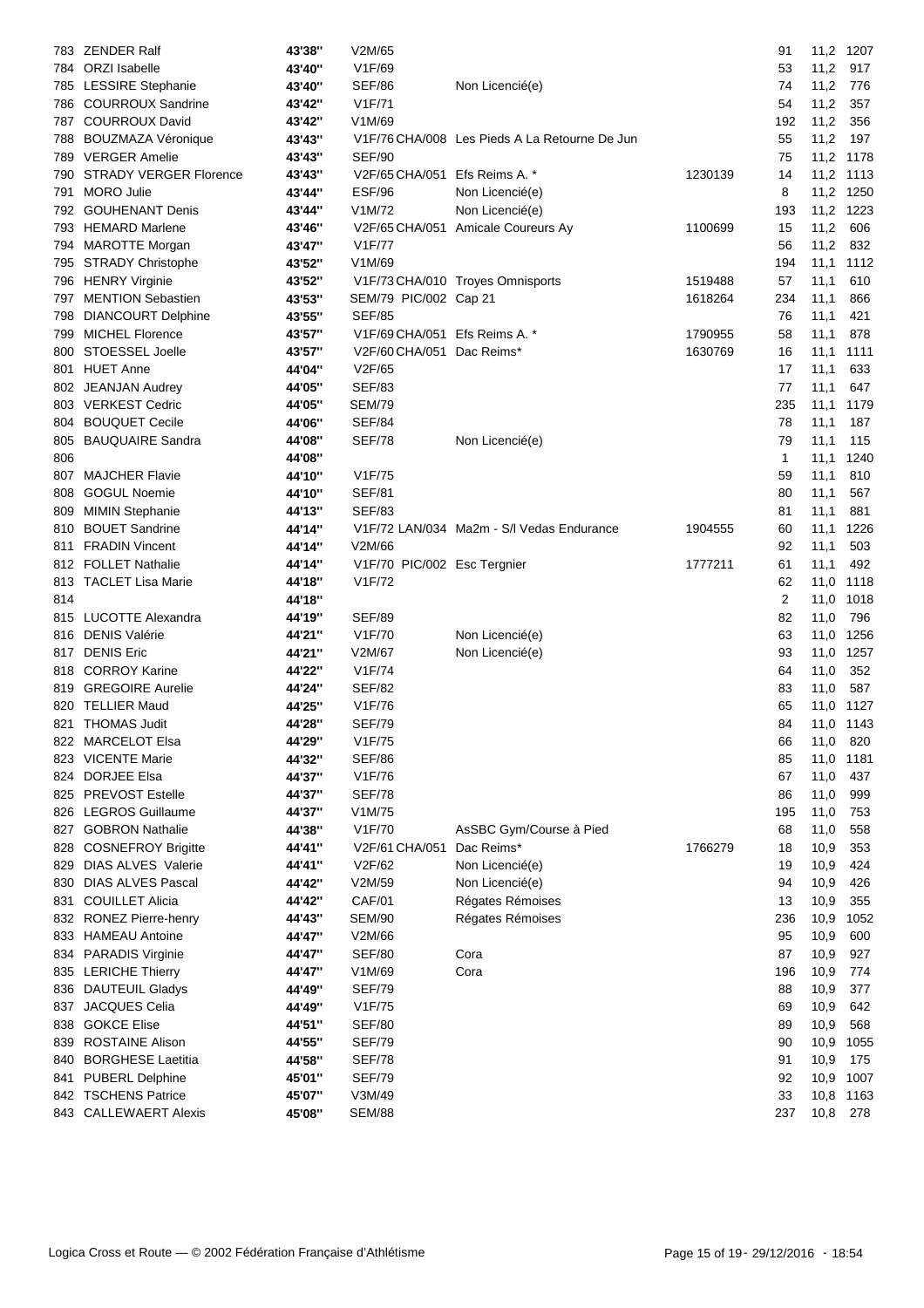|     | 783 ZENDER Ralf               | 43'38" | V2M/65                        |                                               |         | 91  | 11,2 1207 |      |
|-----|-------------------------------|--------|-------------------------------|-----------------------------------------------|---------|-----|-----------|------|
|     | 784 ORZI Isabelle             | 43'40" | V1F/69                        |                                               |         | 53  | 11,2      | 917  |
|     | 785 LESSIRE Stephanie         | 43'40" | <b>SEF/86</b>                 | Non Licencié(e)                               |         | 74  | 11,2      | 776  |
|     | 786 COURROUX Sandrine         | 43'42" | V <sub>1</sub> F/71           |                                               |         | 54  | 11,2      | 357  |
|     | 787 COURROUX David            | 43'42" | V1M/69                        |                                               |         | 192 | 11,2      | 356  |
| 788 | <b>BOUZMAZA Véronique</b>     | 43'43" |                               | V1F/76 CHA/008 Les Pieds A La Retourne De Jun |         | 55  | 11,2      | 197  |
|     | 789 VERGER Amelie             | 43'43" | <b>SEF/90</b>                 |                                               |         | 75  | 11,2 1178 |      |
| 790 | <b>STRADY VERGER Florence</b> | 43'43" | V2F/65 CHA/051 Efs Reims A. * |                                               | 1230139 | 14  | 11,2 1113 |      |
| 791 | <b>MORO</b> Julie             | 43'44" | <b>ESF/96</b>                 | Non Licencié(e)                               |         | 8   | 11,2 1250 |      |
|     | 792 GOUHENANT Denis           | 43'44" | V1M/72                        | Non Licencié(e)                               |         | 193 | 11,2      | 1223 |
|     | 793 HEMARD Marlene            | 43'46" |                               | V2F/65 CHA/051 Amicale Coureurs Ay            | 1100699 | 15  | 11,2      | 606  |
|     | 794 MAROTTE Morgan            | 43'47" | V <sub>1</sub> F/77           |                                               |         | 56  | 11,2      | 832  |
|     | 795 STRADY Christophe         | 43'52" | V1M/69                        |                                               |         | 194 | 11,1      | 1112 |
|     | 796 HENRY Virginie            | 43'52" |                               | V1F/73 CHA/010 Troyes Omnisports              | 1519488 | 57  | 11,1      | 610  |
|     | 797 MENTION Sebastien         | 43'53" | SEM/79 PIC/002 Cap 21         |                                               | 1618264 | 234 | 11,1      | 866  |
| 798 | <b>DIANCOURT Delphine</b>     | 43'55" | <b>SEF/85</b>                 |                                               |         | 76  | 11,1      | 421  |
| 799 | <b>MICHEL Florence</b>        | 43'57" | V1F/69 CHA/051 Efs Reims A. * |                                               | 1790955 | 58  | 11,1      | 878  |
| 800 | STOESSEL Joelle               | 43'57" | V2F/60 CHA/051 Dac Reims*     |                                               | 1630769 | 16  | 11,1      | 1111 |
| 801 | <b>HUET Anne</b>              | 44'04" | V2F/65                        |                                               |         | 17  | 11,1      | 633  |
|     | 802 JEANJAN Audrey            | 44'05" | <b>SEF/83</b>                 |                                               |         | 77  | 11,1      | 647  |
|     | 803 VERKEST Cedric            | 44'05" | <b>SEM/79</b>                 |                                               |         | 235 | 11,1      | 1179 |
|     | 804 BOUQUET Cecile            | 44'06" | <b>SEF/84</b>                 |                                               |         | 78  | 11,1      | 187  |
| 805 | <b>BAUQUAIRE Sandra</b>       | 44'08" | <b>SEF/78</b>                 | Non Licencié(e)                               |         | 79  | 11,1      | 115  |
| 806 |                               | 44'08" |                               |                                               |         | 1   | 11,1      | 1240 |
| 807 | <b>MAJCHER Flavie</b>         | 44'10" | V1F/75                        |                                               |         | 59  | 11,1      | 810  |
| 808 | <b>GOGUL Noemie</b>           | 44'10" | <b>SEF/81</b>                 |                                               |         | 80  | 11,1      | 567  |
| 809 | <b>MIMIN Stephanie</b>        | 44'13" | <b>SEF/83</b>                 |                                               |         | 81  | 11,1      | 881  |
| 810 | <b>BOUET Sandrine</b>         | 44'14" |                               | V1F/72 LAN/034 Ma2m - S/I Vedas Endurance     | 1904555 | 60  | 11,1      | 1226 |
| 811 | <b>FRADIN Vincent</b>         | 44'14" | V2M/66                        |                                               |         | 92  | 11,1      | 503  |
|     | 812 FOLLET Nathalie           | 44'14" | V1F/70 PIC/002 Esc Tergnier   |                                               | 1777211 | 61  | 11,1      | 492  |
|     | 813 TACLET Lisa Marie         | 44'18" | V1F/72                        |                                               |         | 62  | 11,0      | 1118 |
| 814 |                               | 44'18" |                               |                                               |         | 2   | 11,0      | 1018 |
| 815 | LUCOTTE Alexandra             | 44'19" | <b>SEF/89</b>                 |                                               |         | 82  | 11,0      | 796  |
|     | 816 DENIS Valérie             | 44'21" | V1F/70                        | Non Licencié(e)                               |         | 63  | 11,0      | 1256 |
|     | 817 DENIS Eric                | 44'21" | V2M/67                        | Non Licencié(e)                               |         | 93  | 11,0      | 1257 |
| 818 | <b>CORROY Karine</b>          | 44'22" | V1F/74                        |                                               |         | 64  | 11,0      | 352  |
|     | 819 GREGOIRE Aurelie          | 44'24" | <b>SEF/82</b>                 |                                               |         | 83  | 11,0      | 587  |
| 820 | <b>TELLIER Maud</b>           | 44'25" | V1F/76                        |                                               |         | 65  | 11,0 1127 |      |
|     | 821 THOMAS Judit              | 44'28" | <b>SEF/79</b>                 |                                               |         | 84  | 11,0 1143 |      |
|     | 822 MARCELOT Elsa             | 44'29" | V1F/75                        |                                               |         | 66  | 11,0      | 820  |
|     | 823 VICENTE Marie             | 44'32" | <b>SEF/86</b>                 |                                               |         | 85  | 11,0      | 1181 |
|     | 824 DORJEE Elsa               | 44'37" | V1F/76                        |                                               |         | 67  | 11,0      | 437  |
|     | 825 PREVOST Estelle           | 44'37" | SEF/78                        |                                               |         | 86  | 11,0      | 999  |
|     | 826 LEGROS Guillaume          | 44'37" | V1M/75                        |                                               |         | 195 | 11,0      | 753  |
| 827 | <b>GOBRON Nathalie</b>        | 44'38" | V1F/70                        | AsSBC Gym/Course à Pied                       |         | 68  | 11,0      | 558  |
| 828 | <b>COSNEFROY Brigitte</b>     | 44'41" | V2F/61 CHA/051                | Dac Reims*                                    | 1766279 | 18  | 10,9      | 353  |
| 829 | <b>DIAS ALVES Valerie</b>     | 44'41" | V2F/62                        | Non Licencié(e)                               |         | 19  | 10,9      | 424  |
| 830 | <b>DIAS ALVES Pascal</b>      | 44'42" | V2M/59                        | Non Licencié(e)                               |         | 94  | 10,9      | 426  |
| 831 | <b>COUILLET Alicia</b>        | 44'42" | <b>CAF/01</b>                 | Régates Rémoises                              |         | 13  | 10,9      | 355  |
|     | 832 RONEZ Pierre-henry        | 44'43" | <b>SEM/90</b>                 | Régates Rémoises                              |         | 236 | 10,9      | 1052 |
|     | 833 HAMEAU Antoine            | 44'47" | V2M/66                        |                                               |         | 95  | 10,9      | 600  |
|     | 834 PARADIS Virginie          | 44'47" | <b>SEF/80</b>                 | Cora                                          |         | 87  | 10,9      | 927  |
|     | 835 LERICHE Thierry           | 44'47" | V1M/69                        | Cora                                          |         | 196 | 10,9      | 774  |
|     | 836 DAUTEUIL Gladys           | 44'49" | <b>SEF/79</b>                 |                                               |         | 88  | 10,9      | 377  |
| 837 | <b>JACQUES Celia</b>          | 44'49" | V1F/75                        |                                               |         | 69  | 10,9      | 642  |
| 838 | <b>GOKCE Elise</b>            | 44'51" | <b>SEF/80</b>                 |                                               |         | 89  | 10,9      | 568  |
| 839 | <b>ROSTAINE Alison</b>        | 44'55" | <b>SEF/79</b>                 |                                               |         | 90  | 10,9      | 1055 |
| 840 | <b>BORGHESE Laetitia</b>      | 44'58" | <b>SEF/78</b>                 |                                               |         | 91  | 10,9      | 175  |
| 841 | <b>PUBERL Delphine</b>        | 45'01" | <b>SEF/79</b>                 |                                               |         | 92  | 10,9      | 1007 |
|     | 842 TSCHENS Patrice           | 45'07" | V3M/49                        |                                               |         | 33  | 10,8      | 1163 |
|     | 843 CALLEWAERT Alexis         | 45'08" | <b>SEM/88</b>                 |                                               |         | 237 | 10,8      | 278  |
|     |                               |        |                               |                                               |         |     |           |      |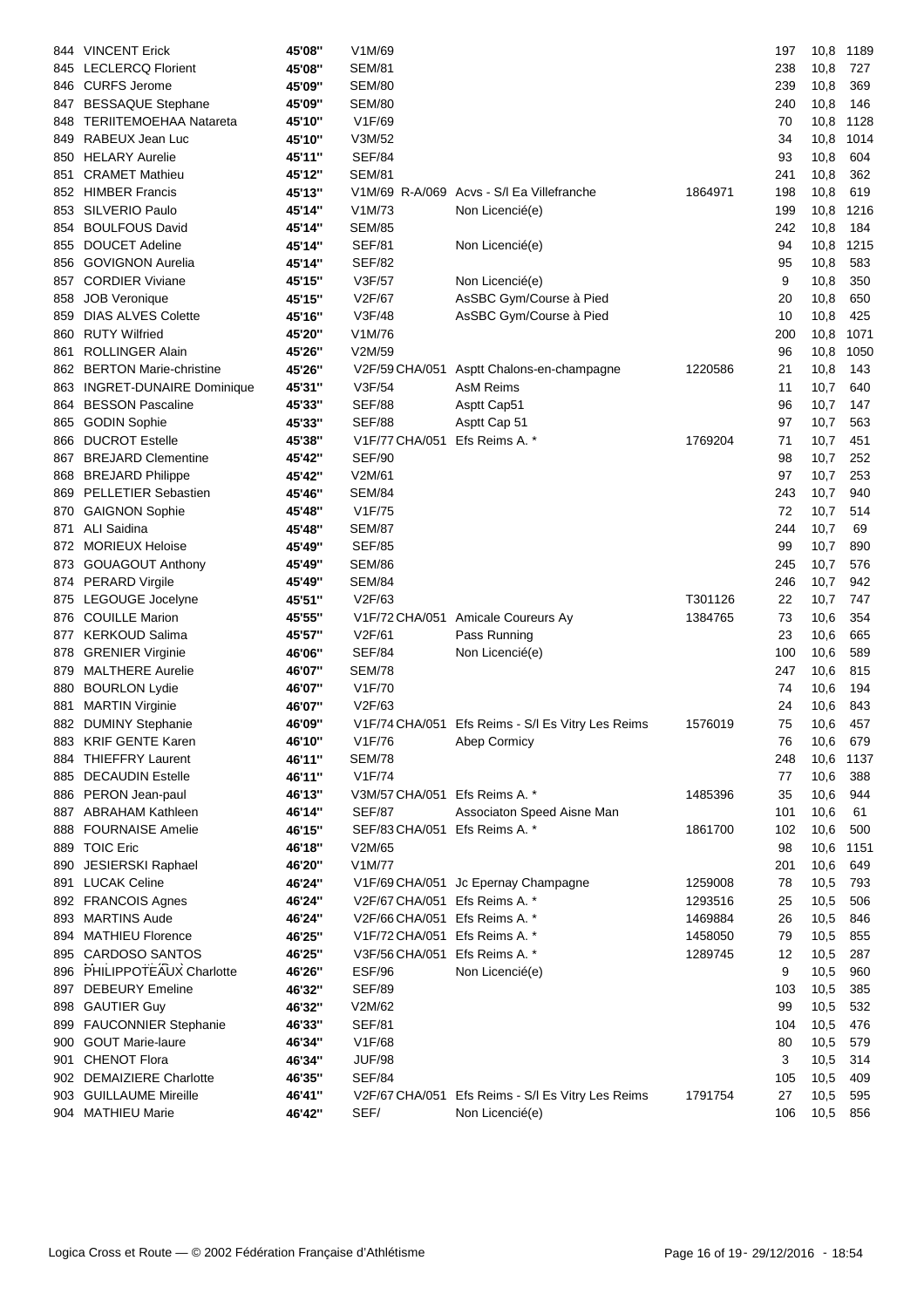| 844 | <b>VINCENT Erick</b>            | 45'08" | V1M/69                        |                                                   |         | 197 | 10,8 | 1189 |
|-----|---------------------------------|--------|-------------------------------|---------------------------------------------------|---------|-----|------|------|
| 845 | <b>LECLERCQ Florient</b>        | 45'08" | <b>SEM/81</b>                 |                                                   |         | 238 | 10,8 | 727  |
|     | 846 CURFS Jerome                | 45'09" | <b>SEM/80</b>                 |                                                   |         | 239 | 10,8 | 369  |
|     | 847 BESSAQUE Stephane           | 45'09" | <b>SEM/80</b>                 |                                                   |         | 240 | 10,8 | 146  |
| 848 | <b>TERIITEMOEHAA Natareta</b>   | 45'10" | V1F/69                        |                                                   |         | 70  | 10,8 | 1128 |
| 849 | RABEUX Jean Luc                 | 45'10" | V3M/52                        |                                                   |         | 34  | 10,8 | 1014 |
| 850 | <b>HELARY Aurelie</b>           | 45'11" | <b>SEF/84</b>                 |                                                   |         | 93  | 10,8 | 604  |
| 851 | <b>CRAMET Mathieu</b>           | 45'12" | <b>SEM/81</b>                 |                                                   |         | 241 | 10,8 | 362  |
|     | 852 HIMBER Francis              | 45'13" |                               | V1M/69 R-A/069 Acvs - S/I Ea Villefranche         | 1864971 | 198 | 10,8 | 619  |
| 853 | <b>SILVERIO Paulo</b>           | 45'14" | V1M/73                        | Non Licencié(e)                                   |         | 199 | 10,8 | 1216 |
| 854 | <b>BOULFOUS David</b>           | 45'14" | <b>SEM/85</b>                 |                                                   |         | 242 | 10,8 | 184  |
| 855 | <b>DOUCET Adeline</b>           | 45'14" | <b>SEF/81</b>                 | Non Licencié(e)                                   |         | 94  | 10,8 | 1215 |
| 856 | <b>GOVIGNON Aurelia</b>         | 45'14" | <b>SEF/82</b>                 |                                                   |         | 95  | 10,8 | 583  |
| 857 | <b>CORDIER Viviane</b>          | 45'15" | V3F/57                        | Non Licencié(e)                                   |         | 9   | 10,8 | 350  |
| 858 | <b>JOB Veronique</b>            | 45'15" | V2F/67                        | AsSBC Gym/Course à Pied                           |         | 20  | 10,8 | 650  |
| 859 | <b>DIAS ALVES Colette</b>       | 45'16" | V3F/48                        | AsSBC Gym/Course à Pied                           |         | 10  | 10,8 | 425  |
| 860 | <b>RUTY Wilfried</b>            | 45'20" | V1M/76                        |                                                   |         | 200 | 10,8 | 1071 |
| 861 | <b>ROLLINGER Alain</b>          | 45'26" | V2M/59                        |                                                   |         | 96  | 10,8 | 1050 |
| 862 | <b>BERTON Marie-christine</b>   | 45'26" | V2F/59 CHA/051                | Asptt Chalons-en-champagne                        | 1220586 | 21  | 10,8 | 143  |
| 863 | <b>INGRET-DUNAIRE Dominique</b> | 45'31" | V3F/54                        | AsM Reims                                         |         | 11  | 10,7 | 640  |
| 864 | <b>BESSON Pascaline</b>         | 45'33" | <b>SEF/88</b>                 | Asptt Cap51                                       |         | 96  | 10,7 | 147  |
| 865 | <b>GODIN Sophie</b>             | 45'33" | <b>SEF/88</b>                 | Asptt Cap 51                                      |         | 97  | 10,7 | 563  |
| 866 | <b>DUCROT Estelle</b>           | 45'38" | V1F/77 CHA/051                | Efs Reims A. *                                    | 1769204 | 71  | 10,7 | 451  |
| 867 | <b>BREJARD Clementine</b>       | 45'42" | <b>SEF/90</b>                 |                                                   |         | 98  | 10,7 | 252  |
|     | 868 BREJARD Philippe            | 45'42" | V2M/61                        |                                                   |         | 97  | 10,7 | 253  |
| 869 | <b>PELLETIER Sebastien</b>      | 45'46" | <b>SEM/84</b>                 |                                                   |         | 243 | 10,7 | 940  |
| 870 | <b>GAIGNON Sophie</b>           | 45'48" | V <sub>1</sub> F/75           |                                                   |         | 72  | 10,7 | 514  |
| 871 | <b>ALI Saidina</b>              | 45'48" | <b>SEM/87</b>                 |                                                   |         | 244 | 10,7 | 69   |
| 872 | <b>MORIEUX Heloise</b>          | 45'49" | <b>SEF/85</b>                 |                                                   |         | 99  | 10,7 | 890  |
| 873 | <b>GOUAGOUT Anthony</b>         | 45'49" | <b>SEM/86</b>                 |                                                   |         | 245 | 10,7 | 576  |
| 874 | <b>PERARD Virgile</b>           | 45'49" | <b>SEM/84</b>                 |                                                   |         | 246 | 10,7 | 942  |
| 875 | LEGOUGE Jocelyne                | 45'51" | V2F/63                        |                                                   | T301126 | 22  | 10,7 | 747  |
| 876 | <b>COUILLE Marion</b>           | 45'55" |                               | V1F/72 CHA/051 Amicale Coureurs Ay                | 1384765 | 73  | 10,6 | 354  |
| 877 | <b>KERKOUD Salima</b>           | 45'57" | V2F/61                        | Pass Running                                      |         | 23  | 10,6 | 665  |
| 878 | <b>GRENIER Virginie</b>         | 46'06" | <b>SEF/84</b>                 | Non Licencié(e)                                   |         | 100 | 10,6 | 589  |
| 879 | <b>MALTHERE Aurelie</b>         | 46'07" | <b>SEM/78</b>                 |                                                   |         | 247 | 10,6 | 815  |
| 880 | <b>BOURLON Lydie</b>            | 46'07" | V <sub>1</sub> F/70           |                                                   |         | 74  | 10,6 | 194  |
| 881 | <b>MARTIN Virginie</b>          | 46'07" | V2F/63                        |                                                   |         | 24  | 10,6 | 843  |
|     | 882 DUMINY Stephanie            | 46'09" |                               | V1F/74 CHA/051 Efs Reims - S/I Es Vitry Les Reims | 1576019 | 75  | 10,6 | 457  |
|     | 883 KRIF GENTE Karen            | 46'10" | V1F/76                        | Abep Cormicy                                      |         | 76  | 10,6 | 679  |
|     | 884 THIEFFRY Laurent            | 46'11" | <b>SEM/78</b>                 |                                                   |         | 248 | 10,6 | 1137 |
|     | 885 DECAUDIN Estelle            | 46'11" | V1F/74                        |                                                   |         | 77  | 10,6 | 388  |
|     | 886 PERON Jean-paul             | 46'13" | V3M/57 CHA/051                | Efs Reims A. *                                    | 1485396 | 35  | 10,6 | 944  |
| 887 | <b>ABRAHAM Kathleen</b>         | 46'14" | <b>SEF/87</b>                 | Associaton Speed Aisne Man                        |         | 101 | 10,6 | 61   |
| 888 | <b>FOURNAISE Amelie</b>         | 46'15" | SEF/83 CHA/051                | Efs Reims A. *                                    | 1861700 | 102 | 10,6 | 500  |
|     | 889 TOIC Eric                   | 46'18" | V2M/65                        |                                                   |         | 98  | 10,6 | 1151 |
| 890 | JESIERSKI Raphael               | 46'20" | V1M/77                        |                                                   |         | 201 | 10,6 | 649  |
| 891 | <b>LUCAK Celine</b>             | 46'24" | V1F/69 CHA/051                | Jc Epernay Champagne                              | 1259008 | 78  | 10,5 | 793  |
|     | 892 FRANCOIS Agnes              | 46'24" | V2F/67 CHA/051                | Efs Reims A. *                                    | 1293516 | 25  | 10,5 | 506  |
| 893 | <b>MARTINS Aude</b>             | 46'24" | V2F/66 CHA/051 Efs Reims A. * |                                                   | 1469884 | 26  | 10,5 | 846  |
| 894 | <b>MATHIEU Florence</b>         | 46'25" | V1F/72 CHA/051 Efs Reims A. * |                                                   | 1458050 | 79  | 10,5 | 855  |
| 895 | <b>CARDOSO SANTOS</b>           | 46'25" | V3F/56 CHA/051                | Efs Reims A. *                                    | 1289745 | 12  | 10,5 | 287  |
| 896 | PHILIPPOTEAUX Charlotte         | 46'26" | ESF/96                        | Non Licencié(e)                                   |         | 9   | 10,5 | 960  |
|     | 897 DEBEURY Emeline             | 46'32" | <b>SEF/89</b>                 |                                                   |         | 103 | 10,5 | 385  |
|     | 898 GAUTIER Guy                 | 46'32" | V2M/62                        |                                                   |         | 99  | 10,5 | 532  |
|     | 899 FAUCONNIER Stephanie        | 46'33" | <b>SEF/81</b>                 |                                                   |         | 104 | 10,5 | 476  |
| 900 | <b>GOUT Marie-laure</b>         | 46'34" | V1F/68                        |                                                   |         | 80  | 10,5 | 579  |
| 901 | CHENOT Flora                    | 46'34" | <b>JUF/98</b>                 |                                                   |         | 3   | 10,5 | 314  |
|     | 902 DEMAIZIERE Charlotte        | 46'35" | <b>SEF/84</b>                 |                                                   |         | 105 | 10,5 | 409  |
|     | 903 GUILLAUME Mireille          | 46'41" | V2F/67 CHA/051                | Efs Reims - S/I Es Vitry Les Reims                | 1791754 | 27  | 10,5 | 595  |
|     | 904 MATHIEU Marie               | 46'42" | SEF/                          | Non Licencié(e)                                   |         | 106 | 10,5 | 856  |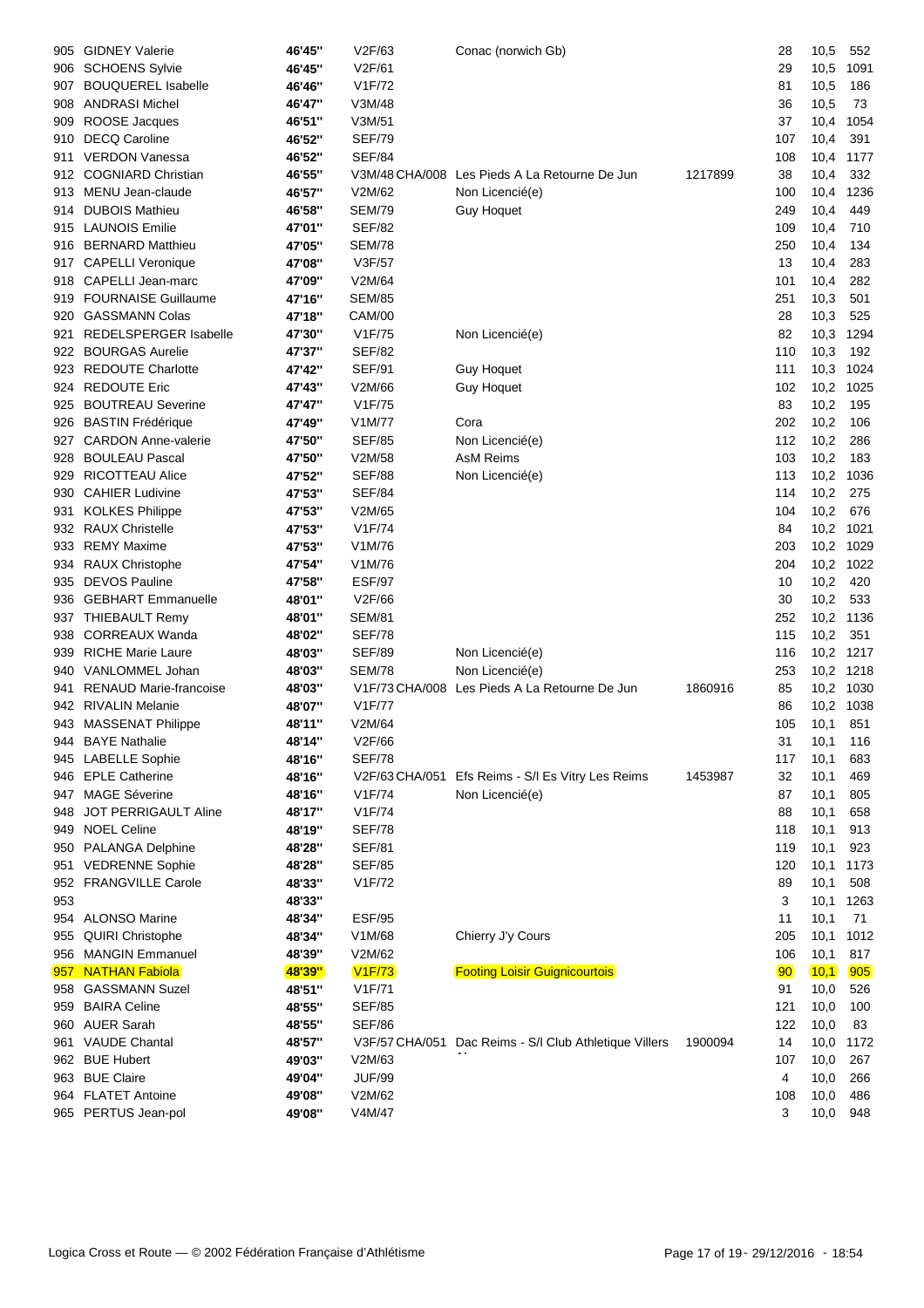| 905  | <b>GIDNEY Valerie</b>         | 46'45" | V2F/63         | Conac (norwich Gb)                            |         | 28              | 10,5      | 552       |
|------|-------------------------------|--------|----------------|-----------------------------------------------|---------|-----------------|-----------|-----------|
| 906  | <b>SCHOENS Sylvie</b>         | 46'45" | V2F/61         |                                               |         | 29              | 10,5      | 1091      |
| 907  | <b>BOUQUEREL Isabelle</b>     | 46'46" | V1F/72         |                                               |         | 81              | 10,5      | 186       |
| 908  | <b>ANDRASI Michel</b>         | 46'47" | V3M/48         |                                               |         | 36              | 10,5      | 73        |
| 909  | ROOSE Jacques                 | 46'51" | V3M/51         |                                               |         | 37              | 10,4      | 1054      |
| 910  | <b>DECQ Caroline</b>          | 46'52" | <b>SEF/79</b>  |                                               |         | 107             | 10,4      | 391       |
| 911  | <b>VERDON Vanessa</b>         | 46'52" | <b>SEF/84</b>  |                                               |         | 108             | 10,4      | 1177      |
| 912  | <b>COGNIARD Christian</b>     | 46'55" |                | V3M/48 CHA/008 Les Pieds A La Retourne De Jun | 1217899 | 38              | 10,4      | 332       |
| 913  | MENU Jean-claude              | 46'57" | V2M/62         | Non Licencié(e)                               |         | 100             | 10,4      | 1236      |
| 914  | <b>DUBOIS Mathieu</b>         | 46'58" | <b>SEM/79</b>  | <b>Guy Hoquet</b>                             |         | 249             | 10,4      | 449       |
| 915  | <b>LAUNOIS Emilie</b>         | 47'01" | <b>SEF/82</b>  |                                               |         | 109             | 10,4      | 710       |
| 916  | <b>BERNARD Matthieu</b>       | 47'05" | <b>SEM/78</b>  |                                               |         | 250             | 10,4      | 134       |
| 917  | <b>CAPELLI Veronique</b>      | 47'08" | V3F/57         |                                               |         | 13              | 10,4      | 283       |
| 918  | CAPELLI Jean-marc             | 47'09" | V2M/64         |                                               |         | 101             | 10,4      | 282       |
| 919. | <b>FOURNAISE Guillaume</b>    | 47'16" | <b>SEM/85</b>  |                                               |         | 251             | 10,3      | 501       |
| 920  | <b>GASSMANN Colas</b>         | 47'18" | <b>CAM/00</b>  |                                               |         | 28              | 10,3      | 525       |
| 921  | REDELSPERGER Isabelle         | 47'30" | V1F/75         | Non Licencié(e)                               |         | 82              | 10,3      | 1294      |
| 922  | <b>BOURGAS Aurelie</b>        | 47'37" | <b>SEF/82</b>  |                                               |         | 110             | 10,3      | 192       |
| 923  | <b>REDOUTE Charlotte</b>      | 47'42" | <b>SEF/91</b>  | <b>Guy Hoquet</b>                             |         | 111             | 10,3      | 1024      |
| 924  | <b>REDOUTE Eric</b>           | 47'43" | V2M/66         | <b>Guy Hoquet</b>                             |         | 102             | 10,2      | 1025      |
| 925  | <b>BOUTREAU Severine</b>      | 47'47" | V1F/75         |                                               |         | 83              | 10,2      | 195       |
| 926  | <b>BASTIN Frédérique</b>      | 47'49" | V1M/77         | Cora                                          |         | 202             | 10,2      | 106       |
| 927  | <b>CARDON Anne-valerie</b>    | 47'50" | <b>SEF/85</b>  | Non Licencié(e)                               |         | 112             | 10,2      | 286       |
| 928  | <b>BOULEAU Pascal</b>         | 47'50" | V2M/58         | <b>AsM Reims</b>                              |         | 103             | 10,2      | 183       |
| 929  | <b>RICOTTEAU Alice</b>        | 47'52" | <b>SEF/88</b>  | Non Licencié(e)                               |         | 113             | 10,2 1036 |           |
| 930  | <b>CAHIER Ludivine</b>        | 47'53" | <b>SEF/84</b>  |                                               |         | 114             | 10,2      | 275       |
| 931  | <b>KOLKES Philippe</b>        | 47'53" | V2M/65         |                                               |         | 104             | 10,2      | 676       |
| 932  | <b>RAUX Christelle</b>        | 47'53" | V1F/74         |                                               |         | 84              | 10,2      | 1021      |
| 933  | <b>REMY Maxime</b>            | 47'53" | V1M/76         |                                               |         | 203             | 10,2      | 1029      |
| 934  | <b>RAUX Christophe</b>        | 47'54" | V1M/76         |                                               |         | 204             | 10,2      | 1022      |
| 935  | <b>DEVOS Pauline</b>          | 47'58" | <b>ESF/97</b>  |                                               |         | 10              | 10,2      | 420       |
| 936  | <b>GEBHART Emmanuelle</b>     | 48'01" | V2F/66         |                                               |         | 30              | 10,2      | 533       |
| 937  | <b>THIEBAULT Remy</b>         | 48'01" | <b>SEM/81</b>  |                                               |         | 252             | 10,2      | 1136      |
| 938  | <b>CORREAUX Wanda</b>         | 48'02" | <b>SEF/78</b>  |                                               |         | 115             | 10,2      | 351       |
| 939  | <b>RICHE Marie Laure</b>      | 48'03" | <b>SEF/89</b>  | Non Licencié(e)                               |         | 116             |           | 10,2 1217 |
| 940  | VANLOMMEL Johan               | 48'03" | SEM/78         | Non Licencié(e)                               |         | 253             | 10,2 1218 |           |
| 941  | <b>RENAUD Marie-francoise</b> | 48'03" |                | V1F/73 CHA/008 Les Pieds A La Retourne De Jun | 1860916 | 85              | 10,2 1030 |           |
|      | 942 RIVALIN Melanie           | 48'07" | V1F/77         |                                               |         | 86              | 10,2 1038 |           |
|      | 943 MASSENAT Philippe         | 48'11" | V2M/64         |                                               |         | 105             | 10,1      | 851       |
|      | 944 BAYE Nathalie             | 48'14" | V2F/66         |                                               |         | 31              | 10,1      | 116       |
|      | 945 LABELLE Sophie            | 48'16" | <b>SEF/78</b>  |                                               |         | 117             | 10,1      | 683       |
| 946  | <b>EPLE Catherine</b>         | 48'16" | V2F/63 CHA/051 | Efs Reims - S/I Es Vitry Les Reims            | 1453987 | 32              | 10,1      | 469       |
| 947  | <b>MAGE Séverine</b>          | 48'16" | V1F/74         | Non Licencié(e)                               |         | 87              | 10,1      | 805       |
| 948  | JOT PERRIGAULT Aline          | 48'17" | V1F/74         |                                               |         | 88              | 10,1      | 658       |
| 949  | <b>NOEL Celine</b>            | 48'19" | <b>SEF/78</b>  |                                               |         | 118             | 10,1      | 913       |
| 950  | PALANGA Delphine              | 48'28" | <b>SEF/81</b>  |                                               |         | 119             | 10,1      | 923       |
| 951  | <b>VEDRENNE Sophie</b>        | 48'28" | <b>SEF/85</b>  |                                               |         | 120             | 10,1      | 1173      |
| 952  | <b>FRANGVILLE Carole</b>      | 48'33" | V1F/72         |                                               |         | 89              | 10,1      | 508       |
| 953  |                               | 48'33" |                |                                               |         | 3               | 10,1      | 1263      |
|      | 954 ALONSO Marine             | 48'34" | <b>ESF/95</b>  |                                               |         | 11              | 10,1      | 71        |
| 955  | <b>QUIRI Christophe</b>       | 48'34" | V1M/68         | Chierry J'y Cours                             |         | 205             | 10,1      | 1012      |
| 956  | <b>MANGIN Emmanuel</b>        | 48'39" | V2M/62         |                                               |         | 106             | 10,1      | 817       |
| 957  | <b>NATHAN Fabiola</b>         | 48'39" | <b>V1F/73</b>  | <b>Footing Loisir Guignicourtois</b>          |         | 90 <sub>o</sub> | (10,1)    | 905       |
| 958  | <b>GASSMANN Suzel</b>         | 48'51" | V1F/71         |                                               |         | 91              | 10,0      | 526       |
| 959  | <b>BAIRA Celine</b>           | 48'55" | <b>SEF/85</b>  |                                               |         | 121             | 10,0      | 100       |
| 960  | <b>AUER Sarah</b>             | 48'55" | <b>SEF/86</b>  |                                               |         | 122             | 10,0      | 83        |
| 961  | <b>VAUDE Chantal</b>          | 48'57" | V3F/57 CHA/051 | Dac Reims - S/I Club Athletique Villers       | 1900094 | 14              | 10,0      | 1172      |
|      | 962 BUE Hubert                | 49'03" | V2M/63         |                                               |         | 107             | 10,0      | 267       |
| 963  | <b>BUE Claire</b>             | 49'04" | <b>JUF/99</b>  |                                               |         | 4               | 10,0      | 266       |
|      | 964 FLATET Antoine            | 49'08" | V2M/62         |                                               |         | 108             | 10,0      | 486       |
|      | 965 PERTUS Jean-pol           | 49'08" | V4M/47         |                                               |         | 3               | 10,0      | 948       |
|      |                               |        |                |                                               |         |                 |           |           |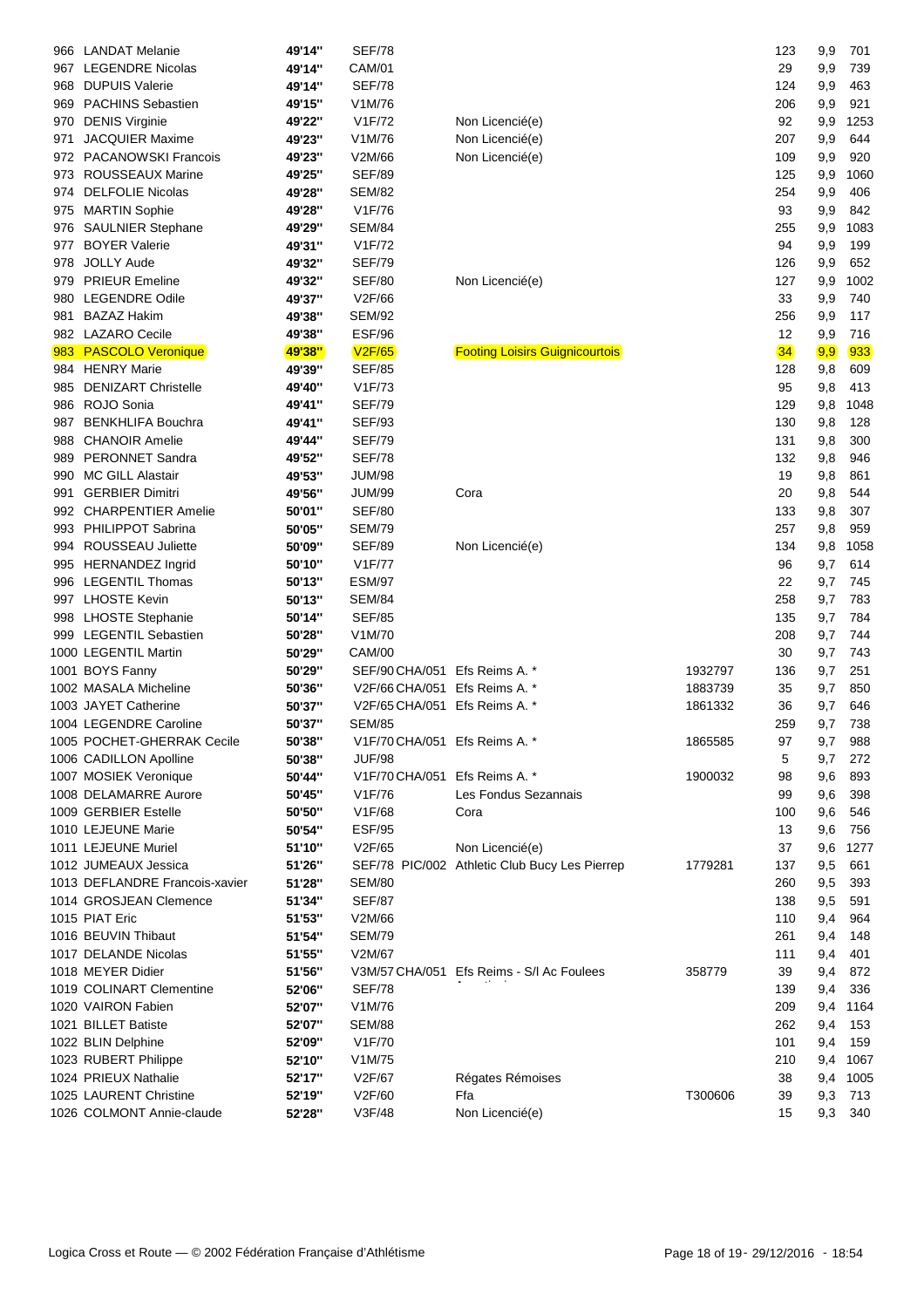| 966  | <b>LANDAT Melanie</b>          | 49'14" | <b>SEF/78</b>                 |                                               |         | 123 | 9,9 | 701  |
|------|--------------------------------|--------|-------------------------------|-----------------------------------------------|---------|-----|-----|------|
| 967  | <b>LEGENDRE Nicolas</b>        | 49'14" | <b>CAM/01</b>                 |                                               |         | 29  | 9,9 | 739  |
| 968  | <b>DUPUIS Valerie</b>          | 49'14" | <b>SEF/78</b>                 |                                               |         | 124 | 9,9 | 463  |
| 969  | <b>PACHINS Sebastien</b>       | 49'15" | V1M/76                        |                                               |         | 206 | 9,9 | 921  |
| 970  | <b>DENIS Virginie</b>          | 49'22" | V1F/72                        | Non Licencié(e)                               |         | 92  | 9,9 | 1253 |
| 971  | <b>JACQUIER Maxime</b>         | 49'23" | V1M/76                        | Non Licencié(e)                               |         | 207 | 9,9 | 644  |
| 972. | <b>PACANOWSKI Francois</b>     | 49'23" | V2M/66                        | Non Licencié(e)                               |         | 109 | 9,9 | 920  |
| 973  | ROUSSEAUX Marine               | 49'25" | <b>SEF/89</b>                 |                                               |         | 125 | 9,9 | 1060 |
| 974  | <b>DELFOLIE Nicolas</b>        | 49'28" | <b>SEM/82</b>                 |                                               |         | 254 | 9,9 | 406  |
|      | 975 MARTIN Sophie              | 49'28" | V1F/76                        |                                               |         | 93  | 9,9 | 842  |
| 976  | <b>SAULNIER Stephane</b>       | 49'29" | <b>SEM/84</b>                 |                                               |         | 255 | 9,9 | 1083 |
| 977  | <b>BOYER Valerie</b>           | 49'31" | V1F/72                        |                                               |         | 94  | 9,9 | 199  |
| 978  | <b>JOLLY Aude</b>              | 49'32" | <b>SEF/79</b>                 |                                               |         | 126 | 9,9 | 652  |
| 979  | <b>PRIEUR Emeline</b>          | 49'32" | <b>SEF/80</b>                 | Non Licencié(e)                               |         | 127 | 9,9 | 1002 |
| 980  | <b>LEGENDRE Odile</b>          | 49'37" | V2F/66                        |                                               |         | 33  | 9,9 | 740  |
|      |                                |        |                               |                                               |         |     |     |      |
| 981  | <b>BAZAZ Hakim</b>             | 49'38" | <b>SEM/92</b>                 |                                               |         | 256 | 9,9 | 117  |
| 982  | <b>LAZARO Cecile</b>           | 49'38" | ESF/96                        |                                               |         | 12  | 9,9 | 716  |
| 983  | <b>PASCOLO Veronique</b>       | 49'38" | <b>V2F/65</b>                 | <b>Footing Loisirs Guignicourtois</b>         |         | 34  | 9,9 | 933  |
|      | 984 HENRY Marie                | 49'39" | <b>SEF/85</b>                 |                                               |         | 128 | 9,8 | 609  |
| 985  | <b>DENIZART Christelle</b>     | 49'40" | V1F/73                        |                                               |         | 95  | 9,8 | 413  |
| 986  | ROJO Sonia                     | 49'41" | <b>SEF/79</b>                 |                                               |         | 129 | 9,8 | 1048 |
| 987  | <b>BENKHLIFA Bouchra</b>       | 49'41" | <b>SEF/93</b>                 |                                               |         | 130 | 9,8 | 128  |
| 988  | <b>CHANOIR Amelie</b>          | 49'44" | <b>SEF/79</b>                 |                                               |         | 131 | 9,8 | 300  |
| 989  | <b>PERONNET Sandra</b>         | 49'52" | <b>SEF/78</b>                 |                                               |         | 132 | 9,8 | 946  |
| 990  | <b>MC GILL Alastair</b>        | 49'53" | <b>JUM/98</b>                 |                                               |         | 19  | 9,8 | 861  |
| 991  | <b>GERBIER Dimitri</b>         | 49'56" | <b>JUM/99</b>                 | Cora                                          |         | 20  | 9,8 | 544  |
|      | 992 CHARPENTIER Amelie         | 50'01" | <b>SEF/80</b>                 |                                               |         | 133 | 9,8 | 307  |
|      | 993 PHILIPPOT Sabrina          | 50'05" | <b>SEM/79</b>                 |                                               |         | 257 | 9,8 | 959  |
|      | 994 ROUSSEAU Juliette          | 50'09" | <b>SEF/89</b>                 | Non Licencié(e)                               |         | 134 | 9,8 | 1058 |
|      | 995 HERNANDEZ Ingrid           | 50'10" | V1F/77                        |                                               |         | 96  | 9,7 | 614  |
|      | 996 LEGENTIL Thomas            | 50'13" | <b>ESM/97</b>                 |                                               |         | 22  | 9,7 | 745  |
|      | 997 LHOSTE Kevin               | 50'13" | <b>SEM/84</b>                 |                                               |         | 258 | 9,7 | 783  |
|      | 998 LHOSTE Stephanie           | 50'14" | <b>SEF/85</b>                 |                                               |         | 135 | 9,7 | 784  |
|      | 999 LEGENTIL Sebastien         | 50'28" | V1M/70                        |                                               |         | 208 | 9,7 | 744  |
|      | 1000 LEGENTIL Martin           | 50'29" | <b>CAM/00</b>                 |                                               |         | 30  | 9,7 | 743  |
|      | 1001 BOYS Fanny                | 50'29" | SEF/90 CHA/051 Efs Reims A. * |                                               | 1932797 | 136 | 9,7 | 251  |
|      | 1002 MASALA Micheline          | 50'36" | V2F/66 CHA/051 Efs Reims A. * |                                               | 1883739 | 35  | 9,7 | 850  |
|      | 1003 JAYET Catherine           | 50'37" | V2F/65 CHA/051 Efs Reims A. * |                                               | 1861332 | 36  | 9,7 | 646  |
|      | 1004 LEGENDRE Caroline         | 50'37" | <b>SEM/85</b>                 |                                               |         | 259 | 9,7 | 738  |
|      | 1005 POCHET-GHERRAK Cecile     | 50'38" | V1F/70 CHA/051 Efs Reims A. * |                                               | 1865585 | 97  | 9,7 | 988  |
|      | 1006 CADILLON Apolline         | 50'38" | <b>JUF/98</b>                 |                                               |         | 5   | 9,7 | 272  |
|      | 1007 MOSIEK Veronique          | 50'44" | V1F/70 CHA/051 Efs Reims A. * |                                               | 1900032 | 98  | 9,6 | 893  |
|      | 1008 DELAMARRE Aurore          | 50'45" | V1F/76                        | Les Fondus Sezannais                          |         | 99  | 9,6 | 398  |
|      | 1009 GERBIER Estelle           | 50'50" | V1F/68                        | Cora                                          |         | 100 | 9,6 | 546  |
|      | 1010 LEJEUNE Marie             | 50'54" | <b>ESF/95</b>                 |                                               |         | 13  | 9,6 | 756  |
|      | 1011 LEJEUNE Muriel            |        | V2F/65                        |                                               |         | 37  |     |      |
|      |                                | 51'10" |                               | Non Licencié(e)                               |         |     | 9,6 | 1277 |
|      | 1012 JUMEAUX Jessica           | 51'26" |                               | SEF/78 PIC/002 Athletic Club Bucy Les Pierrep | 1779281 | 137 | 9,5 | 661  |
|      | 1013 DEFLANDRE Francois-xavier | 51'28" | <b>SEM/80</b>                 |                                               |         | 260 | 9,5 | 393  |
|      | 1014 GROSJEAN Clemence         | 51'34" | <b>SEF/87</b>                 |                                               |         | 138 | 9,5 | 591  |
|      | 1015 PIAT Eric                 | 51'53" | V2M/66                        |                                               |         | 110 | 9,4 | 964  |
|      | 1016 BEUVIN Thibaut            | 51'54" | <b>SEM/79</b>                 |                                               |         | 261 | 9,4 | 148  |
|      | 1017 DELANDE Nicolas           | 51'55" | V2M/67                        |                                               |         | 111 | 9,4 | 401  |
|      | 1018 MEYER Didier              | 51'56" |                               | V3M/57 CHA/051 Efs Reims - S/I Ac Foulees     | 358779  | 39  | 9,4 | 872  |
|      | 1019 COLINART Clementine       | 52'06" | <b>SEF/78</b>                 |                                               |         | 139 | 9,4 | 336  |
|      | 1020 VAIRON Fabien             | 52'07" | V1M/76                        |                                               |         | 209 | 9,4 | 1164 |
|      | 1021 BILLET Batiste            | 52'07" | <b>SEM/88</b>                 |                                               |         | 262 | 9,4 | 153  |
|      | 1022 BLIN Delphine             | 52'09" | V1F/70                        |                                               |         | 101 | 9,4 | 159  |
|      | 1023 RUBERT Philippe           | 52'10" | V1M/75                        |                                               |         | 210 | 9,4 | 1067 |
|      | 1024 PRIEUX Nathalie           | 52'17" | V2F/67                        | Régates Rémoises                              |         | 38  | 9,4 | 1005 |
|      | 1025 LAURENT Christine         | 52'19" | V2F/60                        | Ffa                                           | T300606 | 39  | 9,3 | 713  |
|      | 1026 COLMONT Annie-claude      | 52'28" | V3F/48                        | Non Licencié(e)                               |         | 15  | 9,3 | 340  |